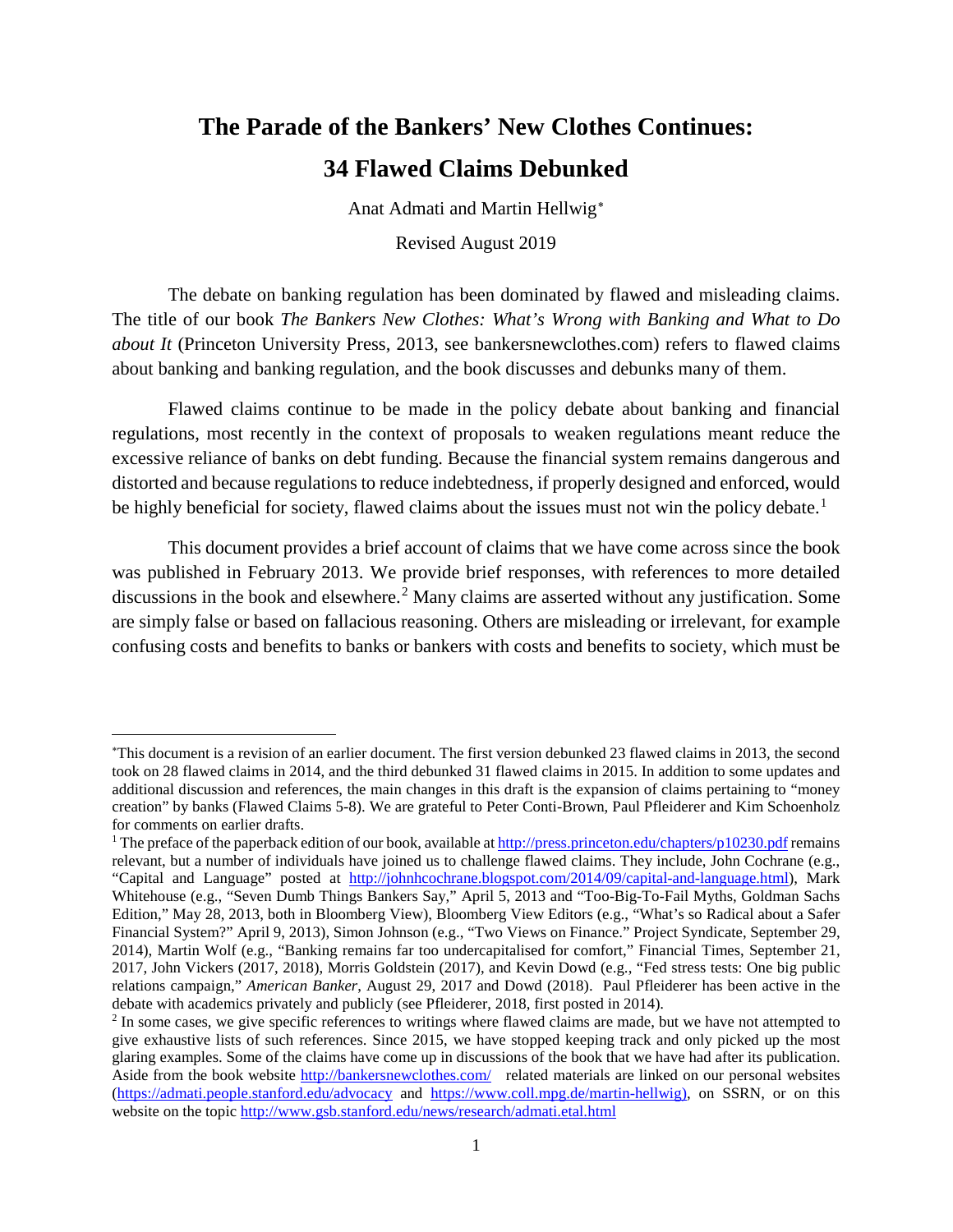## **The Parade of the Bankers' New Clothes Continues: 34 Flawed Claims Debunked**

Anat Admati and Martin Hellwig[∗](#page-24-0)

Revised August 2019

The debate on banking regulation has been dominated by flawed and misleading claims. The title of our book *The Bankers New Clothes: What's Wrong with Banking and What to Do about It* (Princeton University Press, 2013, see bankersnewclothes.com) refers to flawed claims about banking and banking regulation, and the book discusses and debunks many of them.

Flawed claims continue to be made in the policy debate about banking and financial regulations, most recently in the context of proposals to weaken regulations meant reduce the excessive reliance of banks on debt funding. Because the financial system remains dangerous and distorted and because regulations to reduce indebtedness, if properly designed and enforced, would be highly beneficial for society, flawed claims about the issues must not win the policy debate.<sup>[1](#page-0-0)</sup>

This document provides a brief account of claims that we have come across since the book was published in February 2013. We provide brief responses, with references to more detailed discussions in the book and elsewhere. [2](#page-0-1) Many claims are asserted without any justification. Some are simply false or based on fallacious reasoning. Others are misleading or irrelevant, for example confusing costs and benefits to banks or bankers with costs and benefits to society, which must be

 $\overline{a}$ 

<sup>∗</sup> This document is a revision of an earlier document. The first version debunked 23 flawed claims in 2013, the second took on 28 flawed claims in 2014, and the third debunked 31 flawed claims in 2015. In addition to some updates and additional discussion and references, the main changes in this draft is the expansion of claims pertaining to "money creation" by banks (Flawed Claims 5-8). We are grateful to Peter Conti-Brown, Paul Pfleiderer and Kim Schoenholz for comments on earlier drafts.

<span id="page-0-0"></span><sup>&</sup>lt;sup>1</sup> The preface of the paperback edition of our book, available a[t http://press.princeton.edu/chapters/p10230.pdf](http://press.princeton.edu/chapters/p10230.pdf) remains relevant, but a number of individuals have joined us to challenge flawed claims. They include, John Cochrane (e.g., "Capital and Language" posted at [http://johnhcochrane.blogspot.com/2014/09/capital-and-language.html\)](http://johnhcochrane.blogspot.com/2014/09/capital-and-language.html), Mark Whitehouse (e.g., "Seven Dumb Things Bankers Say," April 5, 2013 and "Too-Big-To-Fail Myths, Goldman Sachs Edition," May 28, 2013, both in Bloomberg View), Bloomberg View Editors (e.g., ["What's](http://www.bruegel.org/nc/events/event-detail/event/361-the-bankers-new-clothes/?utm_source=dlvr.it&utm_medium=twitter) so Radical about a Safer Financial System?" April 9, 2013), Simon Johnson (e.g., "Two Views on Finance." Project Syndicate, September 29, 2014), Martin Wolf (e.g., "Banking remains far too undercapitalised for comfort," Financial Times, September 21, 2017, John Vickers (2017, 2018), Morris Goldstein (2017), and Kevin Dowd (e.g., "Fed stress tests: One big public relations campaign," *American Banker*, August 29, 2017 and Dowd (2018). Paul Pfleiderer has been active in the debate with academics privately and publicly (see Pfleiderer, 2018, first posted in 2014).

<span id="page-0-1"></span><sup>&</sup>lt;sup>2</sup> In some cases, we give specific references to writings where flawed claims are made, but we have not attempted to give exhaustive lists of such references. Since 2015, we have stopped keeping track and only picked up the most glaring examples. Some of the claims have come up in discussions of the book that we have had after its publication. Aside from the book website<http://bankersnewclothes.com/>related materials are linked on our personal websites [\(https://admati.people.stanford.edu/advocacy](https://admati.people.stanford.edu/advocacy) and [https://www.coll.mpg.de/martin-hellwig\)](https://www.coll.mpg.de/martin-hellwig), on SSRN, or on this website on the topic<http://www.gsb.stanford.edu/news/research/admati.etal.html>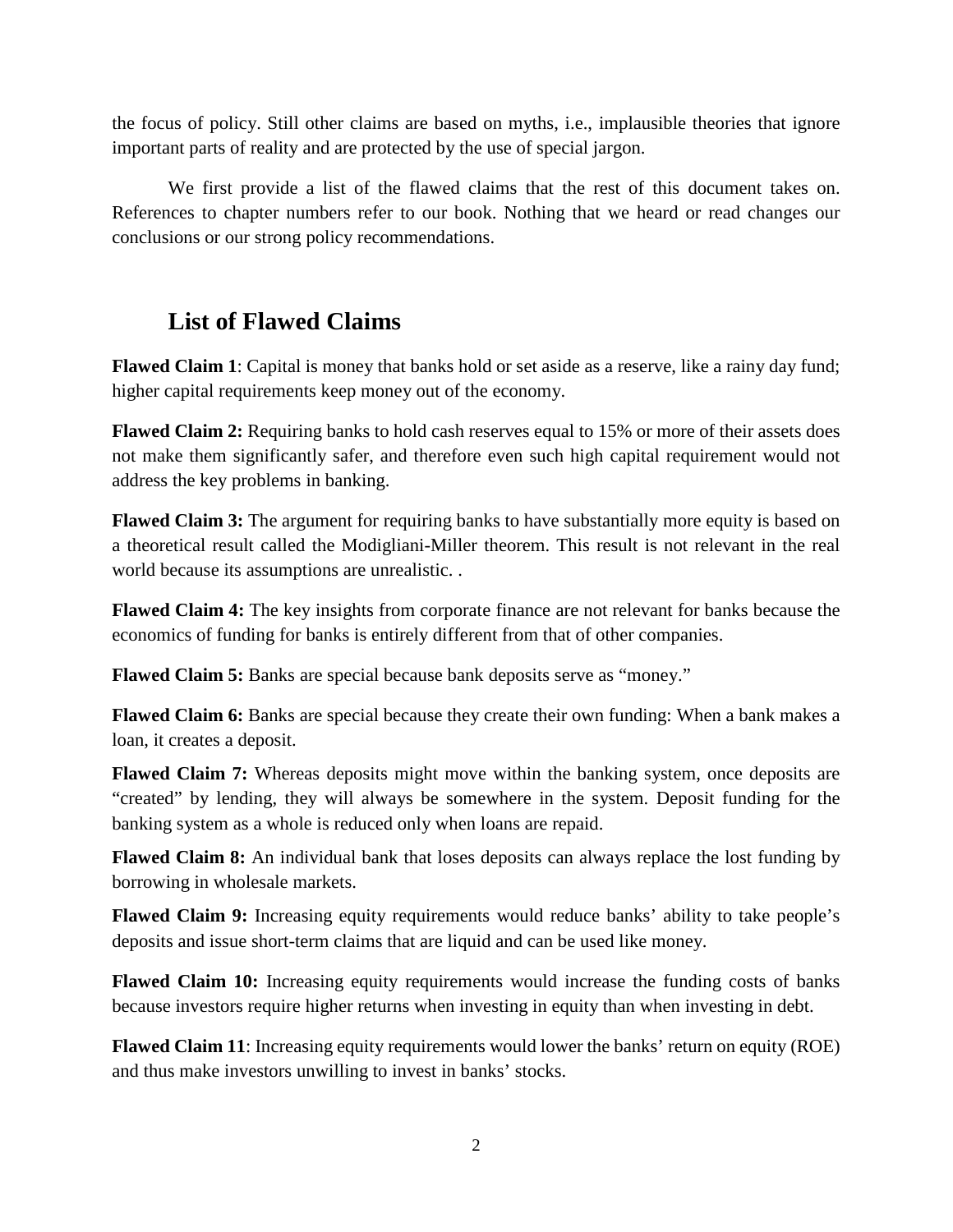the focus of policy. Still other claims are based on myths, i.e., implausible theories that ignore important parts of reality and are protected by the use of special jargon.

We first provide a list of the flawed claims that the rest of this document takes on. References to chapter numbers refer to our book. Nothing that we heard or read changes our conclusions or our strong policy recommendations.

## **List of Flawed Claims**

**Flawed Claim 1**: Capital is money that banks hold or set aside as a reserve, like a rainy day fund; higher capital requirements keep money out of the economy.

**Flawed Claim 2:** Requiring banks to hold cash reserves equal to 15% or more of their assets does not make them significantly safer, and therefore even such high capital requirement would not address the key problems in banking.

**Flawed Claim 3:** The argument for requiring banks to have substantially more equity is based on a theoretical result called the Modigliani-Miller theorem. This result is not relevant in the real world because its assumptions are unrealistic. .

**Flawed Claim 4:** The key insights from corporate finance are not relevant for banks because the economics of funding for banks is entirely different from that of other companies.

**Flawed Claim 5:** Banks are special because bank deposits serve as "money."

**Flawed Claim 6:** Banks are special because they create their own funding: When a bank makes a loan, it creates a deposit.

**Flawed Claim 7:** Whereas deposits might move within the banking system, once deposits are "created" by lending, they will always be somewhere in the system. Deposit funding for the banking system as a whole is reduced only when loans are repaid.

**Flawed Claim 8:** An individual bank that loses deposits can always replace the lost funding by borrowing in wholesale markets.

**Flawed Claim 9:** Increasing equity requirements would reduce banks' ability to take people's deposits and issue short-term claims that are liquid and can be used like money.

**Flawed Claim 10:** Increasing equity requirements would increase the funding costs of banks because investors require higher returns when investing in equity than when investing in debt.

**Flawed Claim 11**: Increasing equity requirements would lower the banks' return on equity (ROE) and thus make investors unwilling to invest in banks' stocks.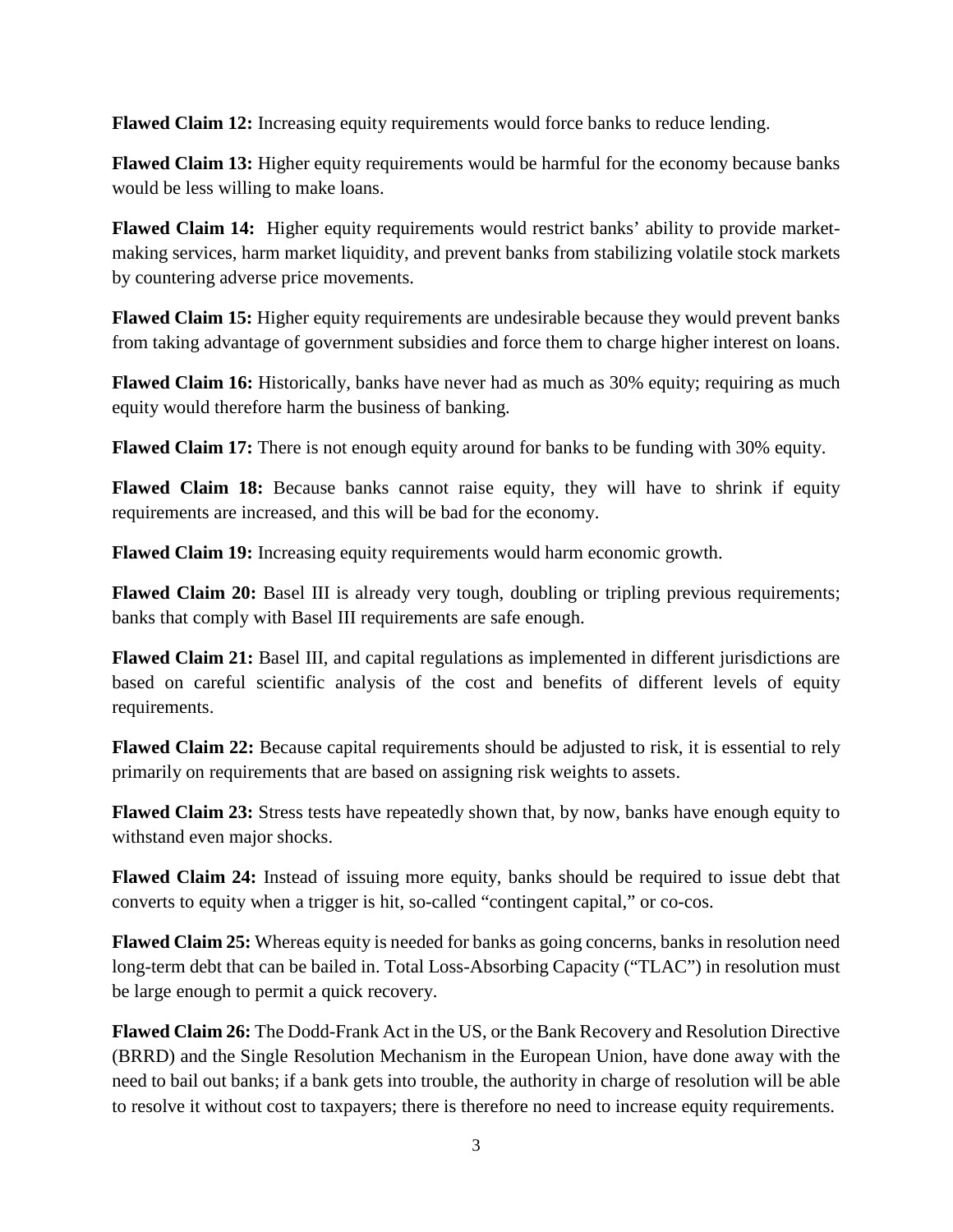**Flawed Claim 12:** Increasing equity requirements would force banks to reduce lending.

**Flawed Claim 13:** Higher equity requirements would be harmful for the economy because banks would be less willing to make loans.

**Flawed Claim 14:** Higher equity requirements would restrict banks' ability to provide marketmaking services, harm market liquidity, and prevent banks from stabilizing volatile stock markets by countering adverse price movements.

**Flawed Claim 15:** Higher equity requirements are undesirable because they would prevent banks from taking advantage of government subsidies and force them to charge higher interest on loans.

**Flawed Claim 16:** Historically, banks have never had as much as 30% equity; requiring as much equity would therefore harm the business of banking.

**Flawed Claim 17:** There is not enough equity around for banks to be funding with 30% equity.

**Flawed Claim 18:** Because banks cannot raise equity, they will have to shrink if equity requirements are increased, and this will be bad for the economy.

**Flawed Claim 19:** Increasing equity requirements would harm economic growth.

**Flawed Claim 20:** Basel III is already very tough, doubling or tripling previous requirements; banks that comply with Basel III requirements are safe enough.

**Flawed Claim 21:** Basel III, and capital regulations as implemented in different jurisdictions are based on careful scientific analysis of the cost and benefits of different levels of equity requirements.

**Flawed Claim 22:** Because capital requirements should be adjusted to risk, it is essential to rely primarily on requirements that are based on assigning risk weights to assets.

**Flawed Claim 23:** Stress tests have repeatedly shown that, by now, banks have enough equity to withstand even major shocks.

**Flawed Claim 24:** Instead of issuing more equity, banks should be required to issue debt that converts to equity when a trigger is hit, so-called "contingent capital," or co-cos.

**Flawed Claim 25:** Whereas equity is needed for banks as going concerns, banks in resolution need long-term debt that can be bailed in. Total Loss-Absorbing Capacity ("TLAC") in resolution must be large enough to permit a quick recovery.

**Flawed Claim 26:** The Dodd-Frank Act in the US, or the Bank Recovery and Resolution Directive (BRRD) and the Single Resolution Mechanism in the European Union, have done away with the need to bail out banks; if a bank gets into trouble, the authority in charge of resolution will be able to resolve it without cost to taxpayers; there is therefore no need to increase equity requirements.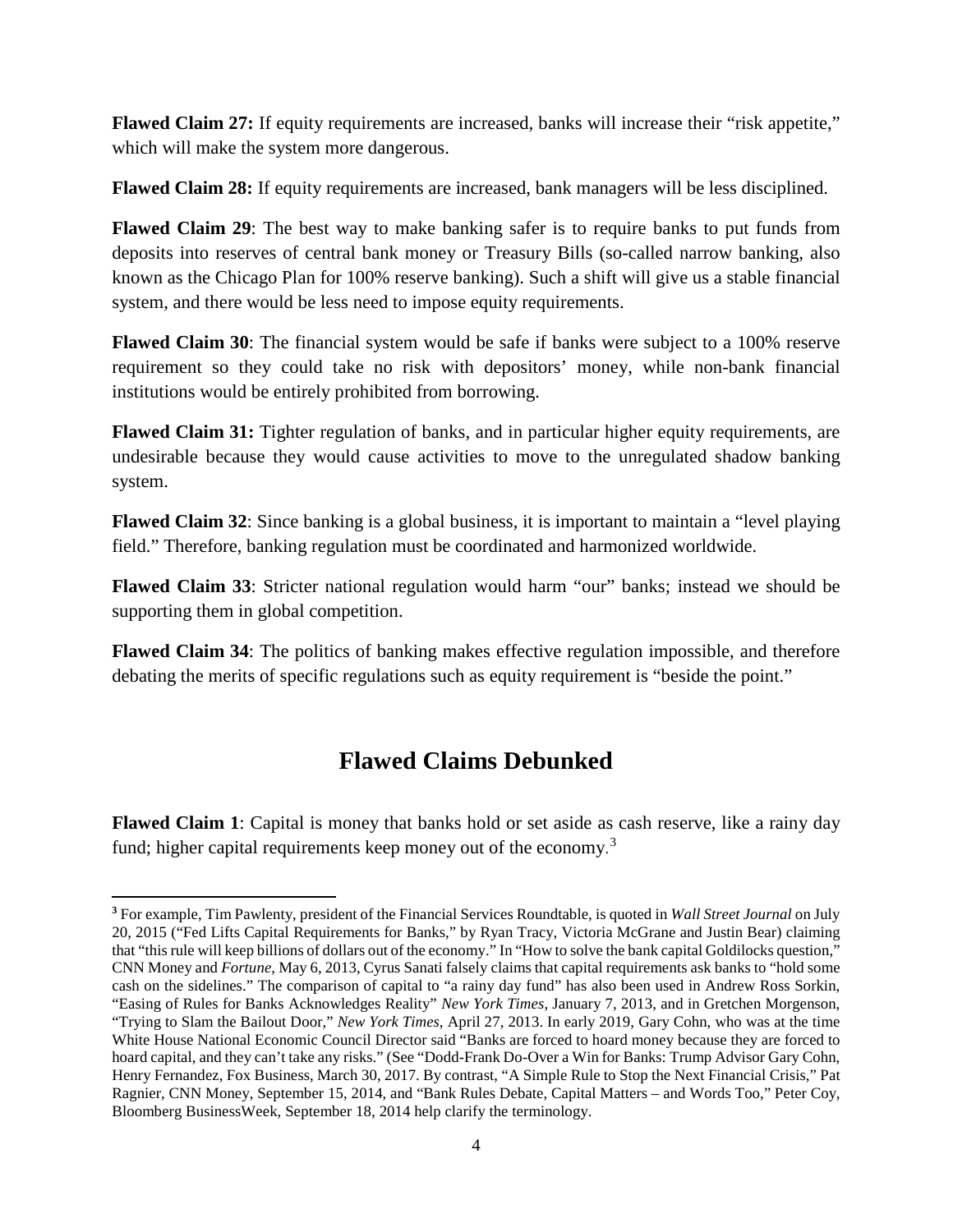**Flawed Claim 27:** If equity requirements are increased, banks will increase their "risk appetite," which will make the system more dangerous.

**Flawed Claim 28:** If equity requirements are increased, bank managers will be less disciplined.

**Flawed Claim 29**: The best way to make banking safer is to require banks to put funds from deposits into reserves of central bank money or Treasury Bills (so-called narrow banking, also known as the Chicago Plan for 100% reserve banking). Such a shift will give us a stable financial system, and there would be less need to impose equity requirements.

**Flawed Claim 30**: The financial system would be safe if banks were subject to a 100% reserve requirement so they could take no risk with depositors' money, while non-bank financial institutions would be entirely prohibited from borrowing.

**Flawed Claim 31:** Tighter regulation of banks, and in particular higher equity requirements, are undesirable because they would cause activities to move to the unregulated shadow banking system.

**Flawed Claim 32**: Since banking is a global business, it is important to maintain a "level playing field." Therefore, banking regulation must be coordinated and harmonized worldwide.

**Flawed Claim 33**: Stricter national regulation would harm "our" banks; instead we should be supporting them in global competition.

**Flawed Claim 34**: The politics of banking makes effective regulation impossible, and therefore debating the merits of specific regulations such as equity requirement is "beside the point."

## **Flawed Claims Debunked**

**Flawed Claim 1**: Capital is money that banks hold or set aside as cash reserve, like a rainy day fund; higher capital requirements keep money out of the economy.<sup>[3](#page-3-0)</sup>

 $\overline{a}$ 

<span id="page-3-0"></span>**<sup>3</sup>** For example, [Tim Pawlenty,](http://topics.wsj.com/person/P/Tim-Pawlenty/6589) president of the Financial Services Roundtable, is quoted in *Wall Street Journal* on July 20, 2015 ("Fed Lifts Capital Requirements for Banks," by Ryan Tracy, Victoria McGrane and Justin Bear) claiming that "this rule will keep billions of dollars out of the economy." In "How to solve the bank capital Goldilocks question," CNN Money and *Fortune*, May 6, 2013, Cyrus Sanati falsely claims that capital requirements ask banks to "hold some cash on the sidelines." The comparison of capital to "a rainy day fund" has also been used in Andrew Ross Sorkin, "Easing of Rules for Banks Acknowledges Reality" *New York Times*, January 7, 2013, and in Gretchen Morgenson, "Trying to Slam the Bailout Door," *New York Times*, April 27, 2013. In early 2019, Gary Cohn, who was at the time White House National Economic Council Director said "Banks are forced to hoard money because they are forced to hoard capital, and they can't take any risks." (See "Dodd-Frank Do-Over a Win for Banks: Trump Advisor Gary Cohn, Henry Fernandez, Fox Business, March 30, 2017. By contrast, "A Simple Rule to Stop the Next Financial Crisis," Pat Ragnier, CNN Money, September 15, 2014, and "Bank Rules Debate, Capital Matters – and Words Too," Peter Coy, Bloomberg BusinessWeek, September 18, 2014 help clarify the terminology.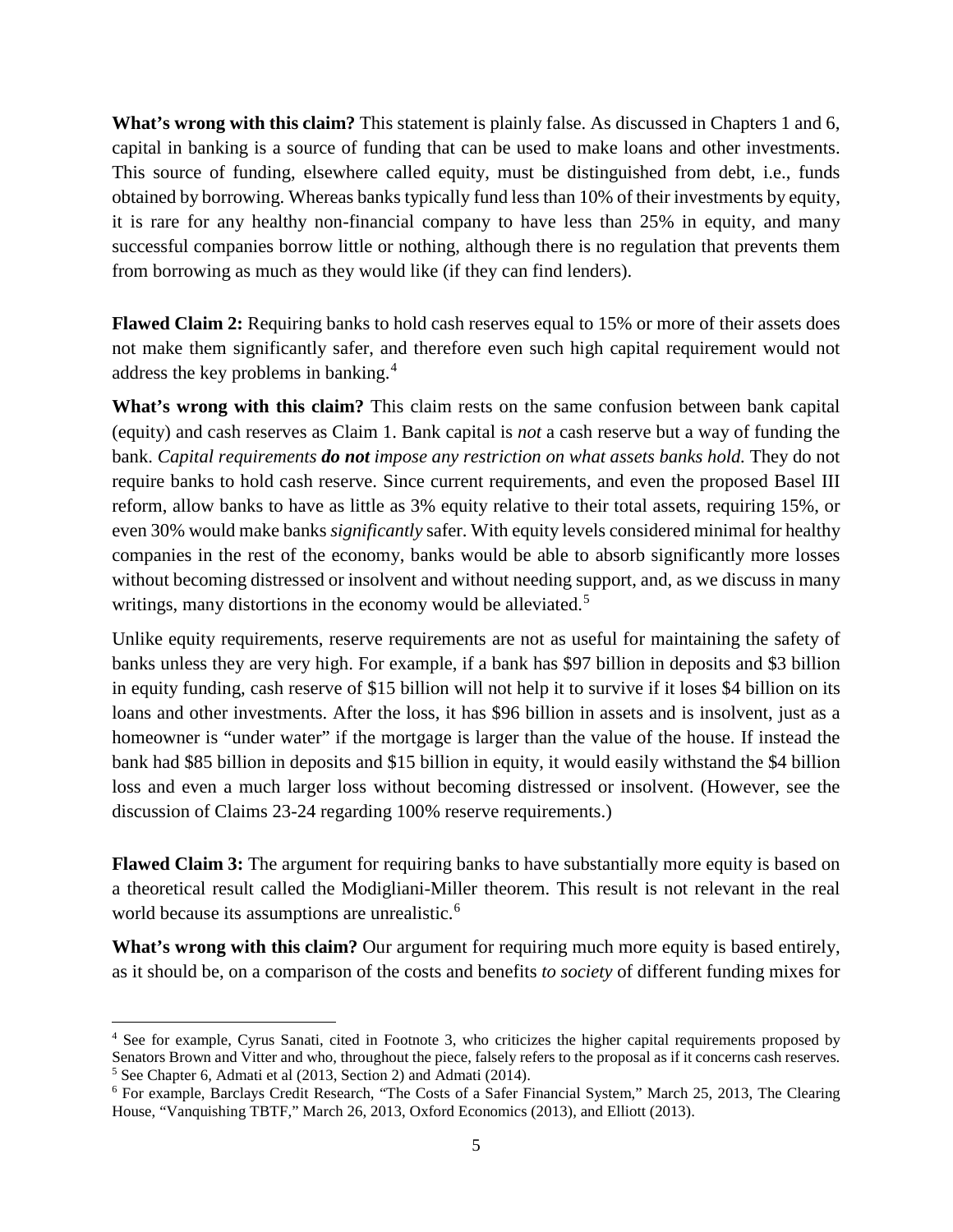**What's wrong with this claim?** This statement is plainly false. As discussed in Chapters 1 and 6, capital in banking is a source of funding that can be used to make loans and other investments. This source of funding, elsewhere called equity, must be distinguished from debt, i.e., funds obtained by borrowing. Whereas banks typically fund less than 10% of their investments by equity, it is rare for any healthy non-financial company to have less than 25% in equity, and many successful companies borrow little or nothing, although there is no regulation that prevents them from borrowing as much as they would like (if they can find lenders).

**Flawed Claim 2:** Requiring banks to hold cash reserves equal to 15% or more of their assets does not make them significantly safer, and therefore even such high capital requirement would not address the key problems in banking. [4](#page-4-0)

**What's wrong with this claim?** This claim rests on the same confusion between bank capital (equity) and cash reserves as Claim 1. Bank capital is *not* a cash reserve but a way of funding the bank. *Capital requirements do not impose any restriction on what assets banks hold.* They do not require banks to hold cash reserve. Since current requirements, and even the proposed Basel III reform, allow banks to have as little as 3% equity relative to their total assets, requiring 15%, or even 30% would make banks *significantly* safer. With equity levels considered minimal for healthy companies in the rest of the economy, banks would be able to absorb significantly more losses without becoming distressed or insolvent and without needing support, and, as we discuss in many writings, many distortions in the economy would be alleviated.<sup>[5](#page-4-1)</sup>

Unlike equity requirements, reserve requirements are not as useful for maintaining the safety of banks unless they are very high. For example, if a bank has \$97 billion in deposits and \$3 billion in equity funding, cash reserve of \$15 billion will not help it to survive if it loses \$4 billion on its loans and other investments. After the loss, it has \$96 billion in assets and is insolvent, just as a homeowner is "under water" if the mortgage is larger than the value of the house. If instead the bank had \$85 billion in deposits and \$15 billion in equity, it would easily withstand the \$4 billion loss and even a much larger loss without becoming distressed or insolvent. (However, see the discussion of Claims 23-24 regarding 100% reserve requirements.)

**Flawed Claim 3:** The argument for requiring banks to have substantially more equity is based on a theoretical result called the Modigliani-Miller theorem. This result is not relevant in the real world because its assumptions are unrealistic.<sup>[6](#page-4-2)</sup>

**What's wrong with this claim?** Our argument for requiring much more equity is based entirely, as it should be, on a comparison of the costs and benefits *to society* of different funding mixes for

<span id="page-4-0"></span><sup>4</sup> See for example, Cyrus Sanati, cited in Footnote 3, who criticizes the higher capital requirements proposed by Senators Brown and Vitter and who, throughout the piece, falsely refers to the proposal as if it concerns cash reserves.<br><sup>5</sup> See Chapter 6, Admati et al (2013, Section 2) and Admati (2014).

<span id="page-4-2"></span><span id="page-4-1"></span><sup>6</sup> For example, Barclays Credit Research, "The Costs of a Safer Financial System," March 25, 2013, The Clearing House, "Vanquishing TBTF," March 26, 2013, Oxford Economics (2013), and Elliott (2013).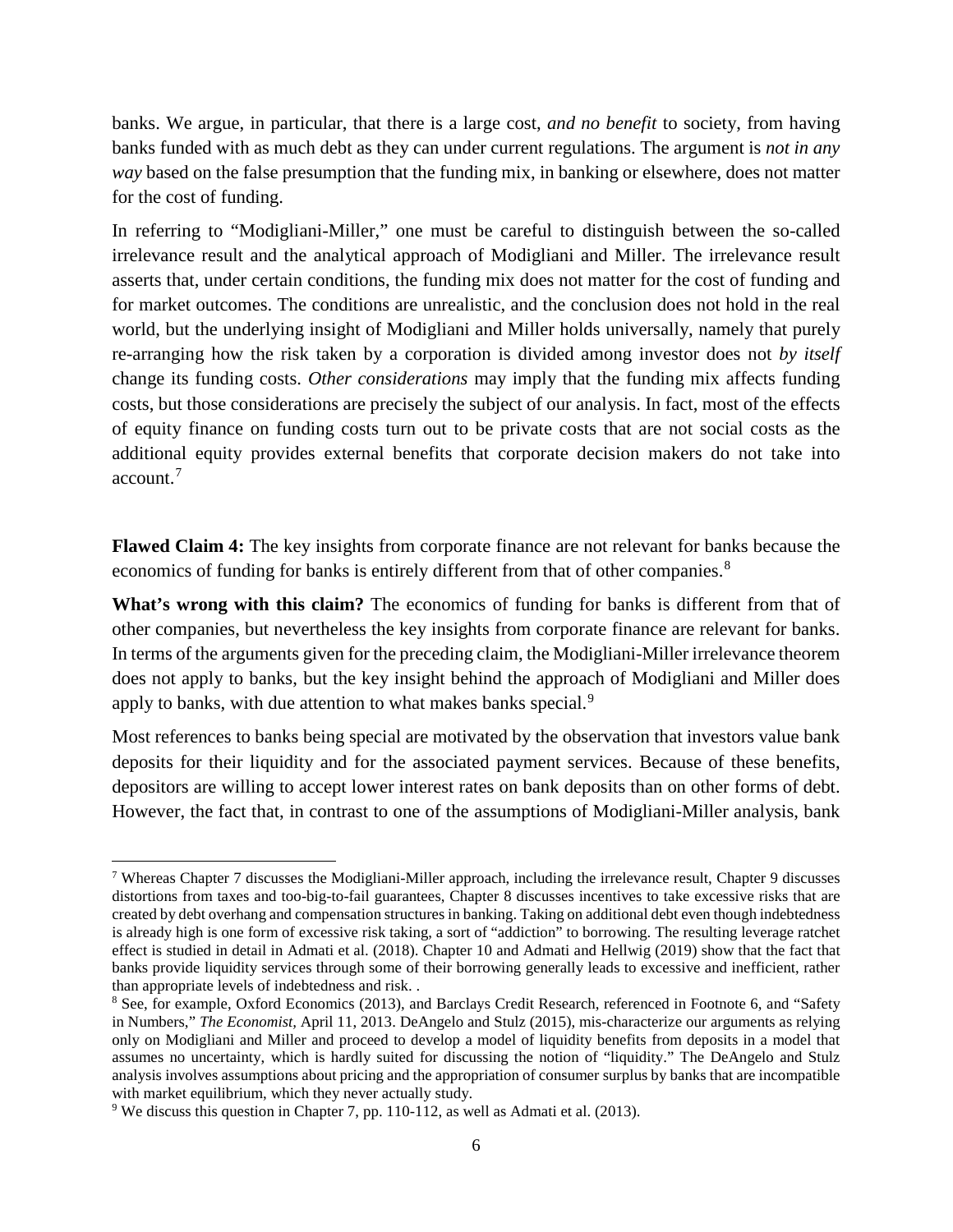banks. We argue, in particular, that there is a large cost, *and no benefit* to society, from having banks funded with as much debt as they can under current regulations. The argument is *not in any way* based on the false presumption that the funding mix, in banking or elsewhere, does not matter for the cost of funding.

In referring to "Modigliani-Miller," one must be careful to distinguish between the so-called irrelevance result and the analytical approach of Modigliani and Miller. The irrelevance result asserts that, under certain conditions, the funding mix does not matter for the cost of funding and for market outcomes. The conditions are unrealistic, and the conclusion does not hold in the real world, but the underlying insight of Modigliani and Miller holds universally, namely that purely re-arranging how the risk taken by a corporation is divided among investor does not *by itself* change its funding costs. *Other considerations* may imply that the funding mix affects funding costs, but those considerations are precisely the subject of our analysis. In fact, most of the effects of equity finance on funding costs turn out to be private costs that are not social costs as the additional equity provides external benefits that corporate decision makers do not take into account. [7](#page-5-0)

**Flawed Claim 4:** The key insights from corporate finance are not relevant for banks because the economics of funding for banks is entirely different from that of other companies.<sup>[8](#page-5-1)</sup>

**What's wrong with this claim?** The economics of funding for banks is different from that of other companies, but nevertheless the key insights from corporate finance are relevant for banks. In terms of the arguments given for the preceding claim, the Modigliani-Miller irrelevance theorem does not apply to banks, but the key insight behind the approach of Modigliani and Miller does apply to banks, with due attention to what makes banks special.<sup>[9](#page-5-2)</sup>

Most references to banks being special are motivated by the observation that investors value bank deposits for their liquidity and for the associated payment services. Because of these benefits, depositors are willing to accept lower interest rates on bank deposits than on other forms of debt. However, the fact that, in contrast to one of the assumptions of Modigliani-Miller analysis, bank

<span id="page-5-0"></span><sup>7</sup> Whereas Chapter 7 discusses the Modigliani-Miller approach, including the irrelevance result, Chapter 9 discusses distortions from taxes and too-big-to-fail guarantees, Chapter 8 discusses incentives to take excessive risks that are created by debt overhang and compensation structures in banking. Taking on additional debt even though indebtedness is already high is one form of excessive risk taking, a sort of "addiction" to borrowing. The resulting leverage ratchet effect is studied in detail in Admati et al. (2018). Chapter 10 and Admati and Hellwig (2019) show that the fact that banks provide liquidity services through some of their borrowing generally leads to excessive and inefficient, rather than appropriate levels of indebtedness and risk. .

<span id="page-5-1"></span><sup>8</sup> See, for example, Oxford Economics (2013), and Barclays Credit Research, referenced in Footnote 6, and "Safety in Numbers," *The Economist,* April 11, 2013. DeAngelo and Stulz (2015), mis-characterize our arguments as relying only on Modigliani and Miller and proceed to develop a model of liquidity benefits from deposits in a model that assumes no uncertainty, which is hardly suited for discussing the notion of "liquidity." The DeAngelo and Stulz analysis involves assumptions about pricing and the appropriation of consumer surplus by banks that are incompatible with market equilibrium, which they never actually study.

<span id="page-5-2"></span><sup>&</sup>lt;sup>9</sup> We discuss this question in Chapter 7, pp. 110-112, as well as Admati et al. (2013).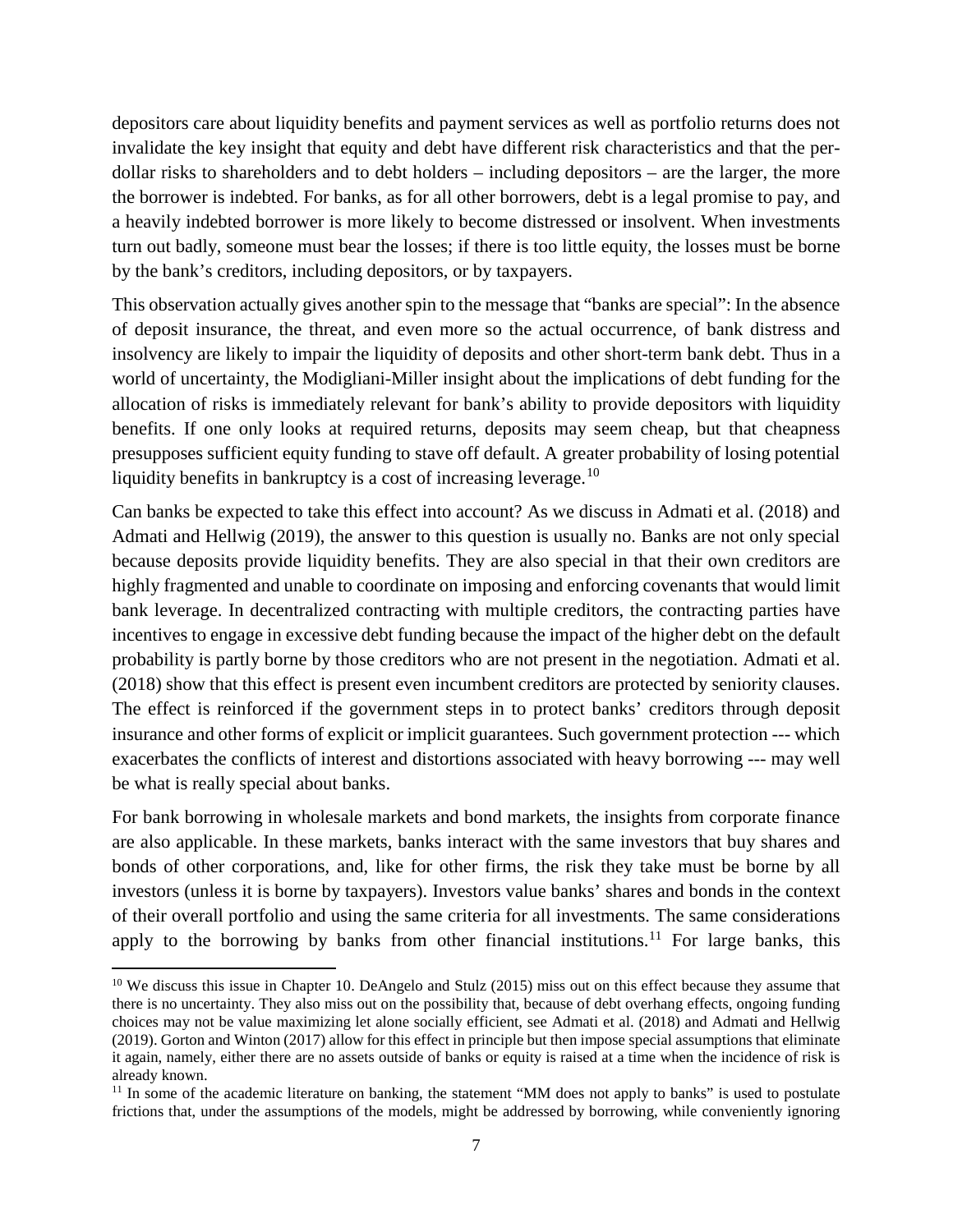depositors care about liquidity benefits and payment services as well as portfolio returns does not invalidate the key insight that equity and debt have different risk characteristics and that the perdollar risks to shareholders and to debt holders – including depositors – are the larger, the more the borrower is indebted. For banks, as for all other borrowers, debt is a legal promise to pay, and a heavily indebted borrower is more likely to become distressed or insolvent. When investments turn out badly, someone must bear the losses; if there is too little equity, the losses must be borne by the bank's creditors, including depositors, or by taxpayers.

This observation actually gives another spin to the message that "banks are special": In the absence of deposit insurance, the threat, and even more so the actual occurrence, of bank distress and insolvency are likely to impair the liquidity of deposits and other short-term bank debt. Thus in a world of uncertainty, the Modigliani-Miller insight about the implications of debt funding for the allocation of risks is immediately relevant for bank's ability to provide depositors with liquidity benefits. If one only looks at required returns, deposits may seem cheap, but that cheapness presupposes sufficient equity funding to stave off default. A greater probability of losing potential liquidity benefits in bankruptcy is a cost of increasing leverage.<sup>[10](#page-6-0)</sup>

Can banks be expected to take this effect into account? As we discuss in Admati et al. (2018) and Admati and Hellwig (2019), the answer to this question is usually no. Banks are not only special because deposits provide liquidity benefits. They are also special in that their own creditors are highly fragmented and unable to coordinate on imposing and enforcing covenants that would limit bank leverage. In decentralized contracting with multiple creditors, the contracting parties have incentives to engage in excessive debt funding because the impact of the higher debt on the default probability is partly borne by those creditors who are not present in the negotiation. Admati et al. (2018) show that this effect is present even incumbent creditors are protected by seniority clauses. The effect is reinforced if the government steps in to protect banks' creditors through deposit insurance and other forms of explicit or implicit guarantees. Such government protection --- which exacerbates the conflicts of interest and distortions associated with heavy borrowing --- may well be what is really special about banks.

For bank borrowing in wholesale markets and bond markets, the insights from corporate finance are also applicable. In these markets, banks interact with the same investors that buy shares and bonds of other corporations, and, like for other firms, the risk they take must be borne by all investors (unless it is borne by taxpayers). Investors value banks' shares and bonds in the context of their overall portfolio and using the same criteria for all investments. The same considerations apply to the borrowing by banks from other financial institutions.<sup>[11](#page-6-1)</sup> For large banks, this

<span id="page-6-0"></span><sup>&</sup>lt;sup>10</sup> We discuss this issue in Chapter 10. DeAngelo and Stulz (2015) miss out on this effect because they assume that there is no uncertainty. They also miss out on the possibility that, because of debt overhang effects, ongoing funding choices may not be value maximizing let alone socially efficient, see Admati et al. (2018) and Admati and Hellwig (2019). Gorton and Winton (2017) allow for this effect in principle but then impose special assumptions that eliminate it again, namely, either there are no assets outside of banks or equity is raised at a time when the incidence of risk is already known.

<span id="page-6-1"></span><sup>&</sup>lt;sup>11</sup> In some of the academic literature on banking, the statement "MM does not apply to banks" is used to postulate frictions that, under the assumptions of the models, might be addressed by borrowing, while conveniently ignoring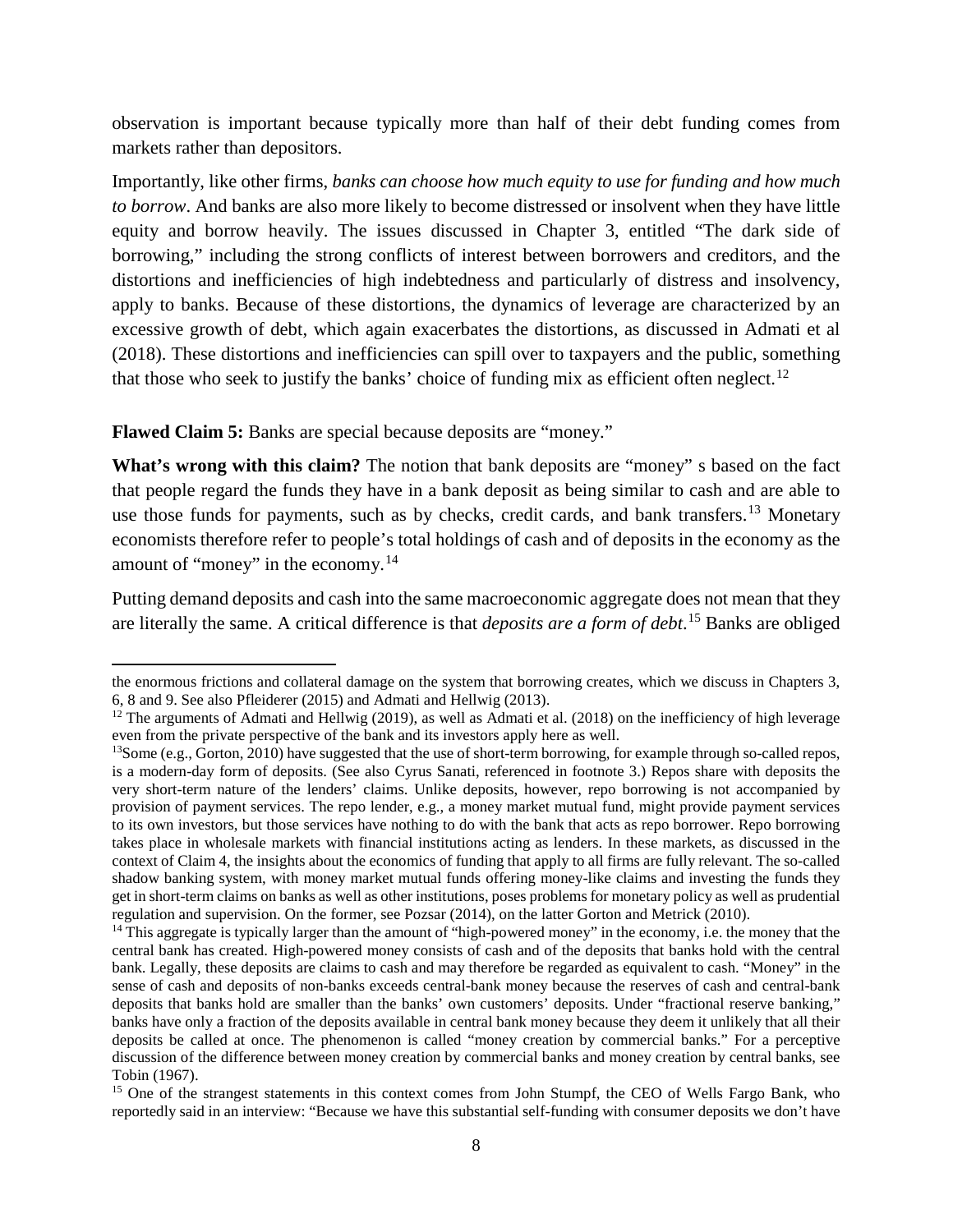observation is important because typically more than half of their debt funding comes from markets rather than depositors.

Importantly, like other firms, *banks can choose how much equity to use for funding and how much to borrow*. And banks are also more likely to become distressed or insolvent when they have little equity and borrow heavily. The issues discussed in Chapter 3, entitled "The dark side of borrowing," including the strong conflicts of interest between borrowers and creditors, and the distortions and inefficiencies of high indebtedness and particularly of distress and insolvency, apply to banks. Because of these distortions, the dynamics of leverage are characterized by an excessive growth of debt, which again exacerbates the distortions, as discussed in Admati et al (2018). These distortions and inefficiencies can spill over to taxpayers and the public, something that those who seek to justify the banks' choice of funding mix as efficient often neglect.<sup>[12](#page-7-0)</sup>

**Flawed Claim 5:** Banks are special because deposits are "money."

l

**What's wrong with this claim?** The notion that bank deposits are "money" s based on the fact that people regard the funds they have in a bank deposit as being similar to cash and are able to use those funds for payments, such as by checks, credit cards, and bank transfers.<sup>[13](#page-7-1)</sup> Monetary economists therefore refer to people's total holdings of cash and of deposits in the economy as the amount of "money" in the economy.<sup>[14](#page-7-2)</sup>

Putting demand deposits and cash into the same macroeconomic aggregate does not mean that they are literally the same. A critical difference is that *deposits are a form of debt*. [15](#page-7-3) Banks are obliged

the enormous frictions and collateral damage on the system that borrowing creates, which we discuss in Chapters 3, 6, 8 and 9. See also Pfleiderer (2015) and Admati and Hellwig (2013).

<span id="page-7-0"></span> $12$  The arguments of Admati and Hellwig (2019), as well as Admati et al. (2018) on the inefficiency of high leverage even from the private perspective of the bank and its investors apply here as well.

<span id="page-7-1"></span><sup>&</sup>lt;sup>13</sup>Some (e.g., Gorton, 2010) have suggested that the use of short-term borrowing, for example through so-called repos, is a modern-day form of deposits. (See also Cyrus Sanati, referenced in footnote 3.) Repos share with deposits the very short-term nature of the lenders' claims. Unlike deposits, however, repo borrowing is not accompanied by provision of payment services. The repo lender, e.g., a money market mutual fund, might provide payment services to its own investors, but those services have nothing to do with the bank that acts as repo borrower. Repo borrowing takes place in wholesale markets with financial institutions acting as lenders. In these markets, as discussed in the context of Claim 4, the insights about the economics of funding that apply to all firms are fully relevant. The so-called shadow banking system, with money market mutual funds offering money-like claims and investing the funds they get in short-term claims on banks as well as other institutions, poses problems for monetary policy as well as prudential regulation and supervision. On the former, see Pozsar (2014), on the latter Gorton and Metrick (2010). 14 This aggregate is typically larger than the amount of "high-powered money" in the economy, i.e. the money that the

<span id="page-7-2"></span>central bank has created. High-powered money consists of cash and of the deposits that banks hold with the central bank. Legally, these deposits are claims to cash and may therefore be regarded as equivalent to cash. "Money" in the sense of cash and deposits of non-banks exceeds central-bank money because the reserves of cash and central-bank deposits that banks hold are smaller than the banks' own customers' deposits. Under "fractional reserve banking," banks have only a fraction of the deposits available in central bank money because they deem it unlikely that all their deposits be called at once. The phenomenon is called "money creation by commercial banks." For a perceptive discussion of the difference between money creation by commercial banks and money creation by central banks, see Tobin (1967).

<span id="page-7-3"></span><sup>&</sup>lt;sup>15</sup> One of the strangest statements in this context comes from John Stumpf, the CEO of Wells Fargo Bank, who reportedly said in an interview: "Because we have this substantial self-funding with consumer deposits we don't have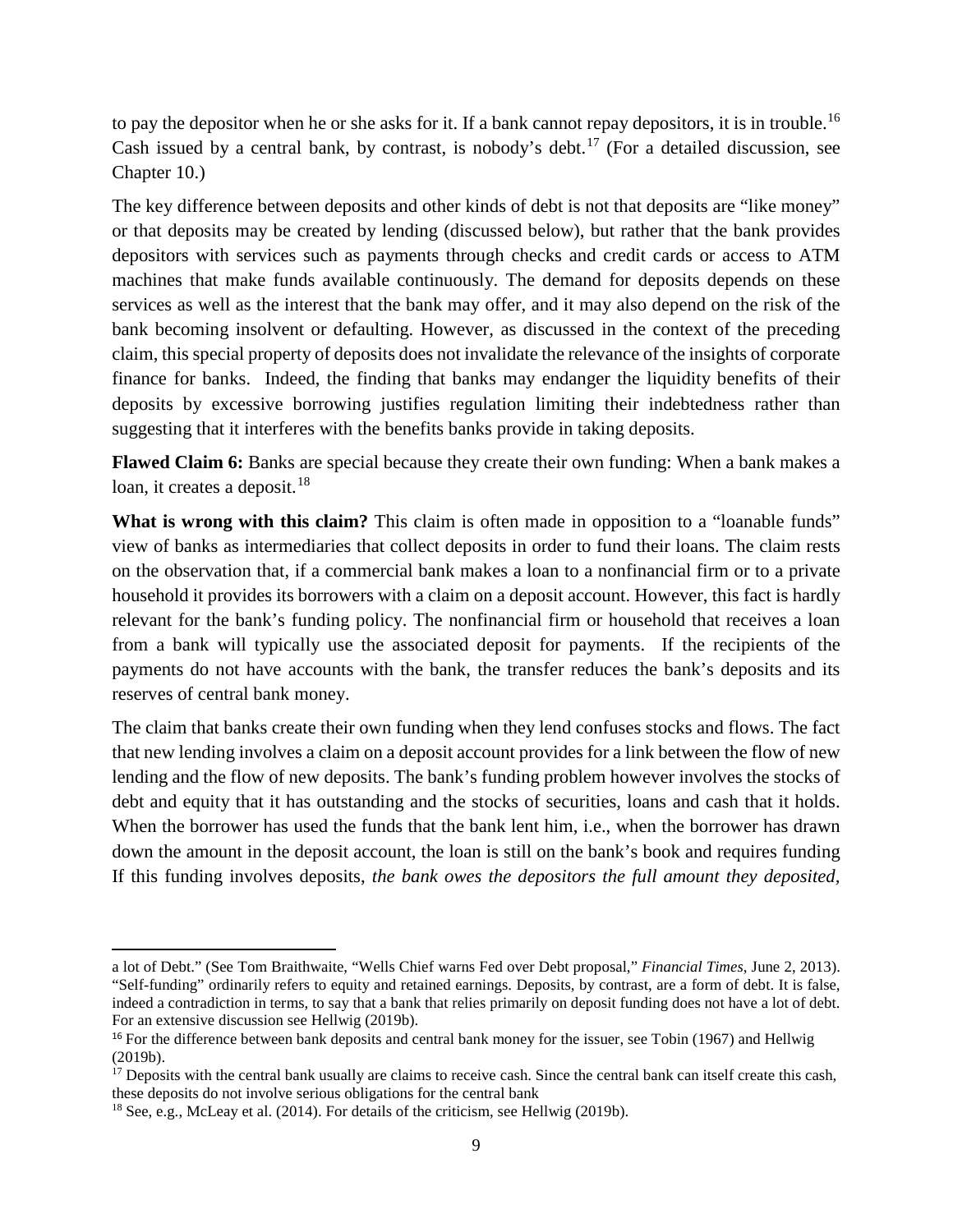to pay the depositor when he or she asks for it. If a bank cannot repay depositors, it is in trouble.<sup>[16](#page-8-0)</sup> Cash issued by a central bank, by contrast, is nobody's debt.<sup>[17](#page-8-1)</sup> (For a detailed discussion, see Chapter 10.)

The key difference between deposits and other kinds of debt is not that deposits are "like money" or that deposits may be created by lending (discussed below), but rather that the bank provides depositors with services such as payments through checks and credit cards or access to ATM machines that make funds available continuously. The demand for deposits depends on these services as well as the interest that the bank may offer, and it may also depend on the risk of the bank becoming insolvent or defaulting. However, as discussed in the context of the preceding claim, this special property of deposits does not invalidate the relevance of the insights of corporate finance for banks. Indeed, the finding that banks may endanger the liquidity benefits of their deposits by excessive borrowing justifies regulation limiting their indebtedness rather than suggesting that it interferes with the benefits banks provide in taking deposits.

**Flawed Claim 6:** Banks are special because they create their own funding: When a bank makes a loan, it creates a deposit.<sup>[18](#page-8-2)</sup>

What is wrong with this claim? This claim is often made in opposition to a "loanable funds" view of banks as intermediaries that collect deposits in order to fund their loans. The claim rests on the observation that, if a commercial bank makes a loan to a nonfinancial firm or to a private household it provides its borrowers with a claim on a deposit account. However, this fact is hardly relevant for the bank's funding policy. The nonfinancial firm or household that receives a loan from a bank will typically use the associated deposit for payments. If the recipients of the payments do not have accounts with the bank, the transfer reduces the bank's deposits and its reserves of central bank money.

The claim that banks create their own funding when they lend confuses stocks and flows. The fact that new lending involves a claim on a deposit account provides for a link between the flow of new lending and the flow of new deposits. The bank's funding problem however involves the stocks of debt and equity that it has outstanding and the stocks of securities, loans and cash that it holds. When the borrower has used the funds that the bank lent him, i.e., when the borrower has drawn down the amount in the deposit account, the loan is still on the bank's book and requires funding If this funding involves deposits, *the bank owes the depositors the full amount they deposited,*

l a lot of Debt." (See Tom Braithwaite, "Wells Chief warns Fed over Debt proposal," *Financial Times*, June 2, 2013). "Self-funding" ordinarily refers to equity and retained earnings. Deposits, by contrast, are a form of debt. It is false, indeed a contradiction in terms, to say that a bank that relies primarily on deposit funding does not have a lot of debt. For an extensive discussion see Hellwig (2019b).

<span id="page-8-0"></span><sup>&</sup>lt;sup>16</sup> For the difference between bank deposits and central bank money for the issuer, see Tobin (1967) and Hellwig (2019b).

<span id="page-8-1"></span> $17$  Deposits with the central bank usually are claims to receive cash. Since the central bank can itself create this cash, these deposits do not involve serious obligations for the central bank

<span id="page-8-2"></span><sup>&</sup>lt;sup>18</sup> See, e.g., McLeay et al. (2014). For details of the criticism, see Hellwig (2019b).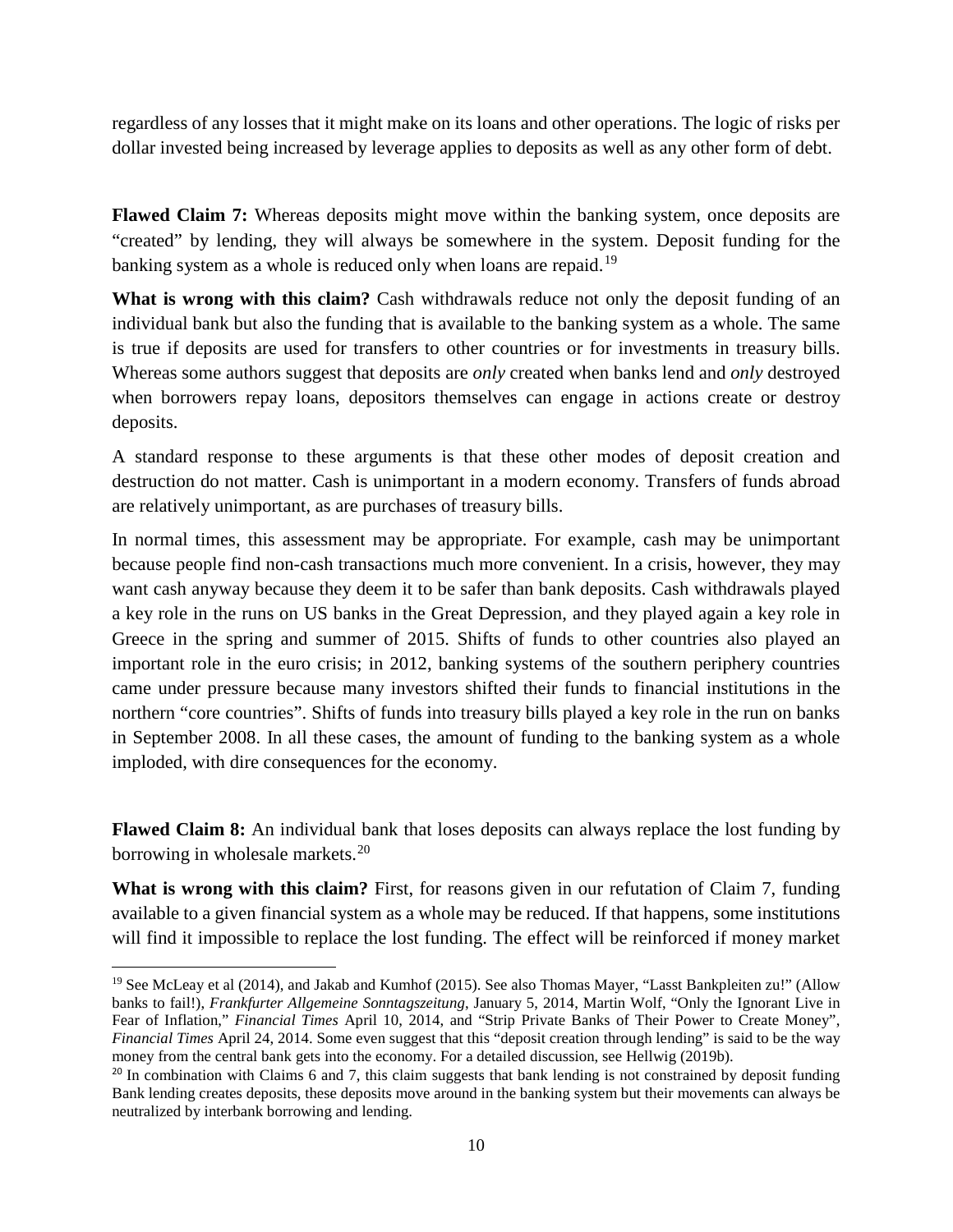regardless of any losses that it might make on its loans and other operations. The logic of risks per dollar invested being increased by leverage applies to deposits as well as any other form of debt.

**Flawed Claim 7:** Whereas deposits might move within the banking system, once deposits are "created" by lending, they will always be somewhere in the system. Deposit funding for the banking system as a whole is reduced only when loans are repaid.<sup>[19](#page-9-0)</sup>

**What is wrong with this claim?** Cash withdrawals reduce not only the deposit funding of an individual bank but also the funding that is available to the banking system as a whole. The same is true if deposits are used for transfers to other countries or for investments in treasury bills. Whereas some authors suggest that deposits are *only* created when banks lend and *only* destroyed when borrowers repay loans, depositors themselves can engage in actions create or destroy deposits.

A standard response to these arguments is that these other modes of deposit creation and destruction do not matter. Cash is unimportant in a modern economy. Transfers of funds abroad are relatively unimportant, as are purchases of treasury bills.

In normal times, this assessment may be appropriate. For example, cash may be unimportant because people find non-cash transactions much more convenient. In a crisis, however, they may want cash anyway because they deem it to be safer than bank deposits. Cash withdrawals played a key role in the runs on US banks in the Great Depression, and they played again a key role in Greece in the spring and summer of 2015. Shifts of funds to other countries also played an important role in the euro crisis; in 2012, banking systems of the southern periphery countries came under pressure because many investors shifted their funds to financial institutions in the northern "core countries". Shifts of funds into treasury bills played a key role in the run on banks in September 2008. In all these cases, the amount of funding to the banking system as a whole imploded, with dire consequences for the economy.

**Flawed Claim 8:** An individual bank that loses deposits can always replace the lost funding by borrowing in wholesale markets.<sup>[20](#page-9-1)</sup>

**What is wrong with this claim?** First, for reasons given in our refutation of Claim 7, funding available to a given financial system as a whole may be reduced. If that happens, some institutions will find it impossible to replace the lost funding. The effect will be reinforced if money market

<span id="page-9-0"></span><sup>&</sup>lt;sup>19</sup> See McLeay et al (2014), and Jakab and Kumhof (2015). See also Thomas Mayer, "Lasst Bankpleiten zu!" (Allow banks to fail!), *Frankfurter Allgemeine Sonntagszeitung*, January 5, 2014, Martin Wolf, "Only the Ignorant Live in Fear of Inflation," *Financial Times* April 10, 2014, and "Strip Private Banks of Their Power to Create Money", *Financial Times* April 24, 2014. Some even suggest that this "deposit creation through lending" is said to be the way money from the central bank gets into the economy. For a detailed discussion, see Hellwig (2019b).

<span id="page-9-1"></span> $^{20}$  In combination with Claims 6 and 7, this claim suggests that bank lending is not constrained by deposit funding Bank lending creates deposits, these deposits move around in the banking system but their movements can always be neutralized by interbank borrowing and lending.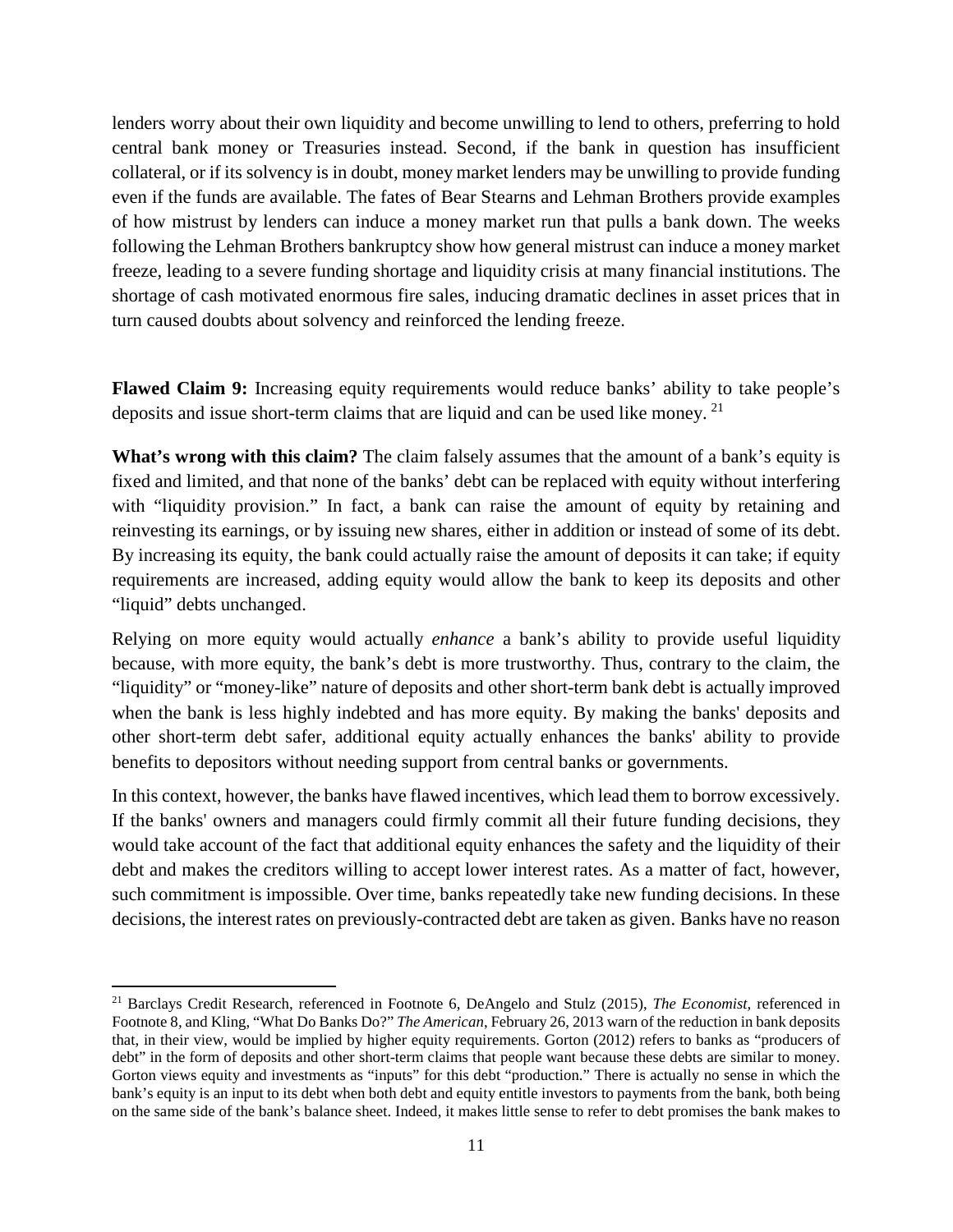lenders worry about their own liquidity and become unwilling to lend to others, preferring to hold central bank money or Treasuries instead. Second, if the bank in question has insufficient collateral, or if its solvency is in doubt, money market lenders may be unwilling to provide funding even if the funds are available. The fates of Bear Stearns and Lehman Brothers provide examples of how mistrust by lenders can induce a money market run that pulls a bank down. The weeks following the Lehman Brothers bankruptcy show how general mistrust can induce a money market freeze, leading to a severe funding shortage and liquidity crisis at many financial institutions. The shortage of cash motivated enormous fire sales, inducing dramatic declines in asset prices that in turn caused doubts about solvency and reinforced the lending freeze.

Flawed Claim 9: Increasing equity requirements would reduce banks' ability to take people's deposits and issue short-term claims that are liquid and can be used like money. [21](#page-10-0)

**What's wrong with this claim?** The claim falsely assumes that the amount of a bank's equity is fixed and limited, and that none of the banks' debt can be replaced with equity without interfering with "liquidity provision." In fact, a bank can raise the amount of equity by retaining and reinvesting its earnings, or by issuing new shares, either in addition or instead of some of its debt. By increasing its equity, the bank could actually raise the amount of deposits it can take; if equity requirements are increased, adding equity would allow the bank to keep its deposits and other "liquid" debts unchanged.

Relying on more equity would actually *enhance* a bank's ability to provide useful liquidity because, with more equity, the bank's debt is more trustworthy. Thus, contrary to the claim, the "liquidity" or "money-like" nature of deposits and other short-term bank debt is actually improved when the bank is less highly indebted and has more equity. By making the banks' deposits and other short-term debt safer, additional equity actually enhances the banks' ability to provide benefits to depositors without needing support from central banks or governments.

In this context, however, the banks have flawed incentives, which lead them to borrow excessively. If the banks' owners and managers could firmly commit all their future funding decisions, they would take account of the fact that additional equity enhances the safety and the liquidity of their debt and makes the creditors willing to accept lower interest rates. As a matter of fact, however, such commitment is impossible. Over time, banks repeatedly take new funding decisions. In these decisions, the interest rates on previously-contracted debt are taken as given. Banks have no reason

<span id="page-10-0"></span><sup>21</sup> Barclays Credit Research, referenced in Footnote 6, DeAngelo and Stulz (2015), *The Economist,* referenced in Footnote 8*,* and Kling, "What Do Banks Do?" *The American*, February 26, 2013 warn of the reduction in bank deposits that, in their view, would be implied by higher equity requirements. Gorton (2012) refers to banks as "producers of debt" in the form of deposits and other short-term claims that people want because these debts are similar to money. Gorton views equity and investments as "inputs" for this debt "production." There is actually no sense in which the bank's equity is an input to its debt when both debt and equity entitle investors to payments from the bank, both being on the same side of the bank's balance sheet. Indeed, it makes little sense to refer to debt promises the bank makes to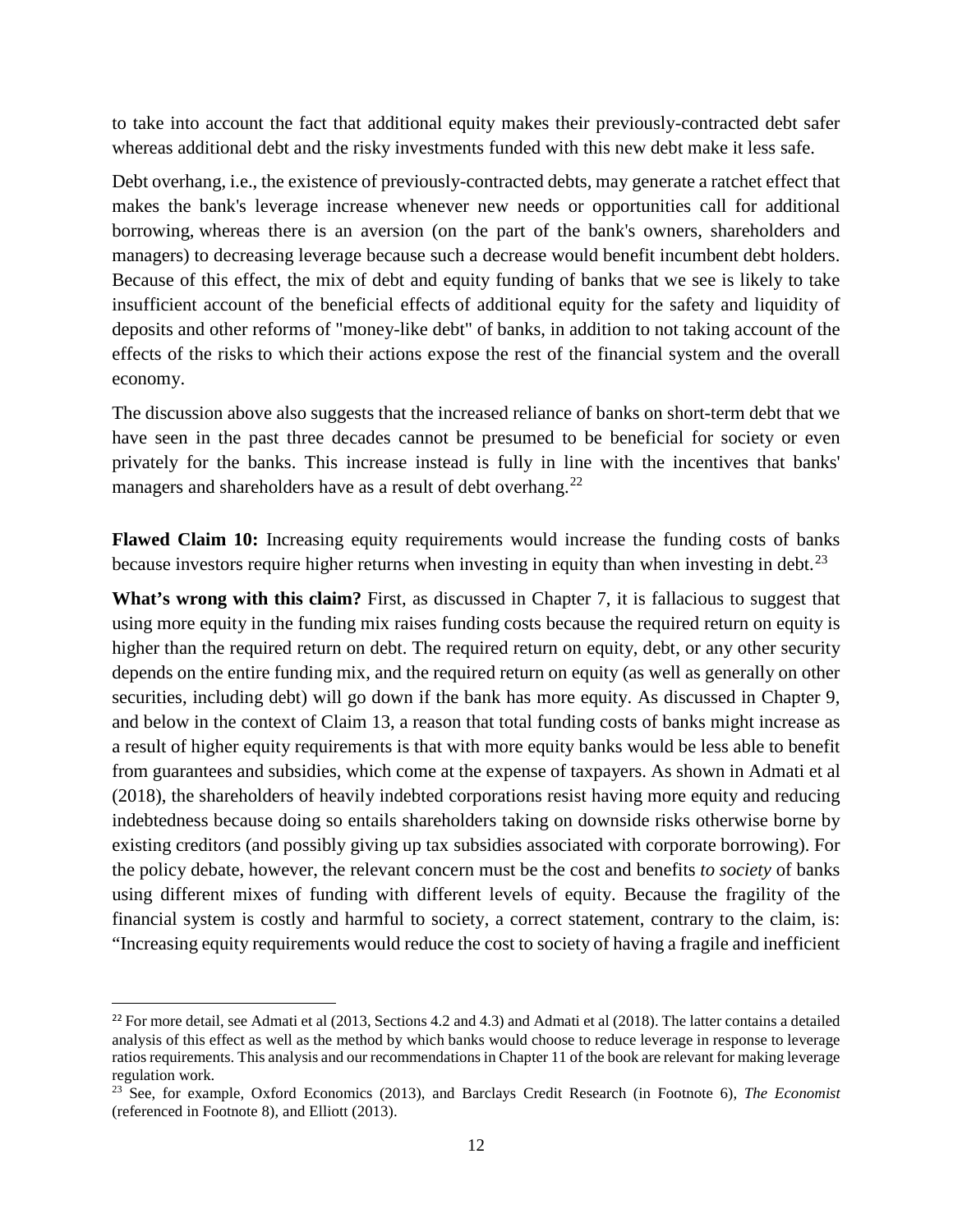to take into account the fact that additional equity makes their previously-contracted debt safer whereas additional debt and the risky investments funded with this new debt make it less safe.

Debt overhang, i.e., the existence of previously-contracted debts, may generate a ratchet effect that makes the bank's leverage increase whenever new needs or opportunities call for additional borrowing, whereas there is an aversion (on the part of the bank's owners, shareholders and managers) to decreasing leverage because such a decrease would benefit incumbent debt holders. Because of this effect, the mix of debt and equity funding of banks that we see is likely to take insufficient account of the beneficial effects of additional equity for the safety and liquidity of deposits and other reforms of "money-like debt" of banks, in addition to not taking account of the effects of the risks to which their actions expose the rest of the financial system and the overall economy.

The discussion above also suggests that the increased reliance of banks on short-term debt that we have seen in the past three decades cannot be presumed to be beneficial for society or even privately for the banks. This increase instead is fully in line with the incentives that banks' managers and shareholders have as a result of debt overhang.<sup>[22](#page-11-0)</sup>

**Flawed Claim 10:** Increasing equity requirements would increase the funding costs of banks because investors require higher returns when investing in equity than when investing in debt.<sup>[23](#page-11-1)</sup>

**What's wrong with this claim?** First, as discussed in Chapter 7, it is fallacious to suggest that using more equity in the funding mix raises funding costs because the required return on equity is higher than the required return on debt. The required return on equity, debt, or any other security depends on the entire funding mix, and the required return on equity (as well as generally on other securities, including debt) will go down if the bank has more equity. As discussed in Chapter 9, and below in the context of Claim 13, a reason that total funding costs of banks might increase as a result of higher equity requirements is that with more equity banks would be less able to benefit from guarantees and subsidies, which come at the expense of taxpayers. As shown in Admati et al (2018), the shareholders of heavily indebted corporations resist having more equity and reducing indebtedness because doing so entails shareholders taking on downside risks otherwise borne by existing creditors (and possibly giving up tax subsidies associated with corporate borrowing). For the policy debate, however, the relevant concern must be the cost and benefits *to society* of banks using different mixes of funding with different levels of equity. Because the fragility of the financial system is costly and harmful to society, a correct statement, contrary to the claim, is: "Increasing equity requirements would reduce the cost to society of having a fragile and inefficient

<span id="page-11-0"></span> $^{22}$  For more detail, see Admati et al (2013, Sections 4.2 and 4.3) and Admati et al (2018). The latter contains a detailed analysis of this effect as well as the method by which banks would choose to reduce leverage in response to leverage ratios requirements. This analysis and our recommendations in Chapter 11 of the book are relevant for making leverage regulation work.

<span id="page-11-1"></span><sup>23</sup> See, for example, Oxford Economics (2013), and Barclays Credit Research (in Footnote 6), *The Economist* (referenced in Footnote 8), and Elliott (2013).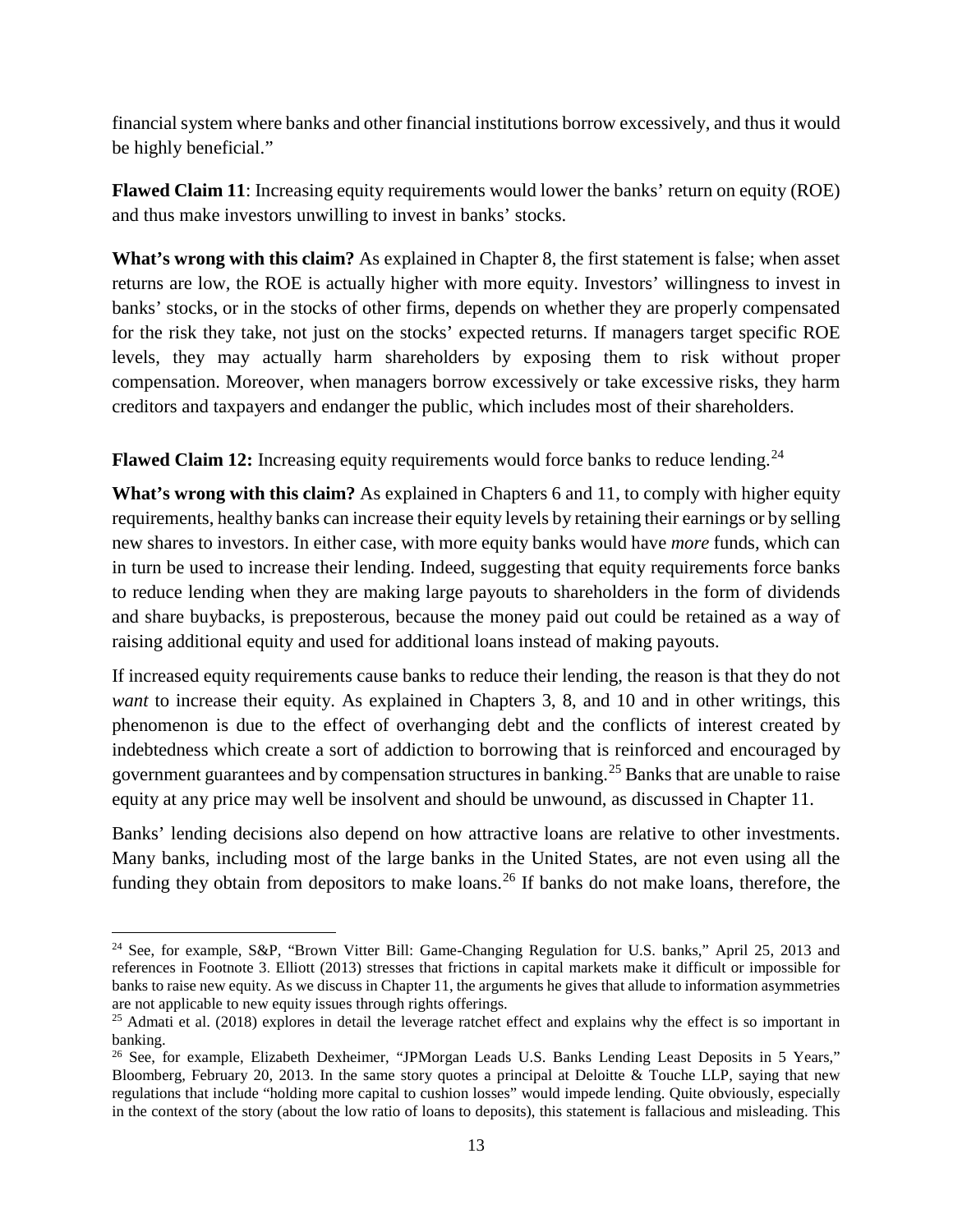financial system where banks and other financial institutions borrow excessively, and thus it would be highly beneficial."

**Flawed Claim 11**: Increasing equity requirements would lower the banks' return on equity (ROE) and thus make investors unwilling to invest in banks' stocks.

**What's wrong with this claim?** As explained in Chapter 8, the first statement is false; when asset returns are low, the ROE is actually higher with more equity. Investors' willingness to invest in banks' stocks, or in the stocks of other firms, depends on whether they are properly compensated for the risk they take, not just on the stocks' expected returns. If managers target specific ROE levels, they may actually harm shareholders by exposing them to risk without proper compensation. Moreover, when managers borrow excessively or take excessive risks, they harm creditors and taxpayers and endanger the public, which includes most of their shareholders.

Flawed Claim 12: Increasing equity requirements would force banks to reduce lending.<sup>[24](#page-12-0)</sup>

**What's wrong with this claim?** As explained in Chapters 6 and 11, to comply with higher equity requirements, healthy banks can increase their equity levels by retaining their earnings or by selling new shares to investors. In either case, with more equity banks would have *more* funds, which can in turn be used to increase their lending. Indeed, suggesting that equity requirements force banks to reduce lending when they are making large payouts to shareholders in the form of dividends and share buybacks, is preposterous, because the money paid out could be retained as a way of raising additional equity and used for additional loans instead of making payouts.

If increased equity requirements cause banks to reduce their lending, the reason is that they do not *want* to increase their equity. As explained in Chapters 3, 8, and 10 and in other writings, this phenomenon is due to the effect of overhanging debt and the conflicts of interest created by indebtedness which create a sort of addiction to borrowing that is reinforced and encouraged by government guarantees and by compensation structures in banking. [25](#page-12-1) Banks that are unable to raise equity at any price may well be insolvent and should be unwound, as discussed in Chapter 11.

Banks' lending decisions also depend on how attractive loans are relative to other investments. Many banks, including most of the large banks in the United States, are not even using all the funding they obtain from depositors to make loans.<sup>[26](#page-12-2)</sup> If banks do not make loans, therefore, the

<span id="page-12-0"></span><sup>&</sup>lt;sup>24</sup> See, for example, S&P, "Brown Vitter Bill: Game-Changing Regulation for U.S. banks," April 25, 2013 and references in Footnote 3. Elliott (2013) stresses that frictions in capital markets make it difficult or impossible for banks to raise new equity. As we discuss in Chapter 11, the arguments he gives that allude to information asymmetries

<span id="page-12-1"></span>are not applicable to new equity issues through rights offerings.<br><sup>25</sup> Admati et al. (2018) explores in detail the leverage ratchet effect and explains why the effect is so important in banking.

<span id="page-12-2"></span><sup>&</sup>lt;sup>26</sup> See, for example, Elizabeth Dexheimer, "JPMorgan Leads U.S. Banks Lending Least Deposits in 5 Years," Bloomberg, February 20, 2013. In the same story quotes a principal at Deloitte & Touche LLP, saying that new regulations that include "holding more capital to cushion losses" would impede lending. Quite obviously, especially in the context of the story (about the low ratio of loans to deposits), this statement is fallacious and misleading. This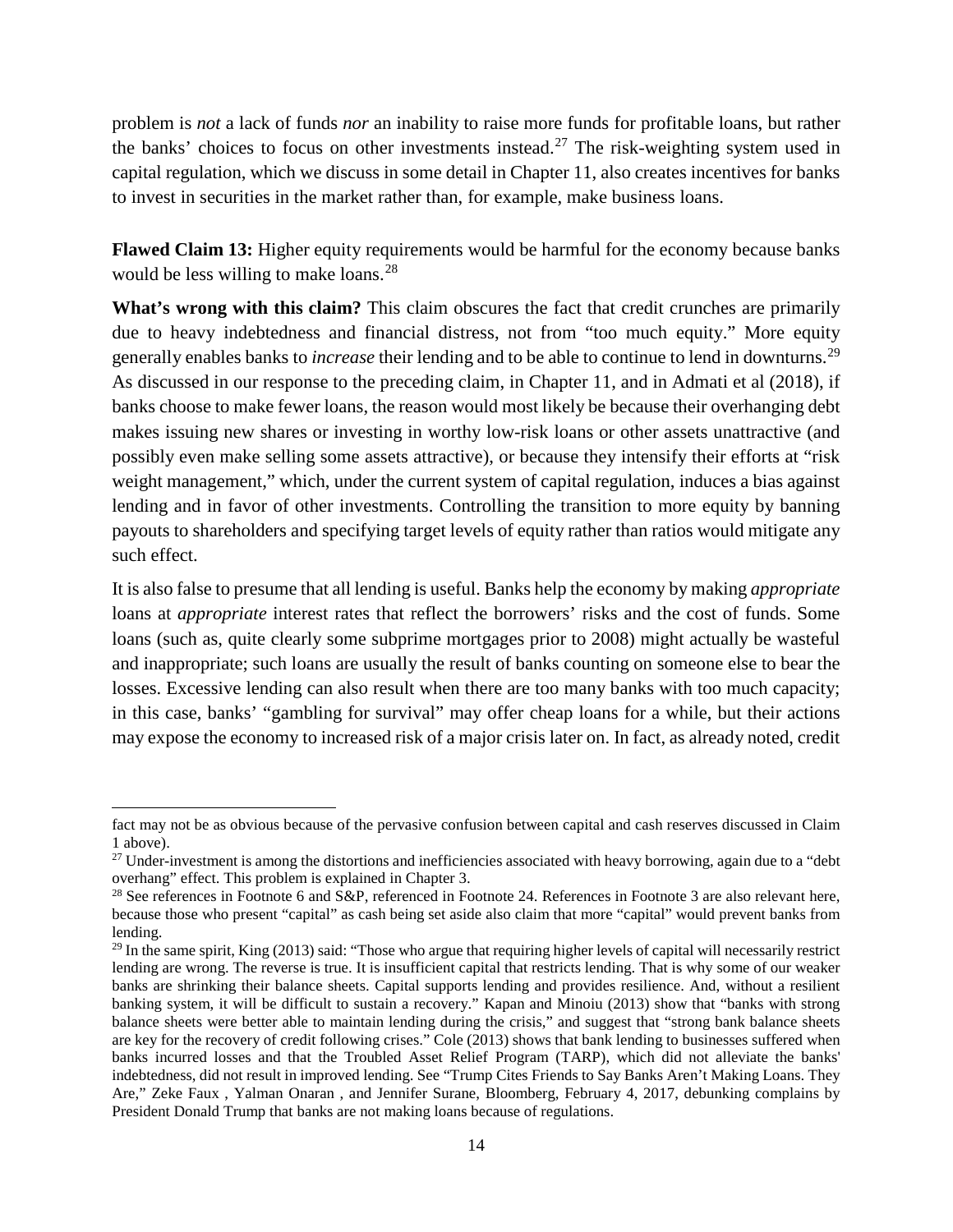problem is *not* a lack of funds *nor* an inability to raise more funds for profitable loans, but rather the banks' choices to focus on other investments instead.<sup>[27](#page-13-0)</sup> The risk-weighting system used in capital regulation, which we discuss in some detail in Chapter 11, also creates incentives for banks to invest in securities in the market rather than, for example, make business loans.

**Flawed Claim 13:** Higher equity requirements would be harmful for the economy because banks would be less willing to make loans.<sup>[28](#page-13-1)</sup>

**What's wrong with this claim?** This claim obscures the fact that credit crunches are primarily due to heavy indebtedness and financial distress, not from "too much equity." More equity generally enables banks to *increase* their lending and to be able to continue to lend in downturns. [29](#page-13-2) As discussed in our response to the preceding claim, in Chapter 11, and in Admati et al (2018), if banks choose to make fewer loans, the reason would most likely be because their overhanging debt makes issuing new shares or investing in worthy low-risk loans or other assets unattractive (and possibly even make selling some assets attractive), or because they intensify their efforts at "risk weight management," which, under the current system of capital regulation, induces a bias against lending and in favor of other investments. Controlling the transition to more equity by banning payouts to shareholders and specifying target levels of equity rather than ratios would mitigate any such effect.

It is also false to presume that all lending is useful. Banks help the economy by making *appropriate* loans at *appropriate* interest rates that reflect the borrowers' risks and the cost of funds. Some loans (such as, quite clearly some subprime mortgages prior to 2008) might actually be wasteful and inappropriate; such loans are usually the result of banks counting on someone else to bear the losses. Excessive lending can also result when there are too many banks with too much capacity; in this case, banks' "gambling for survival" may offer cheap loans for a while, but their actions may expose the economy to increased risk of a major crisis later on. In fact, as already noted, credit

fact may not be as obvious because of the pervasive confusion between capital and cash reserves discussed in Claim 1 above).

<span id="page-13-0"></span> $27$  Under-investment is among the distortions and inefficiencies associated with heavy borrowing, again due to a "debt" overhang" effect. This problem is explained in Chapter 3.

<span id="page-13-1"></span><sup>&</sup>lt;sup>28</sup> See references in Footnote 6 and S&P, referenced in Footnote 24. References in Footnote 3 are also relevant here, because those who present "capital" as cash being set aside also claim that more "capital" would prevent banks from lending.

<span id="page-13-2"></span> $29$  In the same spirit, King (2013) said: "Those who argue that requiring higher levels of capital will necessarily restrict lending are wrong. The reverse is true. It is insufficient capital that restricts lending. That is why some of our weaker banks are shrinking their balance sheets. Capital supports lending and provides resilience. And, without a resilient banking system, it will be difficult to sustain a recovery." Kapan and Minoiu (2013) show that "banks with strong balance sheets were better able to maintain lending during the crisis," and suggest that "strong bank balance sheets are key for the recovery of credit following crises." Cole (2013) shows that bank lending to businesses suffered when banks incurred losses and that the Troubled Asset Relief Program (TARP), which did not alleviate the banks' indebtedness, did not result in improved lending. See "Trump Cites Friends to Say Banks Aren't Making Loans. They Are," Zeke Faux , Yalman Onaran , and Jennifer Surane, Bloomberg, February 4, 2017, debunking complains by President Donald Trump that banks are not making loans because of regulations.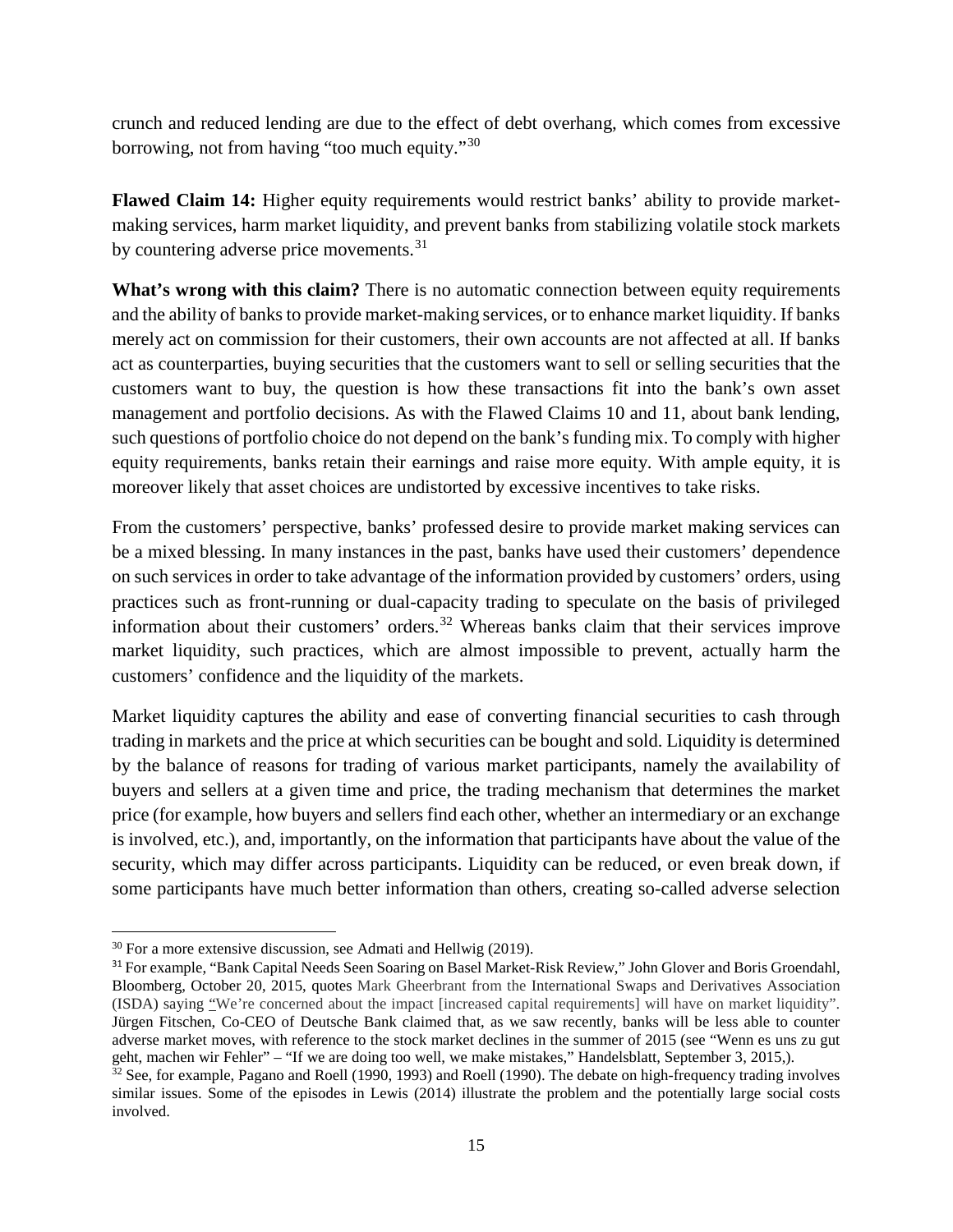crunch and reduced lending are due to the effect of debt overhang, which comes from excessive borrowing, not from having "too much equity."[30](#page-14-0)

**Flawed Claim 14:** Higher equity requirements would restrict banks' ability to provide marketmaking services, harm market liquidity, and prevent banks from stabilizing volatile stock markets by countering adverse price movements.<sup>[31](#page-14-1)</sup>

What's wrong with this claim? There is no automatic connection between equity requirements and the ability of banks to provide market-making services, or to enhance market liquidity. If banks merely act on commission for their customers, their own accounts are not affected at all. If banks act as counterparties, buying securities that the customers want to sell or selling securities that the customers want to buy, the question is how these transactions fit into the bank's own asset management and portfolio decisions. As with the Flawed Claims 10 and 11, about bank lending, such questions of portfolio choice do not depend on the bank's funding mix. To comply with higher equity requirements, banks retain their earnings and raise more equity. With ample equity, it is moreover likely that asset choices are undistorted by excessive incentives to take risks.

From the customers' perspective, banks' professed desire to provide market making services can be a mixed blessing. In many instances in the past, banks have used their customers' dependence on such services in order to take advantage of the information provided by customers' orders, using practices such as front-running or dual-capacity trading to speculate on the basis of privileged information about their customers' orders.<sup>[32](#page-14-2)</sup> Whereas banks claim that their services improve market liquidity, such practices, which are almost impossible to prevent, actually harm the customers' confidence and the liquidity of the markets.

Market liquidity captures the ability and ease of converting financial securities to cash through trading in markets and the price at which securities can be bought and sold. Liquidity is determined by the balance of reasons for trading of various market participants, namely the availability of buyers and sellers at a given time and price, the trading mechanism that determines the market price (for example, how buyers and sellers find each other, whether an intermediary or an exchange is involved, etc.), and, importantly, on the information that participants have about the value of the security, which may differ across participants. Liquidity can be reduced, or even break down, if some participants have much better information than others, creating so-called adverse selection

<span id="page-14-0"></span><sup>30</sup> For a more extensive discussion, see Admati and Hellwig (2019).

<span id="page-14-1"></span><sup>&</sup>lt;sup>31</sup> For example, "Bank Capital Needs Seen Soaring on Basel Market-Risk Review," John Glover and Boris Groendahl, Bloomberg, October 20, 2015, quotes Mark Gheerbrant from the [International Swaps and Derivatives Association](http://www2.isda.org/) (ISDA) saying "We're concerned about the impact [increased capital requirements] will have on market liquidity". Jürgen Fitschen, Co-CEO of Deutsche Bank claimed that, as we saw recently, banks will be less able to counter adverse market moves, with reference to the stock market declines in the summer of 2015 (see "Wenn es uns zu gut geht, machen wir Fehler" – "If we are doing too well, we make mistakes," Handelsblatt, September 3, 2015,).

<span id="page-14-2"></span> $32$  See, for example, Pagano and Roell (1990, 1993) and Roell (1990). The debate on high-frequency trading involves similar issues. Some of the episodes in Lewis (2014) illustrate the problem and the potentially large social costs involved.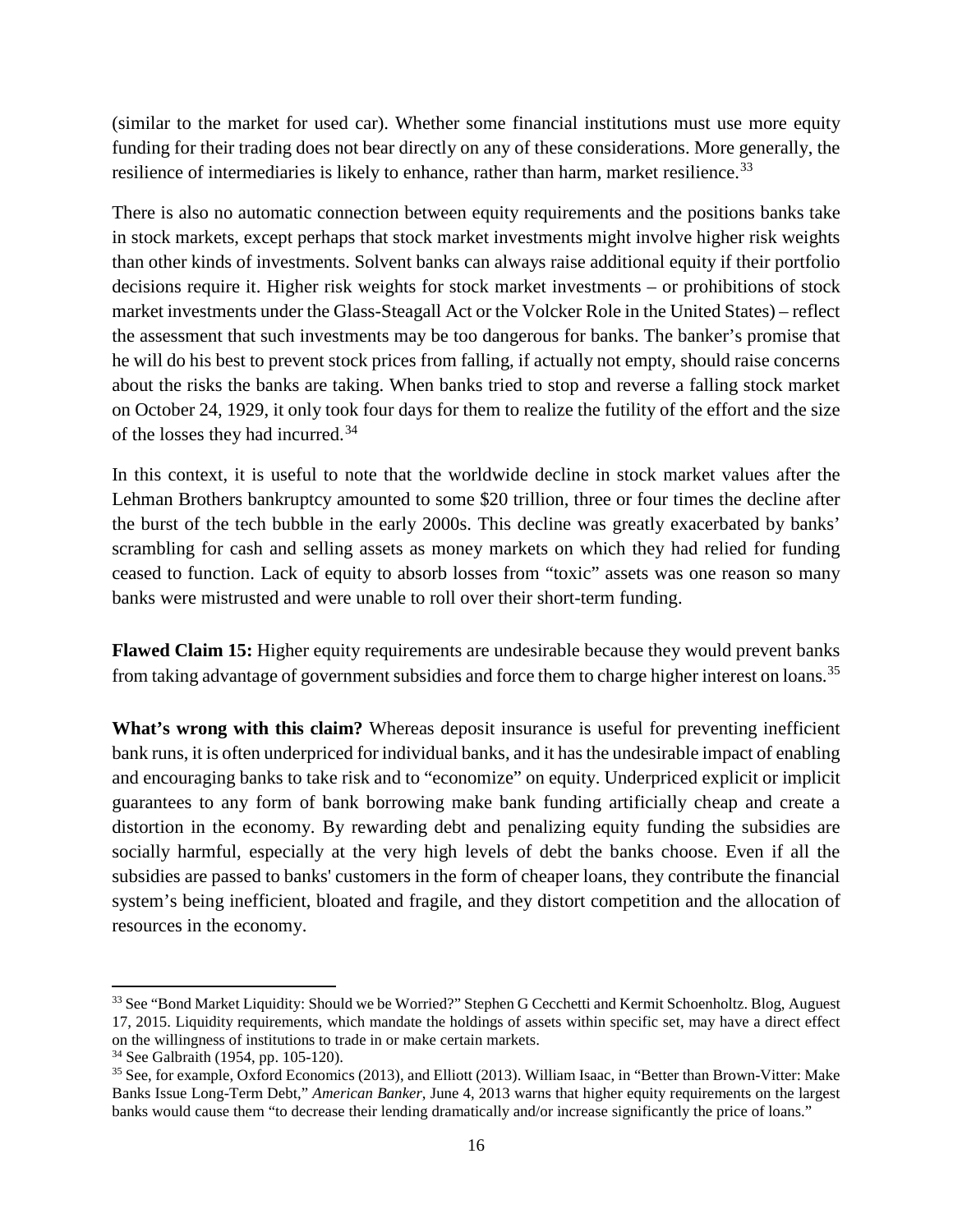(similar to the market for used car). Whether some financial institutions must use more equity funding for their trading does not bear directly on any of these considerations. More generally, the resilience of intermediaries is likely to enhance, rather than harm, market resilience.<sup>[33](#page-15-0)</sup>

There is also no automatic connection between equity requirements and the positions banks take in stock markets, except perhaps that stock market investments might involve higher risk weights than other kinds of investments. Solvent banks can always raise additional equity if their portfolio decisions require it. Higher risk weights for stock market investments – or prohibitions of stock market investments under the Glass-Steagall Act or the Volcker Role in the United States) – reflect the assessment that such investments may be too dangerous for banks. The banker's promise that he will do his best to prevent stock prices from falling, if actually not empty, should raise concerns about the risks the banks are taking. When banks tried to stop and reverse a falling stock market on October 24, 1929, it only took four days for them to realize the futility of the effort and the size of the losses they had incurred.<sup>[34](#page-15-1)</sup>

In this context, it is useful to note that the worldwide decline in stock market values after the Lehman Brothers bankruptcy amounted to some \$20 trillion, three or four times the decline after the burst of the tech bubble in the early 2000s. This decline was greatly exacerbated by banks' scrambling for cash and selling assets as money markets on which they had relied for funding ceased to function. Lack of equity to absorb losses from "toxic" assets was one reason so many banks were mistrusted and were unable to roll over their short-term funding.

**Flawed Claim 15:** Higher equity requirements are undesirable because they would prevent banks from taking advantage of government subsidies and force them to charge higher interest on loans.<sup>[35](#page-15-2)</sup>

**What's wrong with this claim?** Whereas deposit insurance is useful for preventing inefficient bank runs, it is often underpriced for individual banks, and it has the undesirable impact of enabling and encouraging banks to take risk and to "economize" on equity. Underpriced explicit or implicit guarantees to any form of bank borrowing make bank funding artificially cheap and create a distortion in the economy. By rewarding debt and penalizing equity funding the subsidies are socially harmful, especially at the very high levels of debt the banks choose. Even if all the subsidies are passed to banks' customers in the form of cheaper loans, they contribute the financial system's being inefficient, bloated and fragile, and they distort competition and the allocation of resources in the economy.

<span id="page-15-0"></span><sup>&</sup>lt;sup>33</sup> See "Bond Market Liquidity: Should we be Worried?" Stephen G Cecchetti and Kermit Schoenholtz. Blog, Auguest 17, 2015. Liquidity requirements, which mandate the holdings of assets within specific set, may have a direct effect on the willingness of institutions to trade in or make certain markets.<br><sup>34</sup> See Galbraith (1954, pp. 105-120).

<span id="page-15-1"></span>

<span id="page-15-2"></span><sup>&</sup>lt;sup>35</sup> See, for example, Oxford Economics (2013), and Elliott (2013). William Isaac, in "Better than Brown-Vitter: Make Banks Issue Long-Term Debt," *American Banker*, June 4, 2013 warns that higher equity requirements on the largest banks would cause them "to decrease their lending dramatically and/or increase significantly the price of loans."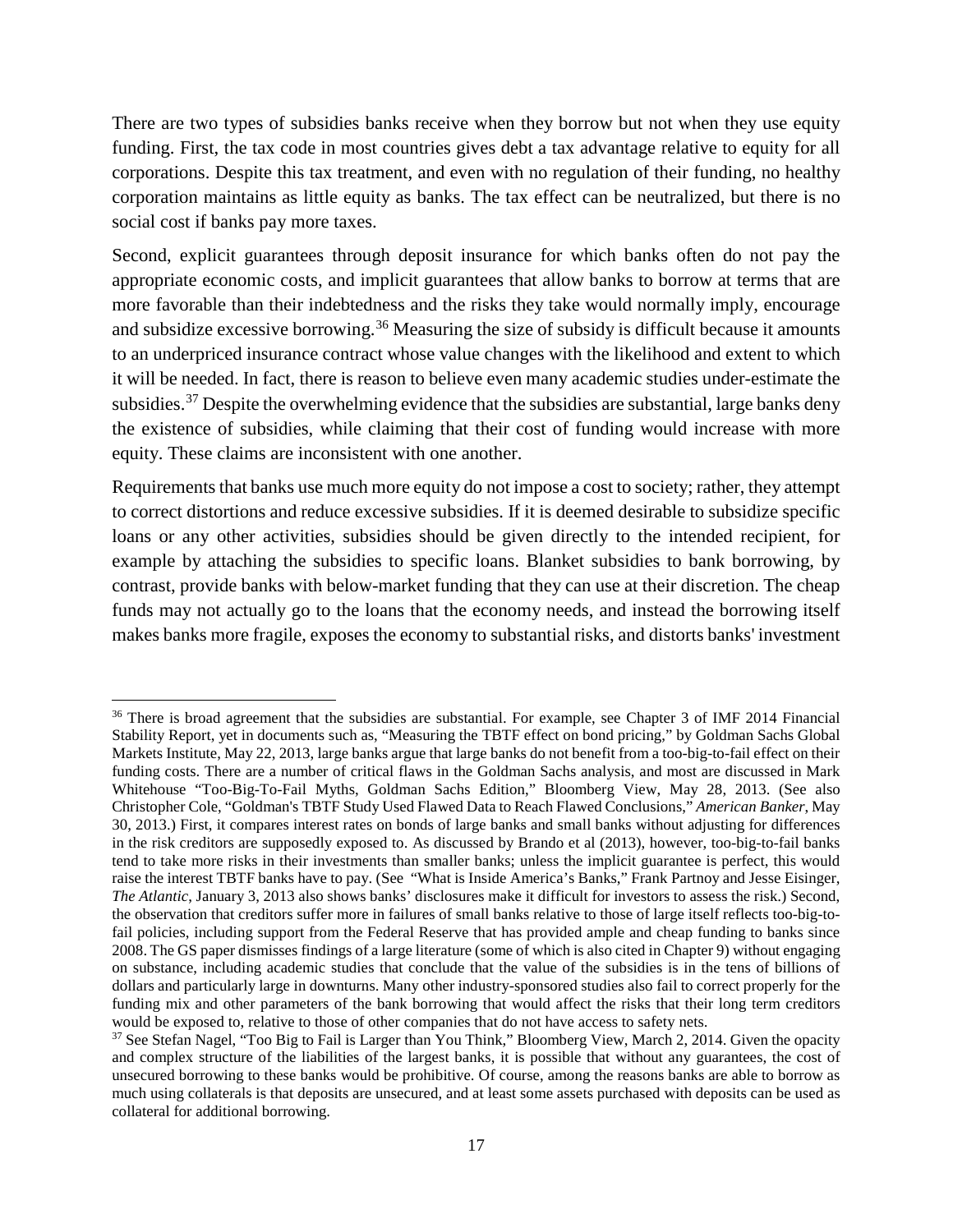There are two types of subsidies banks receive when they borrow but not when they use equity funding. First, the tax code in most countries gives debt a tax advantage relative to equity for all corporations. Despite this tax treatment, and even with no regulation of their funding, no healthy corporation maintains as little equity as banks. The tax effect can be neutralized, but there is no social cost if banks pay more taxes.

Second, explicit guarantees through deposit insurance for which banks often do not pay the appropriate economic costs, and implicit guarantees that allow banks to borrow at terms that are more favorable than their indebtedness and the risks they take would normally imply, encourage and subsidize excessive borrowing.<sup>[36](#page-16-0)</sup> Measuring the size of subsidy is difficult because it amounts to an underpriced insurance contract whose value changes with the likelihood and extent to which it will be needed. In fact, there is reason to believe even many academic studies under-estimate the subsidies.<sup>[37](#page-16-1)</sup> Despite the overwhelming evidence that the subsidies are substantial, large banks deny the existence of subsidies, while claiming that their cost of funding would increase with more equity. These claims are inconsistent with one another.

Requirements that banks use much more equity do not impose a cost to society; rather, they attempt to correct distortions and reduce excessive subsidies. If it is deemed desirable to subsidize specific loans or any other activities, subsidies should be given directly to the intended recipient, for example by attaching the subsidies to specific loans. Blanket subsidies to bank borrowing, by contrast, provide banks with below-market funding that they can use at their discretion. The cheap funds may not actually go to the loans that the economy needs, and instead the borrowing itself makes banks more fragile, exposes the economy to substantial risks, and distorts banks' investment

<span id="page-16-0"></span><sup>&</sup>lt;sup>36</sup> There is broad agreement that the subsidies are substantial. For example, see Chapter 3 of IMF 2014 Financial Stability Report, yet in documents such as, "Measuring the TBTF effect on bond pricing," by Goldman Sachs Global Markets Institute, May 22, 2013, large banks argue that large banks do not benefit from a too-big-to-fail effect on their funding costs. There are a number of critical flaws in the Goldman Sachs analysis, and most are discussed in Mark Whitehouse "Too-Big-To-Fail Myths, Goldman Sachs Edition," Bloomberg View, May 28, 2013. (See also Christopher Cole, "Goldman's TBTF Study Used Flawed Data to Reach Flawed Conclusions," *American Banker*, May 30, 2013.) First, it compares interest rates on bonds of large banks and small banks without adjusting for differences in the risk creditors are supposedly exposed to. As discussed by Brando et al (2013), however, too-big-to-fail banks tend to take more risks in their investments than smaller banks; unless the implicit guarantee is perfect, this would raise the interest TBTF banks have to pay. (See "What is Inside America's Banks," Frank Partnoy and Jesse Eisinger, *The Atlantic*, January 3, 2013 also shows banks' disclosures make it difficult for investors to assess the risk.) Second, the observation that creditors suffer more in failures of small banks relative to those of large itself reflects too-big-tofail policies, including support from the Federal Reserve that has provided ample and cheap funding to banks since 2008. The GS paper dismisses findings of a large literature (some of which is also cited in Chapter 9) without engaging on substance, including academic studies that conclude that the value of the subsidies is in the tens of billions of dollars and particularly large in downturns. Many other industry-sponsored studies also fail to correct properly for the funding mix and other parameters of the bank borrowing that would affect the risks that their long term creditors would be exposed to, relative to those of other companies that do not have access to safety nets.<br><sup>37</sup> See Stefan Nagel, "Too Big to Fail is Larger than You Think," Bloomberg View, March 2, 2014. Given the opacity

<span id="page-16-1"></span>and complex structure of the liabilities of the largest banks, it is possible that without any guarantees, the cost of unsecured borrowing to these banks would be prohibitive. Of course, among the reasons banks are able to borrow as much using collaterals is that deposits are unsecured, and at least some assets purchased with deposits can be used as collateral for additional borrowing.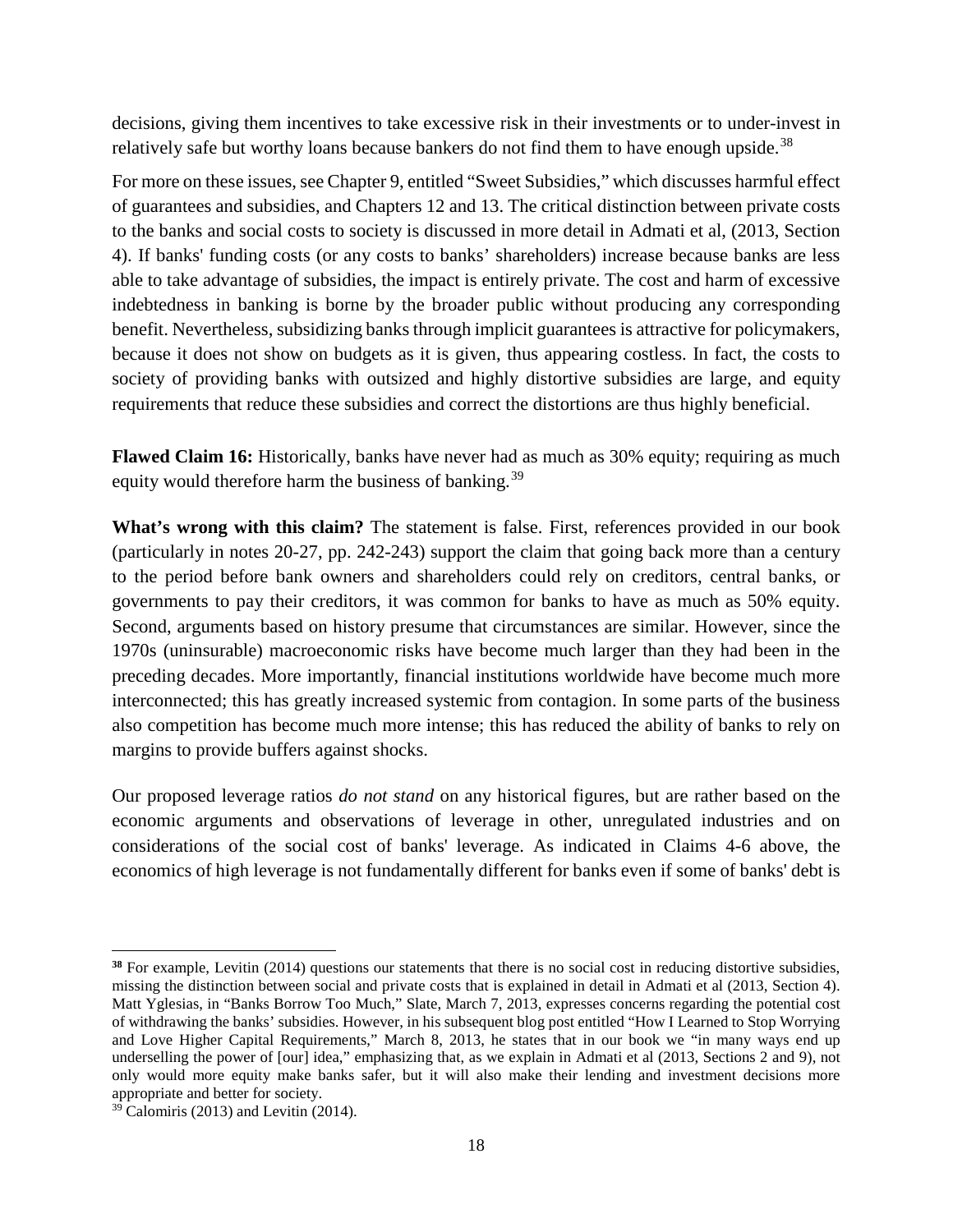decisions, giving them incentives to take excessive risk in their investments or to under-invest in relatively safe but worthy loans because bankers do not find them to have enough upside.<sup>[38](#page-17-0)</sup>

For more on these issues, see Chapter 9, entitled "Sweet Subsidies," which discusses harmful effect of guarantees and subsidies, and Chapters 12 and 13. The critical distinction between private costs to the banks and social costs to society is discussed in more detail in Admati et al, (2013, Section 4). If banks' funding costs (or any costs to banks' shareholders) increase because banks are less able to take advantage of subsidies, the impact is entirely private. The cost and harm of excessive indebtedness in banking is borne by the broader public without producing any corresponding benefit. Nevertheless, subsidizing banks through implicit guarantees is attractive for policymakers, because it does not show on budgets as it is given, thus appearing costless. In fact, the costs to society of providing banks with outsized and highly distortive subsidies are large, and equity requirements that reduce these subsidies and correct the distortions are thus highly beneficial.

**Flawed Claim 16:** Historically, banks have never had as much as 30% equity; requiring as much equity would therefore harm the business of banking.<sup>[39](#page-17-1)</sup>

**What's wrong with this claim?** The statement is false. First, references provided in our book (particularly in notes 20-27, pp. 242-243) support the claim that going back more than a century to the period before bank owners and shareholders could rely on creditors, central banks, or governments to pay their creditors, it was common for banks to have as much as 50% equity. Second, arguments based on history presume that circumstances are similar. However, since the 1970s (uninsurable) macroeconomic risks have become much larger than they had been in the preceding decades. More importantly, financial institutions worldwide have become much more interconnected; this has greatly increased systemic from contagion. In some parts of the business also competition has become much more intense; this has reduced the ability of banks to rely on margins to provide buffers against shocks.

Our proposed leverage ratios *do not stand* on any historical figures, but are rather based on the economic arguments and observations of leverage in other, unregulated industries and on considerations of the social cost of banks' leverage. As indicated in Claims 4-6 above, the economics of high leverage is not fundamentally different for banks even if some of banks' debt is

<span id="page-17-0"></span>l **<sup>38</sup>** For example, Levitin (2014) questions our statements that there is no social cost in reducing distortive subsidies, missing the distinction between social and private costs that is explained in detail in Admati et al (2013, Section 4). Matt Yglesias, in "Banks Borrow Too Much," Slate, March 7, 2013, expresses concerns regarding the potential cost of withdrawing the banks' subsidies. However, in his subsequent blog post entitled "How I Learned to Stop Worrying and Love Higher Capital Requirements," March 8, 2013, he states that in our book we "in many ways end up underselling the power of [our] idea," emphasizing that, as we explain in Admati et al (2013, Sections 2 and 9), not only would more equity make banks safer, but it will also make their lending and investment decisions more appropriate and better for society.

<span id="page-17-1"></span> $39$  Calomiris (2013) and Levitin (2014).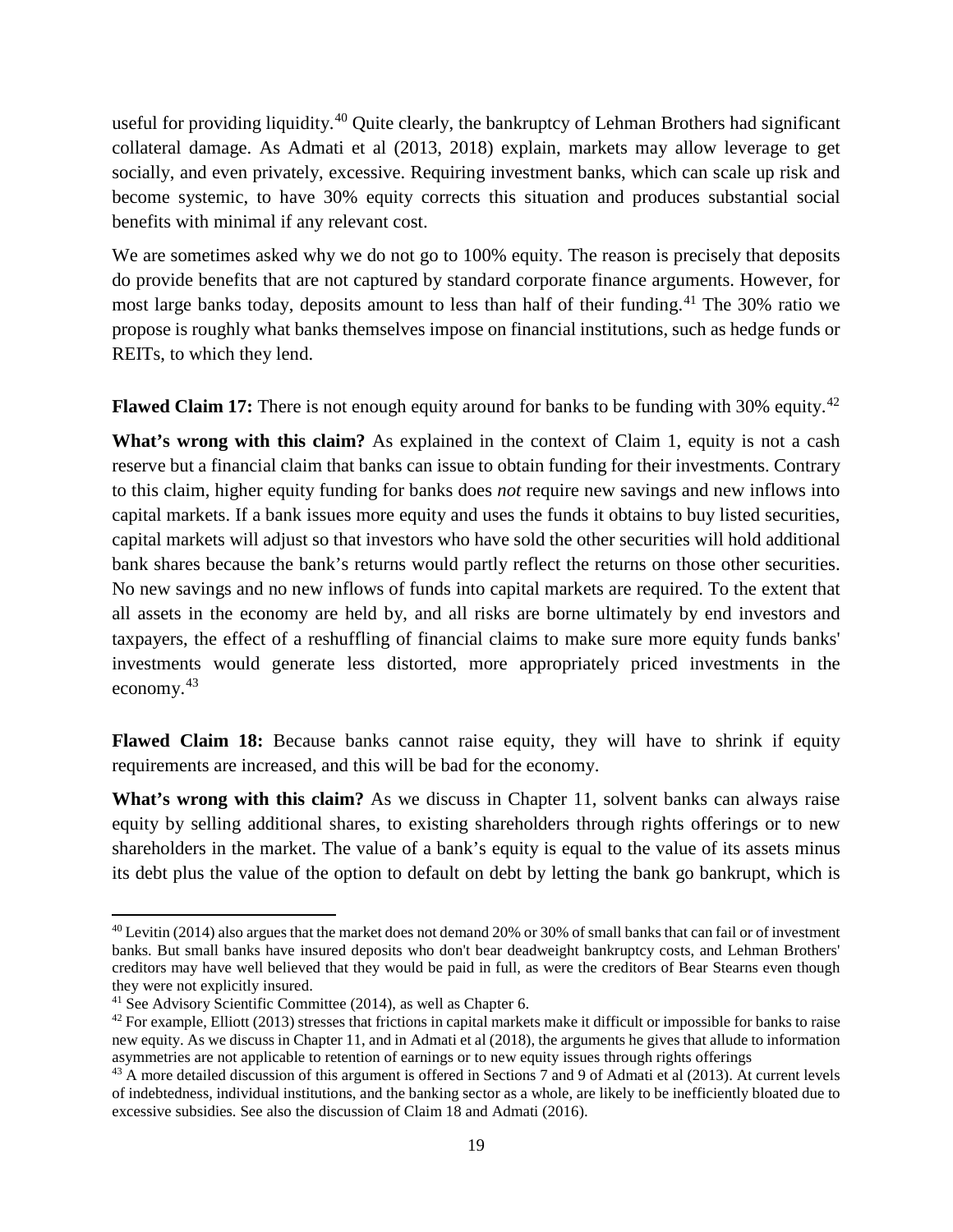useful for providing liquidity.<sup>[40](#page-18-0)</sup> Quite clearly, the bankruptcy of Lehman Brothers had significant collateral damage. As Admati et al (2013, 2018) explain, markets may allow leverage to get socially, and even privately, excessive. Requiring investment banks, which can scale up risk and become systemic, to have 30% equity corrects this situation and produces substantial social benefits with minimal if any relevant cost.

We are sometimes asked why we do not go to 100% equity. The reason is precisely that deposits do provide benefits that are not captured by standard corporate finance arguments. However, for most large banks today, deposits amount to less than half of their funding.<sup>[41](#page-18-1)</sup> The 30% ratio we propose is roughly what banks themselves impose on financial institutions, such as hedge funds or REITs, to which they lend.

Flawed Claim 17: There is not enough equity around for banks to be funding with 30% equity.<sup>[42](#page-18-2)</sup>

What's wrong with this claim? As explained in the context of Claim 1, equity is not a cash reserve but a financial claim that banks can issue to obtain funding for their investments. Contrary to this claim, higher equity funding for banks does *not* require new savings and new inflows into capital markets. If a bank issues more equity and uses the funds it obtains to buy listed securities, capital markets will adjust so that investors who have sold the other securities will hold additional bank shares because the bank's returns would partly reflect the returns on those other securities. No new savings and no new inflows of funds into capital markets are required. To the extent that all assets in the economy are held by, and all risks are borne ultimately by end investors and taxpayers, the effect of a reshuffling of financial claims to make sure more equity funds banks' investments would generate less distorted, more appropriately priced investments in the economy.[43](#page-18-3)

**Flawed Claim 18:** Because banks cannot raise equity, they will have to shrink if equity requirements are increased, and this will be bad for the economy.

**What's wrong with this claim?** As we discuss in Chapter 11, solvent banks can always raise equity by selling additional shares, to existing shareholders through rights offerings or to new shareholders in the market. The value of a bank's equity is equal to the value of its assets minus its debt plus the value of the option to default on debt by letting the bank go bankrupt, which is

<span id="page-18-0"></span> $40$  Levitin (2014) also argues that the market does not demand 20% or 30% of small banks that can fail or of investment banks. But small banks have insured deposits who don't bear deadweight bankruptcy costs, and Lehman Brothers' creditors may have well believed that they would be paid in full, as were the creditors of Bear Stearns even though they were not explicitly insured.<br><sup>41</sup> See Advisory Scientific Committee (2014), as well as Chapter 6.

<span id="page-18-1"></span>

<span id="page-18-2"></span> $42$  For example, Elliott (2013) stresses that frictions in capital markets make it difficult or impossible for banks to raise new equity. As we discuss in Chapter 11, and in Admati et al (2018), the arguments he gives that allude to information asymmetries are not applicable to retention of earnings or to new equity issues through rights offerings

<span id="page-18-3"></span><sup>&</sup>lt;sup>43</sup> A more detailed discussion of this argument is offered in Sections 7 and 9 of Admati et al (2013). At current levels of indebtedness, individual institutions, and the banking sector as a whole, are likely to be inefficiently bloated due to excessive subsidies. See also the discussion of Claim 18 and Admati (2016).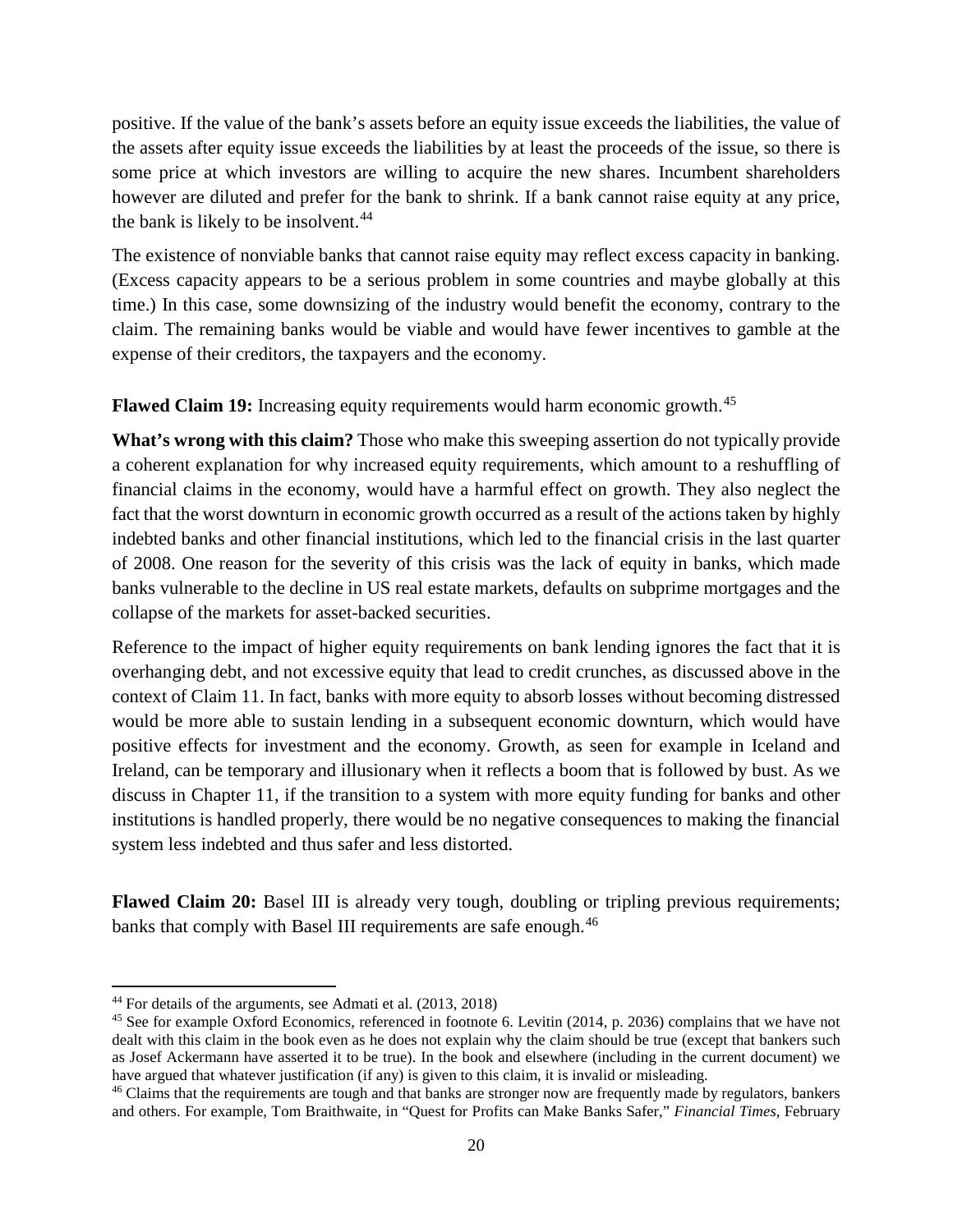positive. If the value of the bank's assets before an equity issue exceeds the liabilities, the value of the assets after equity issue exceeds the liabilities by at least the proceeds of the issue, so there is some price at which investors are willing to acquire the new shares. Incumbent shareholders however are diluted and prefer for the bank to shrink. If a bank cannot raise equity at any price, the bank is likely to be insolvent.<sup>[44](#page-19-0)</sup>

The existence of nonviable banks that cannot raise equity may reflect excess capacity in banking. (Excess capacity appears to be a serious problem in some countries and maybe globally at this time.) In this case, some downsizing of the industry would benefit the economy, contrary to the claim. The remaining banks would be viable and would have fewer incentives to gamble at the expense of their creditors, the taxpayers and the economy.

Flawed Claim 19: Increasing equity requirements would harm economic growth.<sup>[45](#page-19-1)</sup>

**What's wrong with this claim?** Those who make this sweeping assertion do not typically provide a coherent explanation for why increased equity requirements, which amount to a reshuffling of financial claims in the economy, would have a harmful effect on growth. They also neglect the fact that the worst downturn in economic growth occurred as a result of the actions taken by highly indebted banks and other financial institutions, which led to the financial crisis in the last quarter of 2008. One reason for the severity of this crisis was the lack of equity in banks, which made banks vulnerable to the decline in US real estate markets, defaults on subprime mortgages and the collapse of the markets for asset-backed securities.

Reference to the impact of higher equity requirements on bank lending ignores the fact that it is overhanging debt, and not excessive equity that lead to credit crunches, as discussed above in the context of Claim 11. In fact, banks with more equity to absorb losses without becoming distressed would be more able to sustain lending in a subsequent economic downturn, which would have positive effects for investment and the economy. Growth, as seen for example in Iceland and Ireland, can be temporary and illusionary when it reflects a boom that is followed by bust. As we discuss in Chapter 11, if the transition to a system with more equity funding for banks and other institutions is handled properly, there would be no negative consequences to making the financial system less indebted and thus safer and less distorted.

**Flawed Claim 20:** Basel III is already very tough, doubling or tripling previous requirements; banks that comply with Basel III requirements are safe enough.<sup>[46](#page-19-2)</sup>

<span id="page-19-0"></span><sup>44</sup> For details of the arguments, see Admati et al. (2013, 2018)

<span id="page-19-1"></span><sup>&</sup>lt;sup>45</sup> See for example Oxford Economics, referenced in footnote 6. Levitin (2014, p. 2036) complains that we have not dealt with this claim in the book even as he does not explain why the claim should be true (except that bankers such as Josef Ackermann have asserted it to be true). In the book and elsewhere (including in the current document) we have argued that whatever justification (if any) is given to this claim, it is invalid or misleading.

<span id="page-19-2"></span><sup>46</sup> Claims that the requirements are tough and that banks are stronger now are frequently made by regulators, bankers and others. For example, Tom Braithwaite, in "Quest for Profits can Make Banks Safer," *Financial Times*, February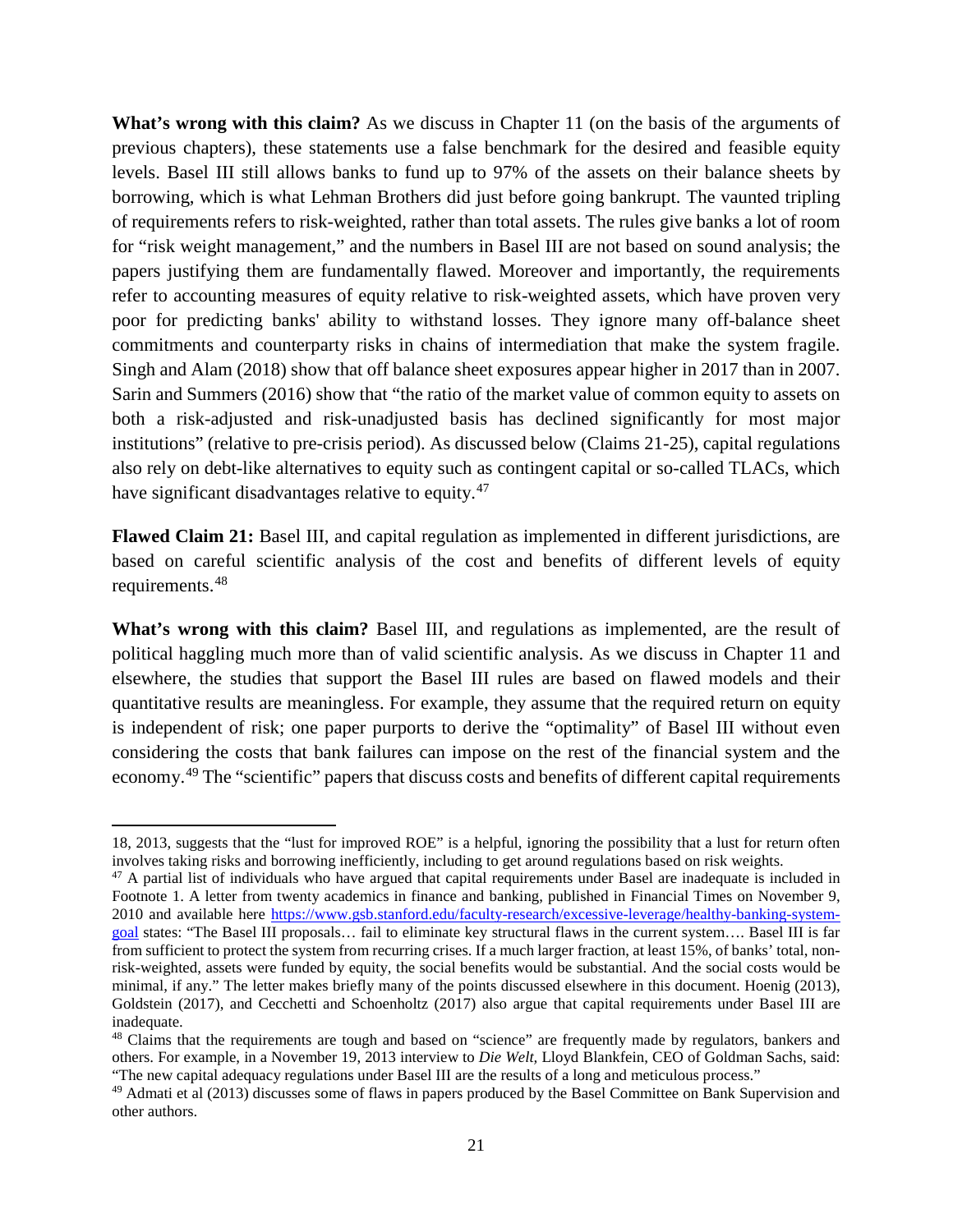**What's wrong with this claim?** As we discuss in Chapter 11 (on the basis of the arguments of previous chapters), these statements use a false benchmark for the desired and feasible equity levels. Basel III still allows banks to fund up to 97% of the assets on their balance sheets by borrowing, which is what Lehman Brothers did just before going bankrupt. The vaunted tripling of requirements refers to risk-weighted, rather than total assets. The rules give banks a lot of room for "risk weight management," and the numbers in Basel III are not based on sound analysis; the papers justifying them are fundamentally flawed. Moreover and importantly, the requirements refer to accounting measures of equity relative to risk-weighted assets, which have proven very poor for predicting banks' ability to withstand losses. They ignore many off-balance sheet commitments and counterparty risks in chains of intermediation that make the system fragile. Singh and Alam (2018) show that off balance sheet exposures appear higher in 2017 than in 2007. Sarin and Summers (2016) show that "the ratio of the market value of common equity to assets on both a risk-adjusted and risk-unadjusted basis has declined significantly for most major institutions" (relative to pre-crisis period). As discussed below (Claims 21-25), capital regulations also rely on debt-like alternatives to equity such as contingent capital or so-called TLACs, which have significant disadvantages relative to equity.<sup>[47](#page-20-0)</sup>

**Flawed Claim 21:** Basel III, and capital regulation as implemented in different jurisdictions, are based on careful scientific analysis of the cost and benefits of different levels of equity requirements. [48](#page-20-1)

**What's wrong with this claim?** Basel III, and regulations as implemented, are the result of political haggling much more than of valid scientific analysis. As we discuss in Chapter 11 and elsewhere, the studies that support the Basel III rules are based on flawed models and their quantitative results are meaningless. For example, they assume that the required return on equity is independent of risk; one paper purports to derive the "optimality" of Basel III without even considering the costs that bank failures can impose on the rest of the financial system and the economy.[49](#page-20-2) The "scientific" papers that discuss costs and benefits of different capital requirements

<sup>18, 2013,</sup> suggests that the "lust for improved ROE" is a helpful, ignoring the possibility that a lust for return often involves taking risks and borrowing inefficiently, including to get around regulations based on risk weights.

<span id="page-20-0"></span> $47$  A partial list of individuals who have argued that capital requirements under Basel are inadequate is included in Footnote 1. A letter from twenty academics in finance and banking, published in Financial Times on November 9, 2010 and available here [https://www.gsb.stanford.edu/faculty-research/excessive-leverage/healthy-banking-system](https://www.gsb.stanford.edu/faculty-research/excessive-leverage/healthy-banking-system-goal)[goal](https://www.gsb.stanford.edu/faculty-research/excessive-leverage/healthy-banking-system-goal) states: "The Basel III proposals… fail to eliminate key structural flaws in the current system…. Basel III is far from sufficient to protect the system from recurring crises. If a much larger fraction, at least 15%, of banks' total, nonrisk-weighted, assets were funded by equity, the social benefits would be substantial. And the social costs would be minimal, if any." The letter makes briefly many of the points discussed elsewhere in this document. Hoenig (2013), Goldstein (2017), and Cecchetti and Schoenholtz (2017) also argue that capital requirements under Basel III are inadequate.

<span id="page-20-1"></span><sup>48</sup> Claims that the requirements are tough and based on "science" are frequently made by regulators, bankers and others. For example, in a November 19, 2013 interview to *Die Welt,* Lloyd Blankfein, CEO of Goldman Sachs, said: "The new capital adequacy regulations under Basel III are the results of a long and meticulous process."

<span id="page-20-2"></span> $49$  Admati et al (2013) discusses some of flaws in papers produced by the Basel Committee on Bank Supervision and other authors.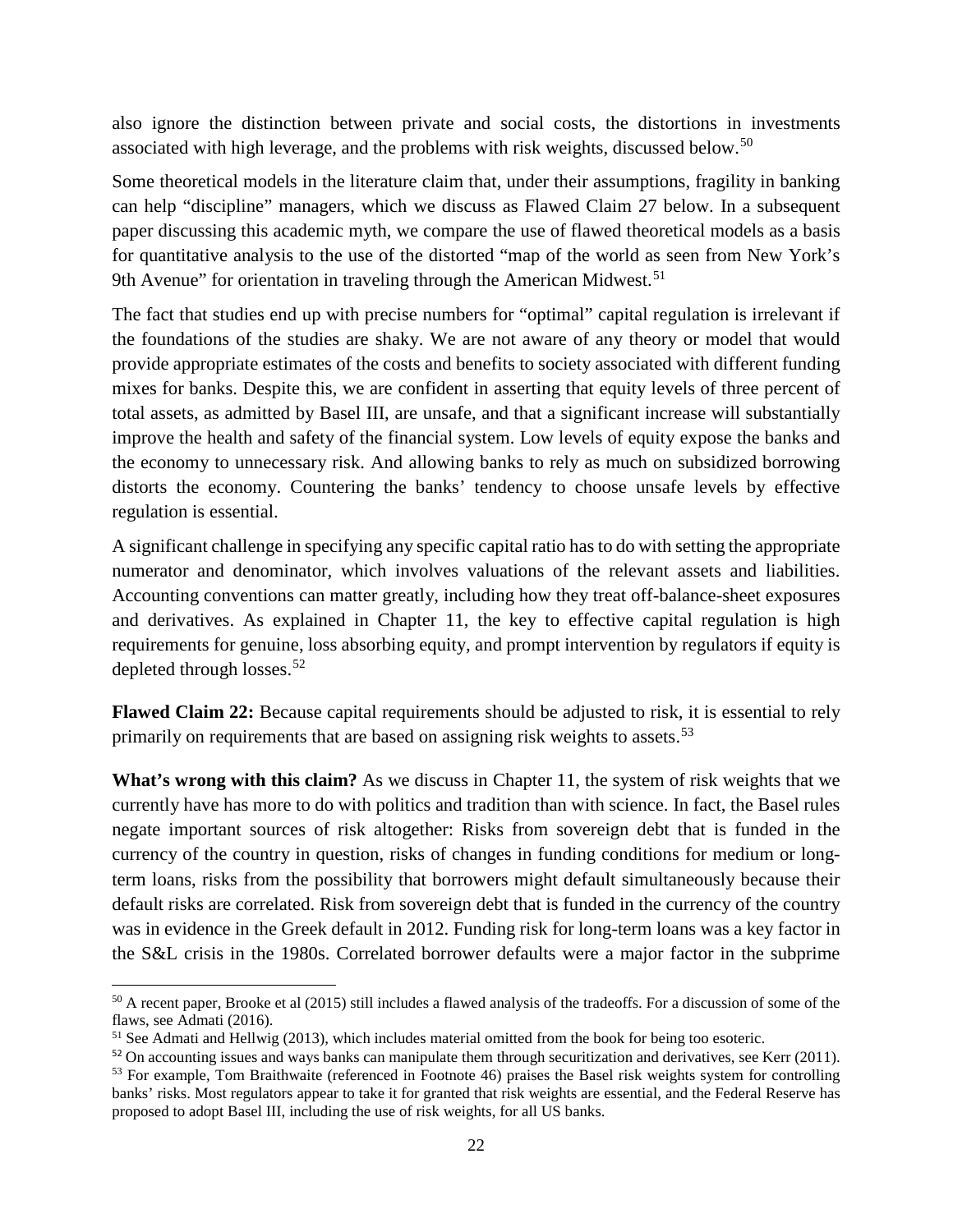also ignore the distinction between private and social costs, the distortions in investments associated with high leverage, and the problems with risk weights, discussed below.<sup>[50](#page-21-0)</sup>

Some theoretical models in the literature claim that, under their assumptions, fragility in banking can help "discipline" managers, which we discuss as Flawed Claim 27 below. In a subsequent paper discussing this academic myth, we compare the use of flawed theoretical models as a basis for quantitative analysis to the use of the distorted "map of the world as seen from New York's 9th Avenue" for orientation in traveling through the American Midwest.<sup>[51](#page-21-1)</sup>

The fact that studies end up with precise numbers for "optimal" capital regulation is irrelevant if the foundations of the studies are shaky. We are not aware of any theory or model that would provide appropriate estimates of the costs and benefits to society associated with different funding mixes for banks. Despite this, we are confident in asserting that equity levels of three percent of total assets, as admitted by Basel III, are unsafe, and that a significant increase will substantially improve the health and safety of the financial system. Low levels of equity expose the banks and the economy to unnecessary risk. And allowing banks to rely as much on subsidized borrowing distorts the economy. Countering the banks' tendency to choose unsafe levels by effective regulation is essential.

A significant challenge in specifying any specific capital ratio has to do with setting the appropriate numerator and denominator, which involves valuations of the relevant assets and liabilities. Accounting conventions can matter greatly, including how they treat off-balance-sheet exposures and derivatives. As explained in Chapter 11, the key to effective capital regulation is high requirements for genuine, loss absorbing equity, and prompt intervention by regulators if equity is depleted through losses.[52](#page-21-2)

**Flawed Claim 22:** Because capital requirements should be adjusted to risk, it is essential to rely primarily on requirements that are based on assigning risk weights to assets.<sup>53</sup>

**What's wrong with this claim?** As we discuss in Chapter 11, the system of risk weights that we currently have has more to do with politics and tradition than with science. In fact, the Basel rules negate important sources of risk altogether: Risks from sovereign debt that is funded in the currency of the country in question, risks of changes in funding conditions for medium or longterm loans, risks from the possibility that borrowers might default simultaneously because their default risks are correlated. Risk from sovereign debt that is funded in the currency of the country was in evidence in the Greek default in 2012. Funding risk for long-term loans was a key factor in the S&L crisis in the 1980s. Correlated borrower defaults were a major factor in the subprime

<span id="page-21-0"></span><sup>&</sup>lt;sup>50</sup> A recent paper, Brooke et al (2015) still includes a flawed analysis of the tradeoffs. For a discussion of some of the flaws, see Admati (2016).

<span id="page-21-1"></span><sup>&</sup>lt;sup>51</sup> See Admati and Hellwig (2013), which includes material omitted from the book for being too esoteric.

<span id="page-21-2"></span> $52$  On accounting issues and ways banks can manipulate them through securitization and derivatives, see Kerr (2011).<br>  $53$  For example, Tom Braithwaite (referenced in Footnote 46) praises the Basel risk weights system fo

<span id="page-21-3"></span>banks' risks. Most regulators appear to take it for granted that risk weights are essential, and the Federal Reserve has proposed to adopt Basel III, including the use of risk weights, for all US banks.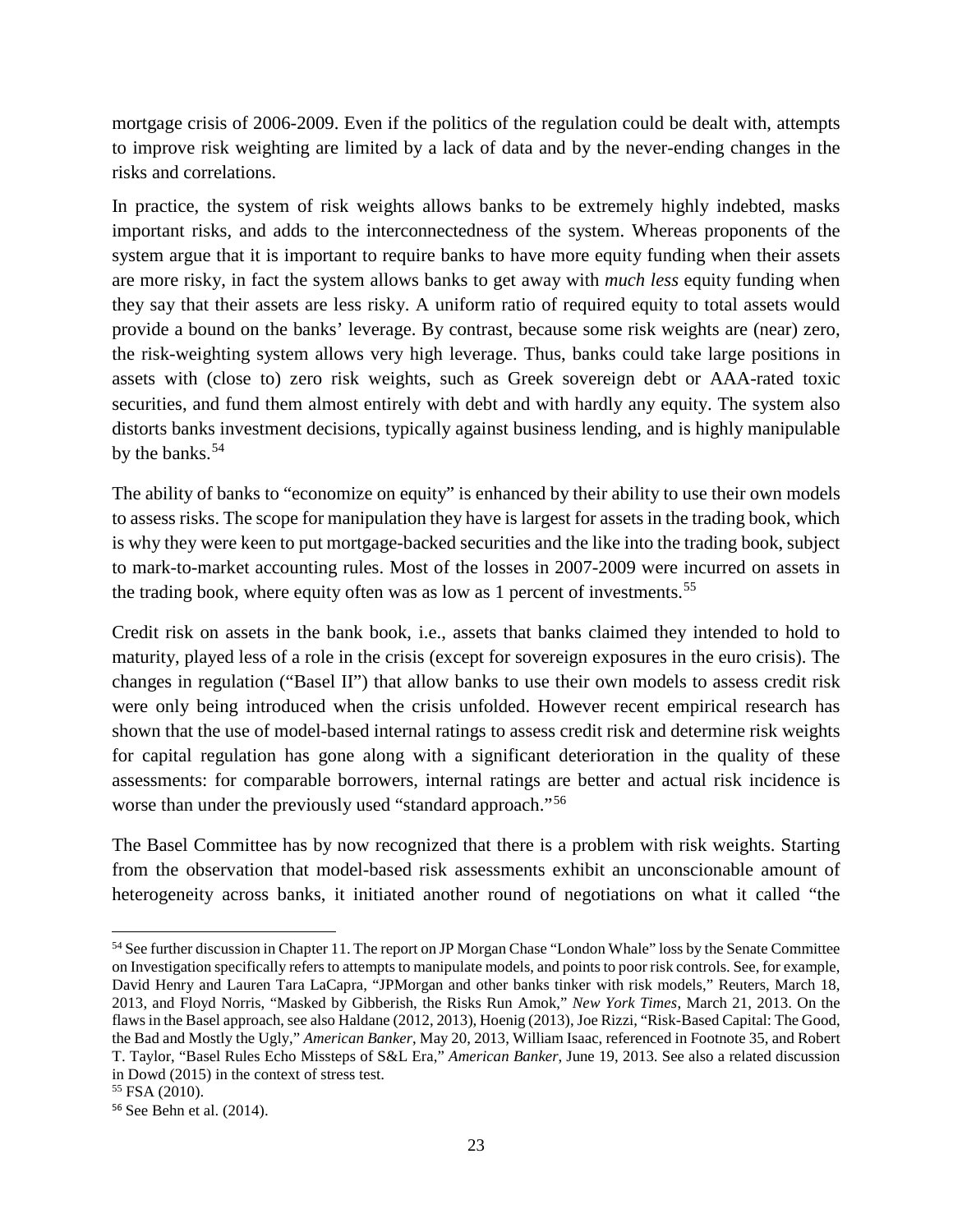mortgage crisis of 2006-2009. Even if the politics of the regulation could be dealt with, attempts to improve risk weighting are limited by a lack of data and by the never-ending changes in the risks and correlations.

In practice, the system of risk weights allows banks to be extremely highly indebted, masks important risks, and adds to the interconnectedness of the system. Whereas proponents of the system argue that it is important to require banks to have more equity funding when their assets are more risky, in fact the system allows banks to get away with *much less* equity funding when they say that their assets are less risky. A uniform ratio of required equity to total assets would provide a bound on the banks' leverage. By contrast, because some risk weights are (near) zero, the risk-weighting system allows very high leverage. Thus, banks could take large positions in assets with (close to) zero risk weights, such as Greek sovereign debt or AAA-rated toxic securities, and fund them almost entirely with debt and with hardly any equity. The system also distorts banks investment decisions, typically against business lending, and is highly manipulable by the banks.  $54$ 

The ability of banks to "economize on equity" is enhanced by their ability to use their own models to assess risks. The scope for manipulation they have is largest for assets in the trading book, which is why they were keen to put mortgage-backed securities and the like into the trading book, subject to mark-to-market accounting rules. Most of the losses in 2007-2009 were incurred on assets in the trading book, where equity often was as low as 1 percent of investments.<sup>[55](#page-22-1)</sup>

Credit risk on assets in the bank book, i.e., assets that banks claimed they intended to hold to maturity, played less of a role in the crisis (except for sovereign exposures in the euro crisis). The changes in regulation ("Basel II") that allow banks to use their own models to assess credit risk were only being introduced when the crisis unfolded. However recent empirical research has shown that the use of model-based internal ratings to assess credit risk and determine risk weights for capital regulation has gone along with a significant deterioration in the quality of these assessments: for comparable borrowers, internal ratings are better and actual risk incidence is worse than under the previously used "standard approach."<sup>[56](#page-22-2)</sup>

The Basel Committee has by now recognized that there is a problem with risk weights. Starting from the observation that model-based risk assessments exhibit an unconscionable amount of heterogeneity across banks, it initiated another round of negotiations on what it called "the

<span id="page-22-0"></span><sup>54</sup> See further discussion in Chapter 11. The report on JP Morgan Chase "London Whale" loss by the Senate Committee on Investigation specifically refers to attempts to manipulate models, and points to poor risk controls. See, for example, David Henry and Lauren Tara LaCapra, "JPMorgan and other banks tinker with risk models," Reuters, March 18, 2013, and Floyd Norris, "Masked by Gibberish, the Risks Run Amok," *New York Times*, March 21, 2013. On the flaws in the Basel approach, see also Haldane (2012, 2013), Hoenig (2013), Joe Rizzi, "Risk-Based Capital: The Good, the Bad and Mostly the Ugly," *American Banker*, May 20, 2013, William Isaac, referenced in Footnote 35, and Robert T. Taylor, "Basel Rules Echo Missteps of S&L Era," *American Banker*, June 19, 2013. See also a related discussion in Dowd (2015) in the context of stress test. 55 FSA (2010).

<span id="page-22-1"></span>

<span id="page-22-2"></span><sup>56</sup> See Behn et al. (2014).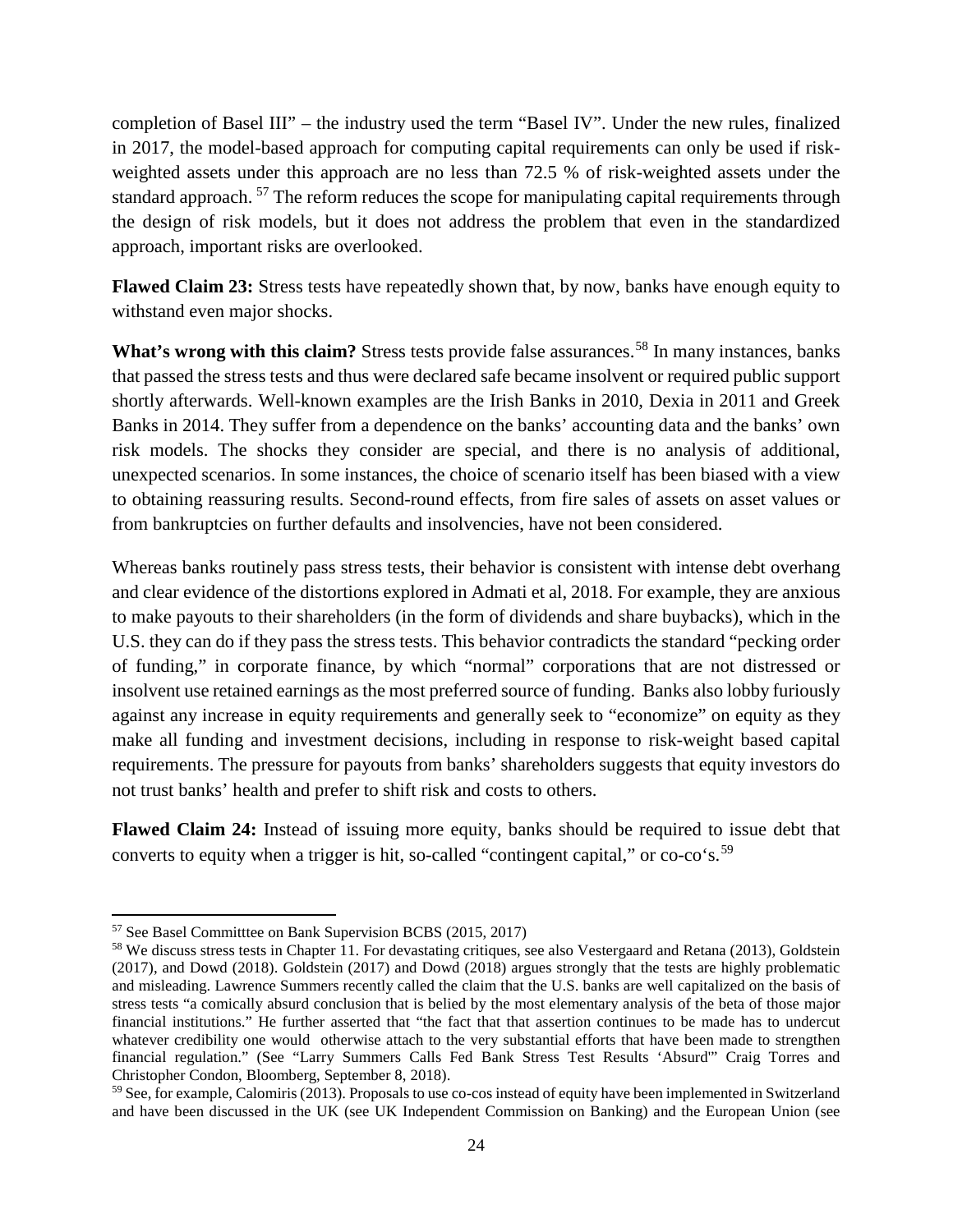completion of Basel III" – the industry used the term "Basel IV". Under the new rules, finalized in 2017, the model-based approach for computing capital requirements can only be used if riskweighted assets under this approach are no less than 72.5 % of risk-weighted assets under the standard approach. <sup>[57](#page-23-0)</sup> The reform reduces the scope for manipulating capital requirements through the design of risk models, but it does not address the problem that even in the standardized approach, important risks are overlooked.

**Flawed Claim 23:** Stress tests have repeatedly shown that, by now, banks have enough equity to withstand even major shocks.

**What's wrong with this claim?** Stress tests provide false assurances.<sup>[58](#page-23-1)</sup> In many instances, banks that passed the stress tests and thus were declared safe became insolvent or required public support shortly afterwards. Well-known examples are the Irish Banks in 2010, Dexia in 2011 and Greek Banks in 2014. They suffer from a dependence on the banks' accounting data and the banks' own risk models. The shocks they consider are special, and there is no analysis of additional, unexpected scenarios. In some instances, the choice of scenario itself has been biased with a view to obtaining reassuring results. Second-round effects, from fire sales of assets on asset values or from bankruptcies on further defaults and insolvencies, have not been considered.

Whereas banks routinely pass stress tests, their behavior is consistent with intense debt overhang and clear evidence of the distortions explored in Admati et al, 2018. For example, they are anxious to make payouts to their shareholders (in the form of dividends and share buybacks), which in the U.S. they can do if they pass the stress tests. This behavior contradicts the standard "pecking order of funding," in corporate finance, by which "normal" corporations that are not distressed or insolvent use retained earnings as the most preferred source of funding. Banks also lobby furiously against any increase in equity requirements and generally seek to "economize" on equity as they make all funding and investment decisions, including in response to risk-weight based capital requirements. The pressure for payouts from banks' shareholders suggests that equity investors do not trust banks' health and prefer to shift risk and costs to others.

**Flawed Claim 24:** Instead of issuing more equity, banks should be required to issue debt that converts to equity when a trigger is hit, so-called "contingent capital," or co-co's.<sup>[59](#page-23-2)</sup>

<span id="page-23-0"></span><sup>57</sup> See Basel Committtee on Bank Supervision BCBS (2015, 2017)

<span id="page-23-1"></span><sup>&</sup>lt;sup>58</sup> We discuss stress tests in Chapter 11. For devastating critiques, see also Vestergaard and Retana (2013), Goldstein (2017), and Dowd (2018). Goldstein (2017) and Dowd (2018) argues strongly that the tests are highly problematic and misleading. Lawrence Summers recently called the claim that the U.S. banks are well capitalized on the basis of stress tests "a comically absurd conclusion that is belied by the most elementary analysis of the beta of those major financial institutions." He further asserted that "the fact that that assertion continues to be made has to undercut whatever credibility one would otherwise attach to the very substantial efforts that have been made to strengthen financial regulation." (See "Larry Summers Calls Fed Bank Stress Test Results 'Absurd'" Craig Torres and Christopher Condon, Bloomberg, September 8, 2018).

<span id="page-23-2"></span><sup>&</sup>lt;sup>59</sup> See, for example, Calomiris (2013). Proposals to use co-cos instead of equity have been implemented in Switzerland and have been discussed in the UK (see UK Independent Commission on Banking) and the European Union (see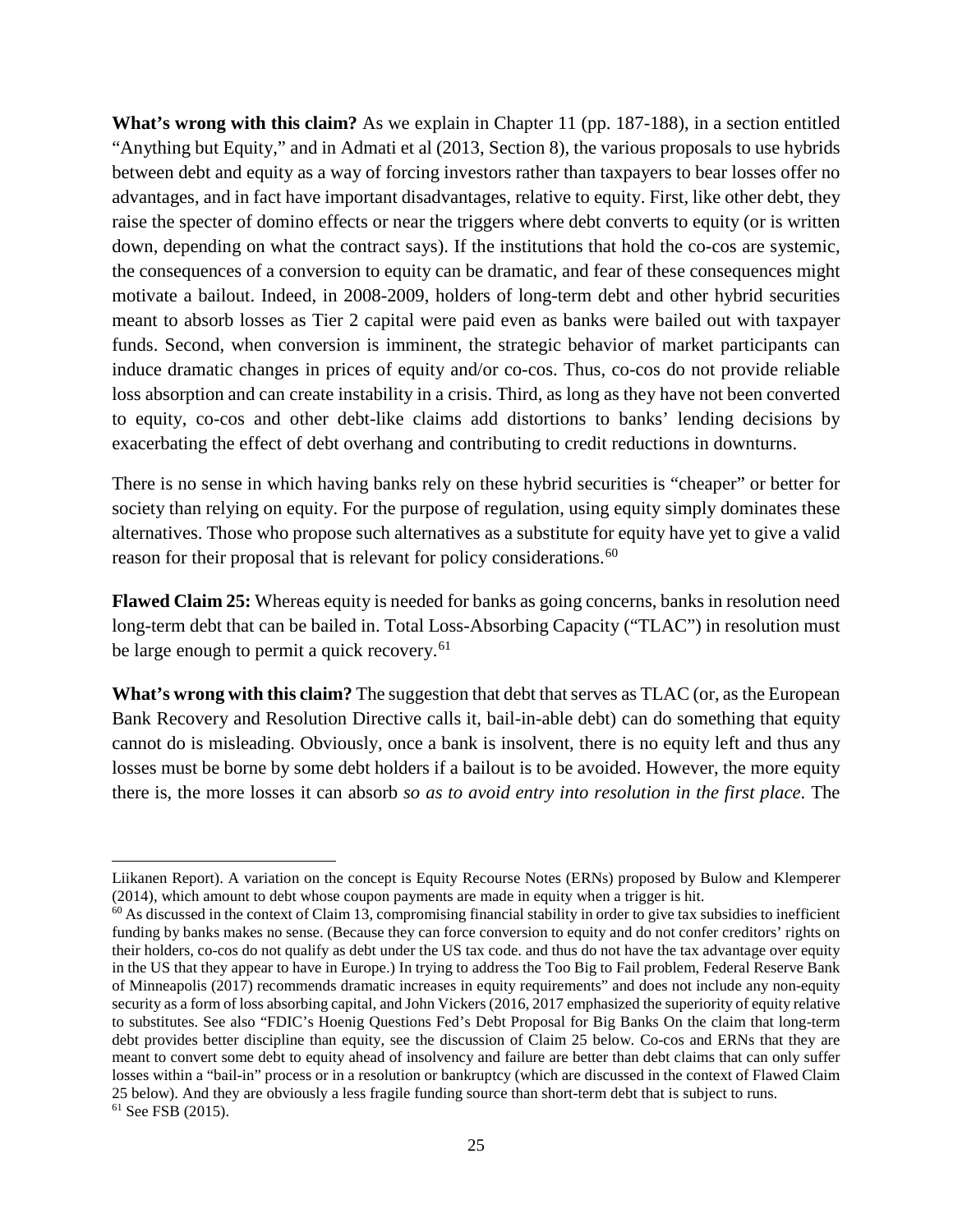**What's wrong with this claim?** As we explain in Chapter 11 (pp. 187-188), in a section entitled "Anything but Equity," and in Admati et al (2013, Section 8), the various proposals to use hybrids between debt and equity as a way of forcing investors rather than taxpayers to bear losses offer no advantages, and in fact have important disadvantages, relative to equity. First, like other debt, they raise the specter of domino effects or near the triggers where debt converts to equity (or is written down, depending on what the contract says). If the institutions that hold the co-cos are systemic, the consequences of a conversion to equity can be dramatic, and fear of these consequences might motivate a bailout. Indeed, in 2008-2009, holders of long-term debt and other hybrid securities meant to absorb losses as Tier 2 capital were paid even as banks were bailed out with taxpayer funds. Second, when conversion is imminent, the strategic behavior of market participants can induce dramatic changes in prices of equity and/or co-cos. Thus, co-cos do not provide reliable loss absorption and can create instability in a crisis. Third, as long as they have not been converted to equity, co-cos and other debt-like claims add distortions to banks' lending decisions by exacerbating the effect of debt overhang and contributing to credit reductions in downturns.

There is no sense in which having banks rely on these hybrid securities is "cheaper" or better for society than relying on equity. For the purpose of regulation, using equity simply dominates these alternatives. Those who propose such alternatives as a substitute for equity have yet to give a valid reason for their proposal that is relevant for policy considerations.<sup>[60](#page-24-1)</sup>

**Flawed Claim 25:** Whereas equity is needed for banks as going concerns, banks in resolution need long-term debt that can be bailed in. Total Loss-Absorbing Capacity ("TLAC") in resolution must be large enough to permit a quick recovery.<sup>[61](#page-24-2)</sup>

<span id="page-24-0"></span>**What's wrong with this claim?** The suggestion that debt that serves as TLAC (or, as the European Bank Recovery and Resolution Directive calls it, bail-in-able debt) can do something that equity cannot do is misleading. Obviously, once a bank is insolvent, there is no equity left and thus any losses must be borne by some debt holders if a bailout is to be avoided. However, the more equity there is, the more losses it can absorb *so as to avoid entry into resolution in the first place*. The

Liikanen Report). A variation on the concept is Equity Recourse Notes (ERNs) proposed by Bulow and Klemperer (2014), which amount to debt whose coupon payments are made in equity when a trigger is hit.

<span id="page-24-2"></span><span id="page-24-1"></span> $60$  As discussed in the context of Claim 13, compromising financial stability in order to give tax subsidies to inefficient funding by banks makes no sense. (Because they can force conversion to equity and do not confer creditors' rights on their holders, co-cos do not qualify as debt under the US tax code. and thus do not have the tax advantage over equity in the US that they appear to have in Europe.) In trying to address the Too Big to Fail problem, Federal Reserve Bank of Minneapolis (2017) recommends dramatic increases in equity requirements" and does not include any non-equity security as a form of loss absorbing capital, and John Vickers (2016, 2017 emphasized the superiority of equity relative to substitutes. See also "FDIC's Hoenig Questions Fed's Debt Proposal for Big Banks On the claim that long-term debt provides better discipline than equity, see the discussion of Claim 25 below. Co-cos and ERNs that they are meant to convert some debt to equity ahead of insolvency and failure are better than debt claims that can only suffer losses within a "bail-in" process or in a resolution or bankruptcy (which are discussed in the context of Flawed Claim <sup>25</sup> below). And they are obviously a less fragile funding source than short-term debt that is subject to runs. 61 See FSB (2015).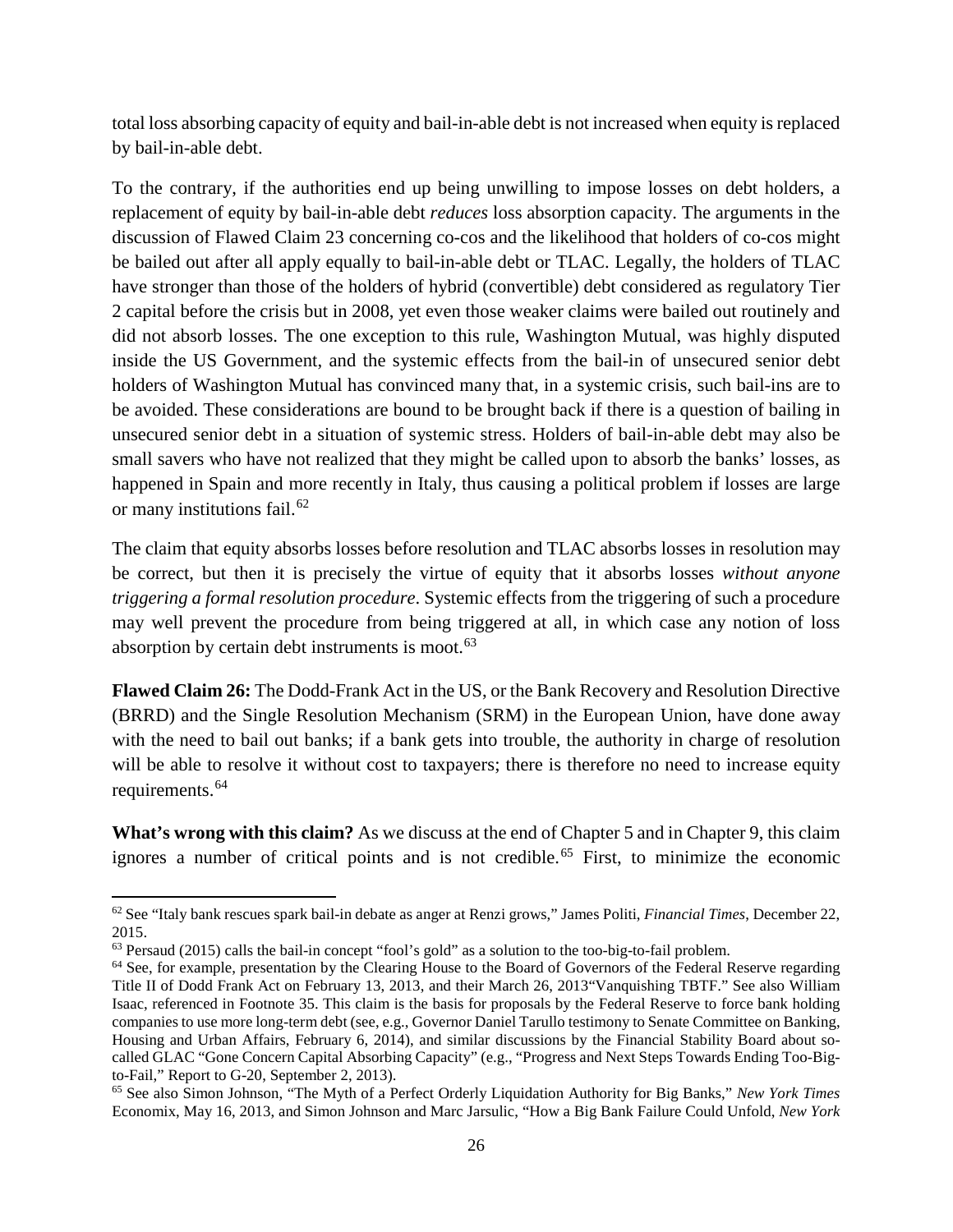total loss absorbing capacity of equity and bail-in-able debt is not increased when equity is replaced by bail-in-able debt.

To the contrary, if the authorities end up being unwilling to impose losses on debt holders, a replacement of equity by bail-in-able debt *reduces* loss absorption capacity. The arguments in the discussion of Flawed Claim 23 concerning co-cos and the likelihood that holders of co-cos might be bailed out after all apply equally to bail-in-able debt or TLAC. Legally, the holders of TLAC have stronger than those of the holders of hybrid (convertible) debt considered as regulatory Tier 2 capital before the crisis but in 2008, yet even those weaker claims were bailed out routinely and did not absorb losses. The one exception to this rule, Washington Mutual, was highly disputed inside the US Government, and the systemic effects from the bail-in of unsecured senior debt holders of Washington Mutual has convinced many that, in a systemic crisis, such bail-ins are to be avoided. These considerations are bound to be brought back if there is a question of bailing in unsecured senior debt in a situation of systemic stress. Holders of bail-in-able debt may also be small savers who have not realized that they might be called upon to absorb the banks' losses, as happened in Spain and more recently in Italy, thus causing a political problem if losses are large or many institutions fail.<sup>[62](#page-25-0)</sup>

The claim that equity absorbs losses before resolution and TLAC absorbs losses in resolution may be correct, but then it is precisely the virtue of equity that it absorbs losses *without anyone triggering a formal resolution procedure*. Systemic effects from the triggering of such a procedure may well prevent the procedure from being triggered at all, in which case any notion of loss absorption by certain debt instruments is moot. $63$ 

**Flawed Claim 26:** The Dodd-Frank Act in the US, or the Bank Recovery and Resolution Directive (BRRD) and the Single Resolution Mechanism (SRM) in the European Union, have done away with the need to bail out banks; if a bank gets into trouble, the authority in charge of resolution will be able to resolve it without cost to taxpayers; there is therefore no need to increase equity requirements. [64](#page-25-2)

**What's wrong with this claim?** As we discuss at the end of Chapter 5 and in Chapter 9, this claim ignores a number of critical points and is not credible. [65](#page-25-3) First, to minimize the economic

 $\overline{a}$ 

<span id="page-25-0"></span><sup>62</sup> See "Italy bank rescues spark bail-in debate as anger at Renzi grows," James Politi, *Financial Times*, December 22,

<sup>2015.&</sup>lt;br><sup>63</sup> Persaud (2015) calls the bail-in concept "fool's gold" as a solution to the too-big-to-fail problem.

<span id="page-25-2"></span><span id="page-25-1"></span> $64$  See, for example, presentation by the Clearing House to the Board of Governors of the Federal Reserve regarding Title II of Dodd Frank Act on February 13, 2013, and their March 26, 2013"Vanquishing TBTF." See also William Isaac, referenced in Footnote 35. This claim is the basis for proposals by the Federal Reserve to force bank holding companies to use more long-term debt (see, e.g., Governor Daniel Tarullo testimony to Senate Committee on Banking, Housing and Urban Affairs, February 6, 2014), and similar discussions by the Financial Stability Board about socalled GLAC "Gone Concern Capital Absorbing Capacity" (e.g., "Progress and Next Steps Towards Ending Too-Bigto-Fail," Report to G-20, September 2, 2013).<br><sup>65</sup> See also Simon Johnson, "The Myth of a Perfect Orderly Liquidation Authority for Big Banks," *New York Times* 

<span id="page-25-3"></span>Economix, May 16, 2013, and Simon Johnson and Marc Jarsulic, "How a Big Bank Failure Could Unfold, *New York*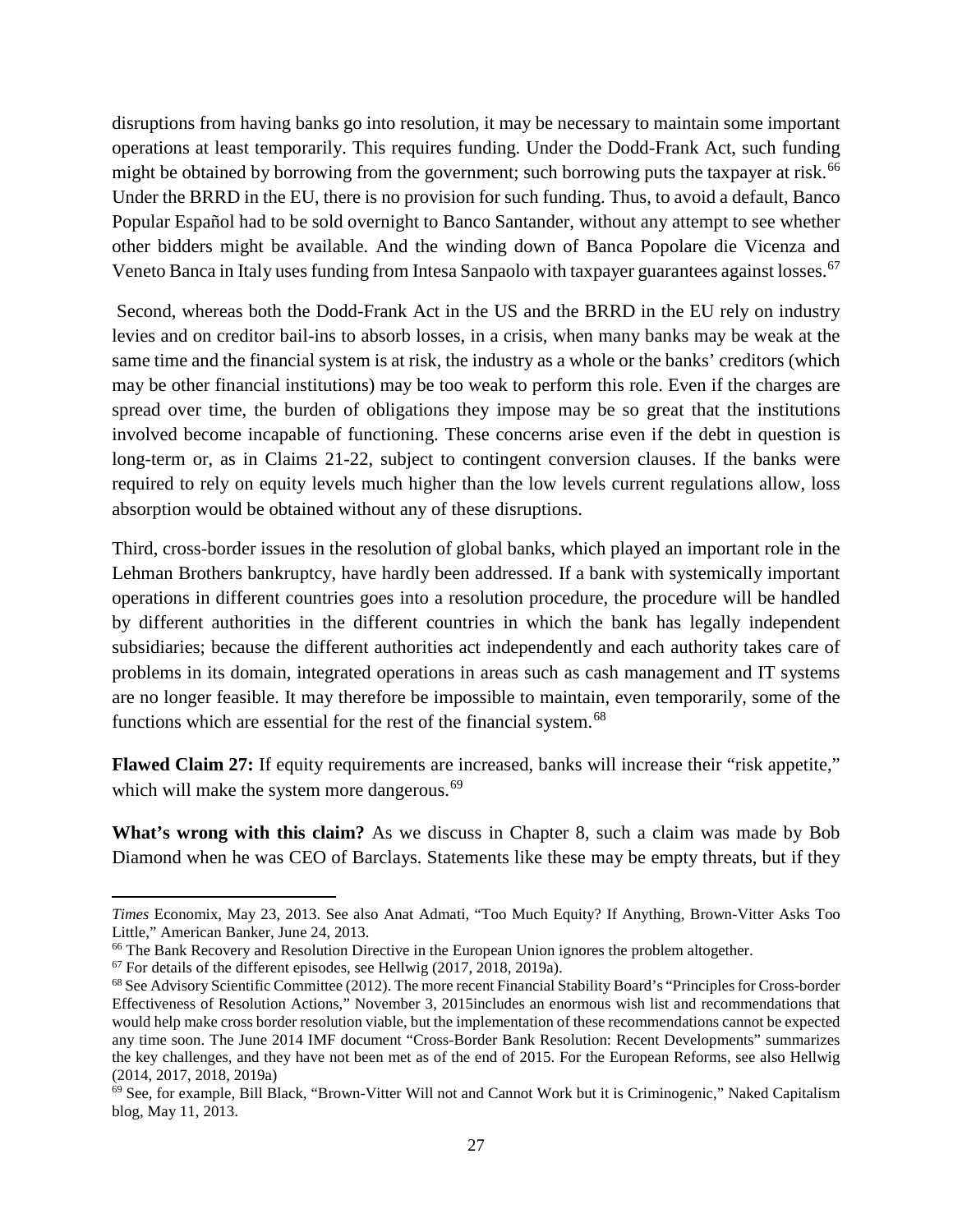disruptions from having banks go into resolution, it may be necessary to maintain some important operations at least temporarily. This requires funding. Under the Dodd-Frank Act, such funding might be obtained by borrowing from the government; such borrowing puts the taxpayer at risk.<sup>[66](#page-26-0)</sup> Under the BRRD in the EU, there is no provision for such funding. Thus, to avoid a default, Banco Popular Español had to be sold overnight to Banco Santander, without any attempt to see whether other bidders might be available. And the winding down of Banca Popolare die Vicenza and Veneto Banca in Italy uses funding from Intesa Sanpaolo with taxpayer guarantees against losses.<sup>[67](#page-26-1)</sup>

Second, whereas both the Dodd-Frank Act in the US and the BRRD in the EU rely on industry levies and on creditor bail-ins to absorb losses, in a crisis, when many banks may be weak at the same time and the financial system is at risk, the industry as a whole or the banks' creditors (which may be other financial institutions) may be too weak to perform this role. Even if the charges are spread over time, the burden of obligations they impose may be so great that the institutions involved become incapable of functioning. These concerns arise even if the debt in question is long-term or, as in Claims 21-22, subject to contingent conversion clauses. If the banks were required to rely on equity levels much higher than the low levels current regulations allow, loss absorption would be obtained without any of these disruptions.

Third, cross-border issues in the resolution of global banks, which played an important role in the Lehman Brothers bankruptcy, have hardly been addressed. If a bank with systemically important operations in different countries goes into a resolution procedure, the procedure will be handled by different authorities in the different countries in which the bank has legally independent subsidiaries; because the different authorities act independently and each authority takes care of problems in its domain, integrated operations in areas such as cash management and IT systems are no longer feasible. It may therefore be impossible to maintain, even temporarily, some of the functions which are essential for the rest of the financial system.<sup>[68](#page-26-2)</sup>

**Flawed Claim 27:** If equity requirements are increased, banks will increase their "risk appetite," which will make the system more dangerous.<sup>[69](#page-26-3)</sup>

**What's wrong with this claim?** As we discuss in Chapter 8, such a claim was made by Bob Diamond when he was CEO of Barclays. Statements like these may be empty threats, but if they

 $\overline{a}$ 

*Times* Economix, May 23, 2013. See also Anat Admati, "Too Much Equity? If Anything, Brown-Vitter Asks Too Little," American Banker, June 24, 2013.

<span id="page-26-0"></span><sup>&</sup>lt;sup>66</sup> The Bank Recovery and Resolution Directive in the European Union ignores the problem altogether.

<span id="page-26-1"></span> $67$  For details of the different episodes, see Hellwig (2017, 2018, 2019a).

<span id="page-26-2"></span><sup>68</sup> See Advisory Scientific Committee (2012). The more recent Financial Stability Board's "Principles for Cross-border Effectiveness of Resolution Actions," November 3, 2015includes an enormous wish list and recommendations that would help make cross border resolution viable, but the implementation of these recommendations cannot be expected any time soon. The June 2014 IMF document "Cross-Border Bank Resolution: Recent Developments" summarizes the key challenges, and they have not been met as of the end of 2015. For the European Reforms, see also Hellwig (2014, 2017, 2018, 2019a)

<span id="page-26-3"></span><sup>69</sup> See, for example, Bill Black, "Brown-Vitter Will not and Cannot Work but it is Criminogenic," Naked Capitalism blog, May 11, 2013.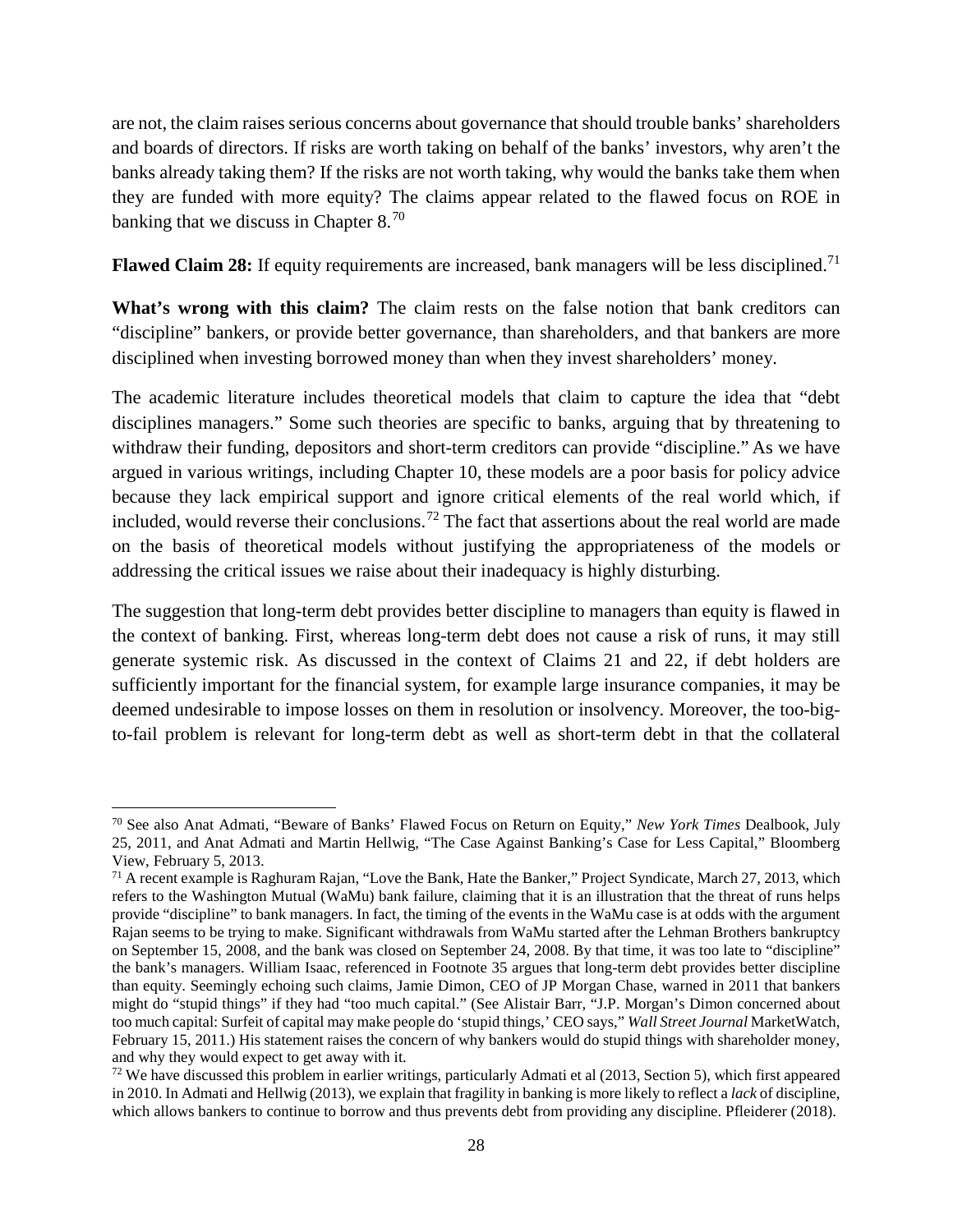are not, the claim raises serious concerns about governance that should trouble banks' shareholders and boards of directors. If risks are worth taking on behalf of the banks' investors, why aren't the banks already taking them? If the risks are not worth taking, why would the banks take them when they are funded with more equity? The claims appear related to the flawed focus on ROE in banking that we discuss in Chapter 8.<sup>[70](#page-27-0)</sup>

Flawed Claim 28: If equity requirements are increased, bank managers will be less disciplined.<sup>[71](#page-27-1)</sup>

**What's wrong with this claim?** The claim rests on the false notion that bank creditors can "discipline" bankers, or provide better governance, than shareholders, and that bankers are more disciplined when investing borrowed money than when they invest shareholders' money.

The academic literature includes theoretical models that claim to capture the idea that "debt disciplines managers." Some such theories are specific to banks, arguing that by threatening to withdraw their funding, depositors and short-term creditors can provide "discipline." As we have argued in various writings, including Chapter 10, these models are a poor basis for policy advice because they lack empirical support and ignore critical elements of the real world which, if included, would reverse their conclusions.<sup>[72](#page-27-2)</sup> The fact that assertions about the real world are made on the basis of theoretical models without justifying the appropriateness of the models or addressing the critical issues we raise about their inadequacy is highly disturbing.

The suggestion that long-term debt provides better discipline to managers than equity is flawed in the context of banking. First, whereas long-term debt does not cause a risk of runs, it may still generate systemic risk. As discussed in the context of Claims 21 and 22, if debt holders are sufficiently important for the financial system, for example large insurance companies, it may be deemed undesirable to impose losses on them in resolution or insolvency. Moreover, the too-bigto-fail problem is relevant for long-term debt as well as short-term debt in that the collateral

<span id="page-27-0"></span><sup>70</sup> See also Anat Admati, "Beware of Banks' Flawed Focus on Return on Equity," *New York Times* Dealbook, July 25, 2011, and Anat Admati and Martin Hellwig, "The Case Against Banking's Case for Less Capital," Bloomberg View, February 5, 2013.

<span id="page-27-1"></span> $71$  A recent example is Raghuram Rajan, "Love the Bank, Hate the Banker," Project Syndicate, March 27, 2013, which refers to the Washington Mutual (WaMu) bank failure, claiming that it is an illustration that the threat of runs helps provide "discipline" to bank managers. In fact, the timing of the events in the WaMu case is at odds with the argument Rajan seems to be trying to make. Significant withdrawals from WaMu started after the Lehman Brothers bankruptcy on September 15, 2008, and the bank was closed on September 24, 2008. By that time, it was too late to "discipline" the bank's managers. William Isaac, referenced in Footnote 35 argues that long-term debt provides better discipline than equity. Seemingly echoing such claims, Jamie Dimon, CEO of JP Morgan Chase, warned in 2011 that bankers might do "stupid things" if they had "too much capital." (See Alistair Barr, "J.P. Morgan's Dimon concerned about too much capital: Surfeit of capital may make people do 'stupid things,' CEO says," *Wall Street Journal* MarketWatch, February 15, 2011.) His statement raises the concern of why bankers would do stupid things with shareholder money, and why they would expect to get away with it.

<span id="page-27-2"></span><sup>&</sup>lt;sup>72</sup> We have discussed this problem in earlier writings, particularly Admati et al (2013, Section 5), which first appeared in 2010. In Admati and Hellwig (2013), we explain that fragility in banking is more likely to reflect a *lack* of discipline, which allows bankers to continue to borrow and thus prevents debt from providing any discipline. Pfleiderer (2018).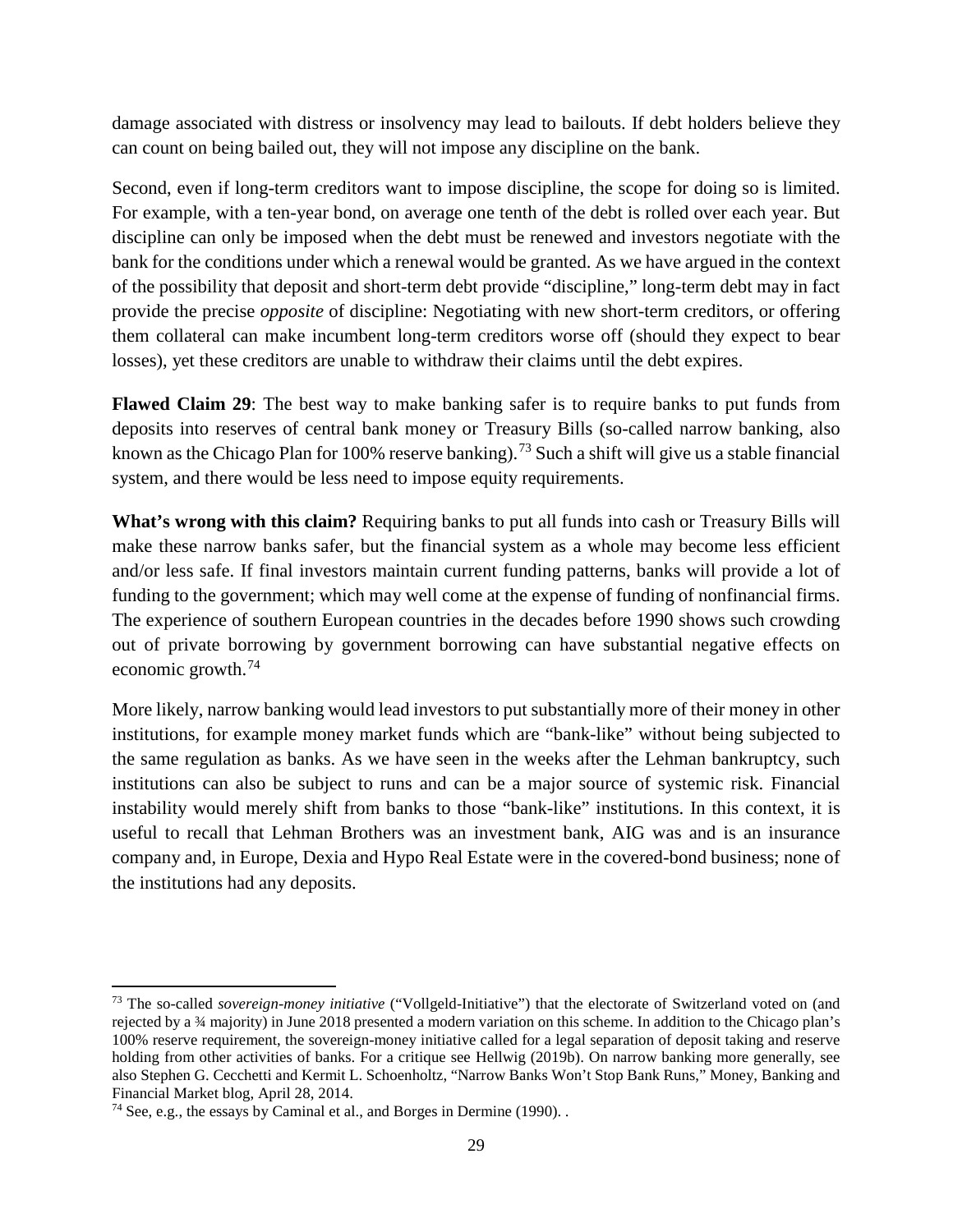damage associated with distress or insolvency may lead to bailouts. If debt holders believe they can count on being bailed out, they will not impose any discipline on the bank.

Second, even if long-term creditors want to impose discipline, the scope for doing so is limited. For example, with a ten-year bond, on average one tenth of the debt is rolled over each year. But discipline can only be imposed when the debt must be renewed and investors negotiate with the bank for the conditions under which a renewal would be granted. As we have argued in the context of the possibility that deposit and short-term debt provide "discipline," long-term debt may in fact provide the precise *opposite* of discipline: Negotiating with new short-term creditors, or offering them collateral can make incumbent long-term creditors worse off (should they expect to bear losses), yet these creditors are unable to withdraw their claims until the debt expires.

**Flawed Claim 29**: The best way to make banking safer is to require banks to put funds from deposits into reserves of central bank money or Treasury Bills (so-called narrow banking, also known as the Chicago Plan for 100% reserve banking).<sup>[73](#page-28-0)</sup> Such a shift will give us a stable financial system, and there would be less need to impose equity requirements.

**What's wrong with this claim?** Requiring banks to put all funds into cash or Treasury Bills will make these narrow banks safer, but the financial system as a whole may become less efficient and/or less safe. If final investors maintain current funding patterns, banks will provide a lot of funding to the government; which may well come at the expense of funding of nonfinancial firms. The experience of southern European countries in the decades before 1990 shows such crowding out of private borrowing by government borrowing can have substantial negative effects on economic growth.[74](#page-28-1)

More likely, narrow banking would lead investors to put substantially more of their money in other institutions, for example money market funds which are "bank-like" without being subjected to the same regulation as banks. As we have seen in the weeks after the Lehman bankruptcy, such institutions can also be subject to runs and can be a major source of systemic risk. Financial instability would merely shift from banks to those "bank-like" institutions. In this context, it is useful to recall that Lehman Brothers was an investment bank, AIG was and is an insurance company and, in Europe, Dexia and Hypo Real Estate were in the covered-bond business; none of the institutions had any deposits.

<span id="page-28-0"></span>l <sup>73</sup> The so-called *sovereign-money initiative* ("Vollgeld-Initiative") that the electorate of Switzerland voted on (and rejected by a ¾ majority) in June 2018 presented a modern variation on this scheme. In addition to the Chicago plan's 100% reserve requirement, the sovereign-money initiative called for a legal separation of deposit taking and reserve holding from other activities of banks. For a critique see Hellwig (2019b). On narrow banking more generally, see also Stephen G. Cecchetti and Kermit L. Schoenholtz, "Narrow Banks Won't Stop Bank Runs," Money, Banking and Financial Market blog, April 28, 2014.

<span id="page-28-1"></span><sup>&</sup>lt;sup>74</sup> See, e.g., the essays by Caminal et al., and Borges in Dermine (1990). .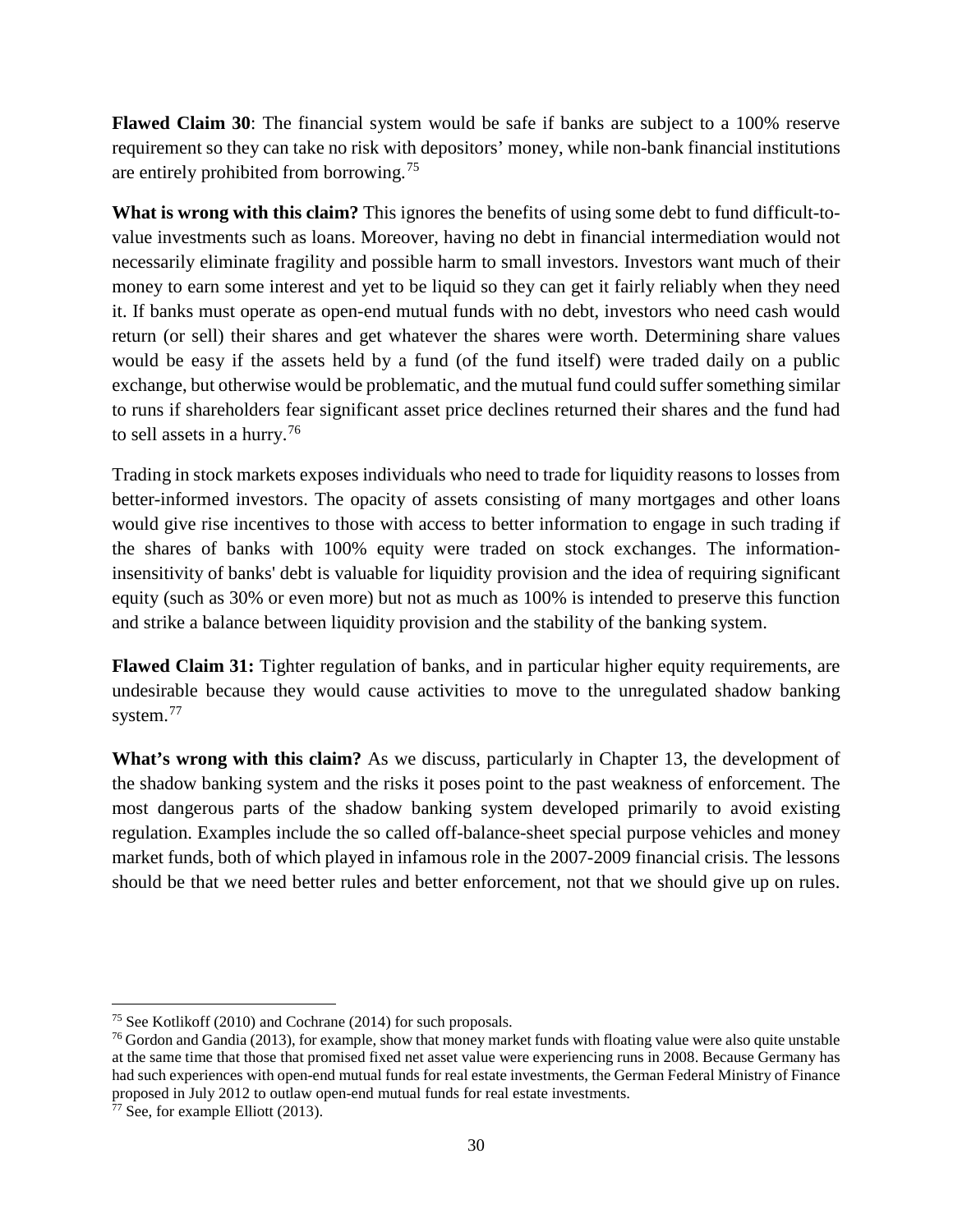**Flawed Claim 30**: The financial system would be safe if banks are subject to a 100% reserve requirement so they can take no risk with depositors' money, while non-bank financial institutions are entirely prohibited from borrowing.<sup>[75](#page-29-0)</sup>

**What is wrong with this claim?** This ignores the benefits of using some debt to fund difficult-tovalue investments such as loans. Moreover, having no debt in financial intermediation would not necessarily eliminate fragility and possible harm to small investors. Investors want much of their money to earn some interest and yet to be liquid so they can get it fairly reliably when they need it. If banks must operate as open-end mutual funds with no debt, investors who need cash would return (or sell) their shares and get whatever the shares were worth. Determining share values would be easy if the assets held by a fund (of the fund itself) were traded daily on a public exchange, but otherwise would be problematic, and the mutual fund could suffer something similar to runs if shareholders fear significant asset price declines returned their shares and the fund had to sell assets in a hurry.<sup>[76](#page-29-1)</sup>

Trading in stock markets exposes individuals who need to trade for liquidity reasons to losses from better-informed investors. The opacity of assets consisting of many mortgages and other loans would give rise incentives to those with access to better information to engage in such trading if the shares of banks with 100% equity were traded on stock exchanges. The informationinsensitivity of banks' debt is valuable for liquidity provision and the idea of requiring significant equity (such as 30% or even more) but not as much as 100% is intended to preserve this function and strike a balance between liquidity provision and the stability of the banking system.

**Flawed Claim 31:** Tighter regulation of banks, and in particular higher equity requirements, are undesirable because they would cause activities to move to the unregulated shadow banking system.<sup>[77](#page-29-2)</sup>

**What's wrong with this claim?** As we discuss, particularly in Chapter 13, the development of the shadow banking system and the risks it poses point to the past weakness of enforcement. The most dangerous parts of the shadow banking system developed primarily to avoid existing regulation. Examples include the so called off-balance-sheet special purpose vehicles and money market funds, both of which played in infamous role in the 2007-2009 financial crisis. The lessons should be that we need better rules and better enforcement, not that we should give up on rules.

 $\overline{a}$ 

<span id="page-29-1"></span><span id="page-29-0"></span><sup>&</sup>lt;sup>75</sup> See Kotlikoff (2010) and Cochrane (2014) for such proposals.<br><sup>76</sup> Gordon and Gandia (2013), for example, show that money market funds with floating value were also quite unstable at the same time that those that promised fixed net asset value were experiencing runs in 2008. Because Germany has had such experiences with open-end mutual funds for real estate investments, the German Federal Ministry of Finance proposed in July 2012 to outlaw open-end mutual funds for real estate investments.

<span id="page-29-2"></span> $77$  See, for example Elliott (2013).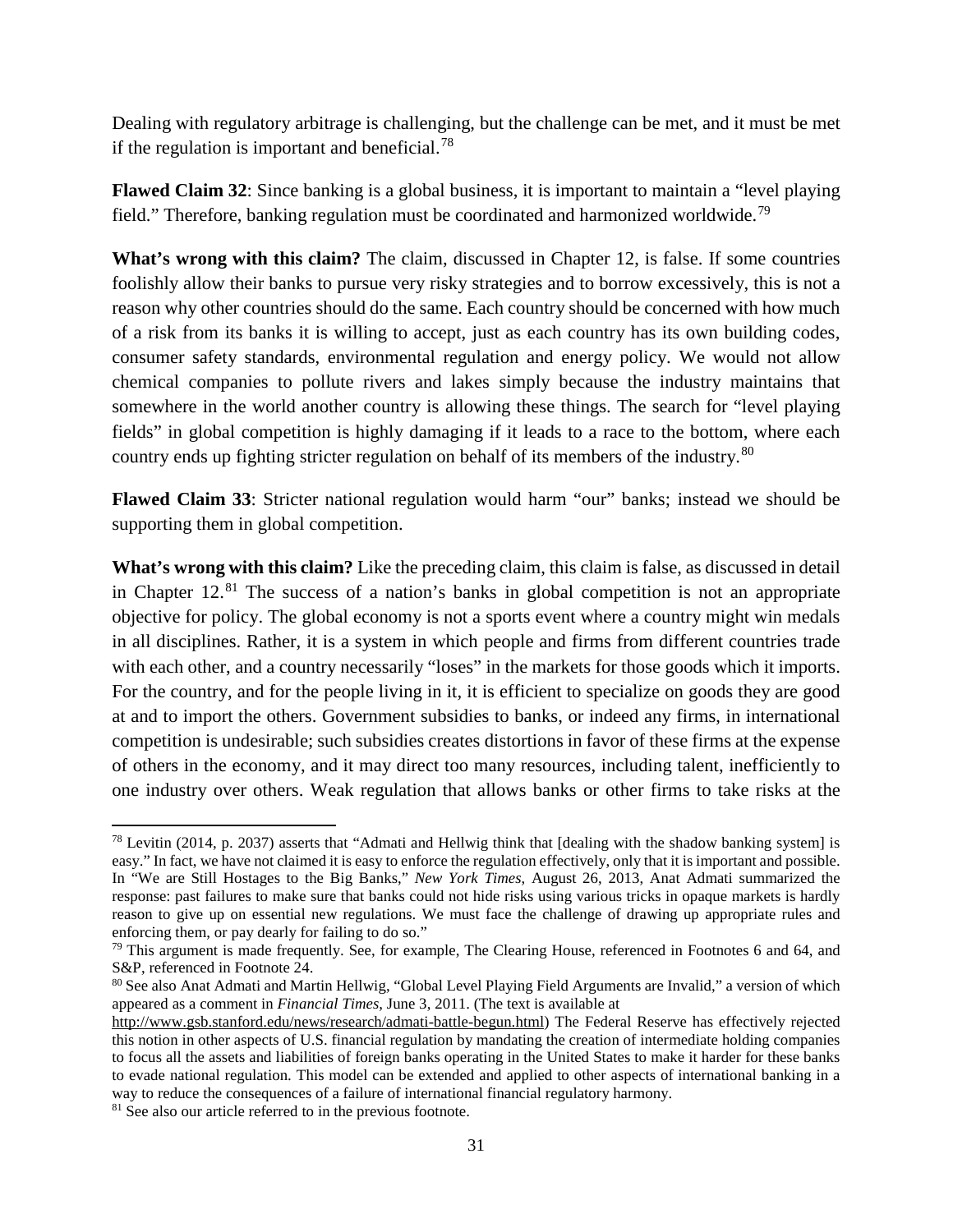Dealing with regulatory arbitrage is challenging, but the challenge can be met, and it must be met if the regulation is important and beneficial.<sup>[78](#page-30-0)</sup>

**Flawed Claim 32**: Since banking is a global business, it is important to maintain a "level playing field." Therefore, banking regulation must be coordinated and harmonized worldwide.<sup>[79](#page-30-1)</sup>

**What's wrong with this claim?** The claim, discussed in Chapter 12, is false. If some countries foolishly allow their banks to pursue very risky strategies and to borrow excessively, this is not a reason why other countries should do the same. Each country should be concerned with how much of a risk from its banks it is willing to accept, just as each country has its own building codes, consumer safety standards, environmental regulation and energy policy. We would not allow chemical companies to pollute rivers and lakes simply because the industry maintains that somewhere in the world another country is allowing these things. The search for "level playing fields" in global competition is highly damaging if it leads to a race to the bottom, where each country ends up fighting stricter regulation on behalf of its members of the industry.<sup>80</sup>

**Flawed Claim 33**: Stricter national regulation would harm "our" banks; instead we should be supporting them in global competition.

**What's wrong with this claim?** Like the preceding claim, this claim is false, as discussed in detail in Chapter  $12<sup>81</sup>$  $12<sup>81</sup>$  $12<sup>81</sup>$  The success of a nation's banks in global competition is not an appropriate objective for policy. The global economy is not a sports event where a country might win medals in all disciplines. Rather, it is a system in which people and firms from different countries trade with each other, and a country necessarily "loses" in the markets for those goods which it imports. For the country, and for the people living in it, it is efficient to specialize on goods they are good at and to import the others. Government subsidies to banks, or indeed any firms, in international competition is undesirable; such subsidies creates distortions in favor of these firms at the expense of others in the economy, and it may direct too many resources, including talent, inefficiently to one industry over others. Weak regulation that allows banks or other firms to take risks at the

<span id="page-30-0"></span>l  $78$  Levitin (2014, p. 2037) asserts that "Admati and Hellwig think that [dealing with the shadow banking system] is easy." In fact, we have not claimed it is easy to enforce the regulation effectively, only that it is important and possible. In "We are Still Hostages to the Big Banks," *New York Times*, August 26, 2013, Anat Admati summarized the response: past failures to make sure that banks could not hide risks using various tricks in opaque markets is hardly reason to give up on essential new regulations. We must face the challenge of drawing up appropriate rules and enforcing them, or pay dearly for failing to do so."<br><sup>79</sup> This argument is made frequently. See, for example, The Clearing House, referenced in Footnotes 6 and 64, and

<span id="page-30-1"></span>S&P, referenced in Footnote 24.<br><sup>80</sup> See also Anat Admati and Martin Hellwig, "Global Level Playing Field Arguments are Invalid," a version of which

<span id="page-30-2"></span>appeared as a comment in *Financial Times*, June 3, 2011. (The text is available at

[http://www.gsb.stanford.edu/news/research/admati-battle-begun.html\)](http://www.gsb.stanford.edu/news/research/admati-battle-begun.html) The Federal Reserve has effectively rejected this notion in other aspects of U.S. financial regulation by mandating the creation of intermediate holding companies to focus all the assets and liabilities of foreign banks operating in the United States to make it harder for these banks to evade national regulation. This model can be extended and applied to other aspects of international banking in a way to reduce the consequences of a failure of international financial regulatory harmony.

<span id="page-30-3"></span><sup>&</sup>lt;sup>81</sup> See also our article referred to in the previous footnote.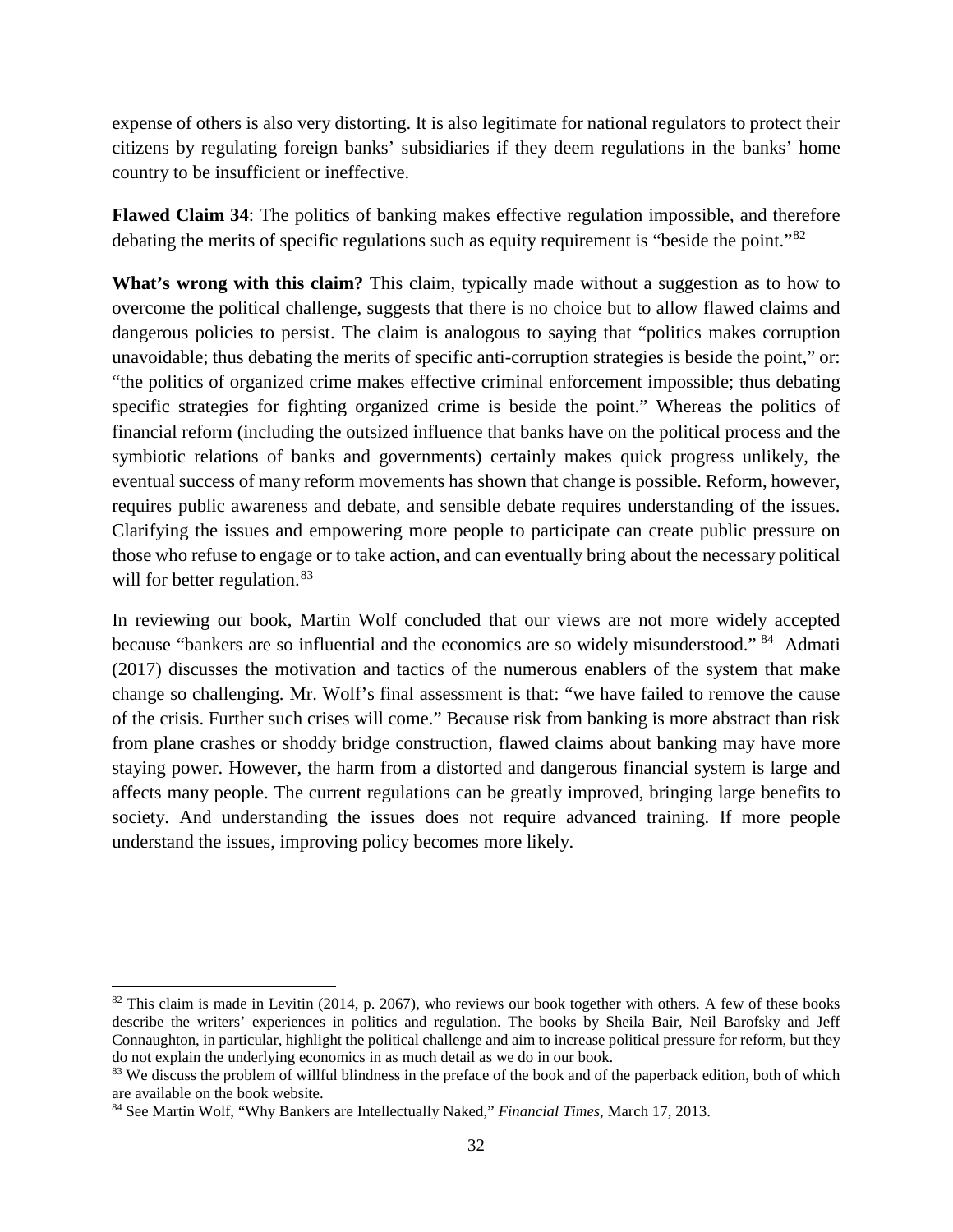expense of others is also very distorting. It is also legitimate for national regulators to protect their citizens by regulating foreign banks' subsidiaries if they deem regulations in the banks' home country to be insufficient or ineffective.

**Flawed Claim 34**: The politics of banking makes effective regulation impossible, and therefore debating the merits of specific regulations such as equity requirement is "beside the point."<sup>[82](#page-31-0)</sup>

What's wrong with this claim? This claim, typically made without a suggestion as to how to overcome the political challenge, suggests that there is no choice but to allow flawed claims and dangerous policies to persist. The claim is analogous to saying that "politics makes corruption unavoidable; thus debating the merits of specific anti-corruption strategies is beside the point," or: "the politics of organized crime makes effective criminal enforcement impossible; thus debating specific strategies for fighting organized crime is beside the point." Whereas the politics of financial reform (including the outsized influence that banks have on the political process and the symbiotic relations of banks and governments) certainly makes quick progress unlikely, the eventual success of many reform movements has shown that change is possible. Reform, however, requires public awareness and debate, and sensible debate requires understanding of the issues. Clarifying the issues and empowering more people to participate can create public pressure on those who refuse to engage or to take action, and can eventually bring about the necessary political will for better regulation.<sup>[83](#page-31-1)</sup>

In reviewing our book, Martin Wolf concluded that our views are not more widely accepted because "bankers are so influential and the economics are so widely misunderstood." <sup>[84](#page-31-2)</sup> Admati (2017) discusses the motivation and tactics of the numerous enablers of the system that make change so challenging. Mr. Wolf's final assessment is that: "we have failed to remove the cause of the crisis. Further such crises will come." Because risk from banking is more abstract than risk from plane crashes or shoddy bridge construction, flawed claims about banking may have more staying power. However, the harm from a distorted and dangerous financial system is large and affects many people. The current regulations can be greatly improved, bringing large benefits to society. And understanding the issues does not require advanced training. If more people understand the issues, improving policy becomes more likely.

<span id="page-31-0"></span> $82$  This claim is made in Levitin (2014, p. 2067), who reviews our book together with others. A few of these books describe the writers' experiences in politics and regulation. The books by Sheila Bair, Neil Barofsky and Jeff Connaughton, in particular, highlight the political challenge and aim to increase political pressure for reform, but they do not explain the underlying economics in as much detail as we do in our book.

<span id="page-31-1"></span><sup>&</sup>lt;sup>83</sup> We discuss the problem of willful blindness in the preface of the book and of the paperback edition, both of which are available on the book website.

<span id="page-31-2"></span><sup>84</sup> See Martin Wolf, "Why Bankers are Intellectually Naked," *Financial Times*, March 17, 2013.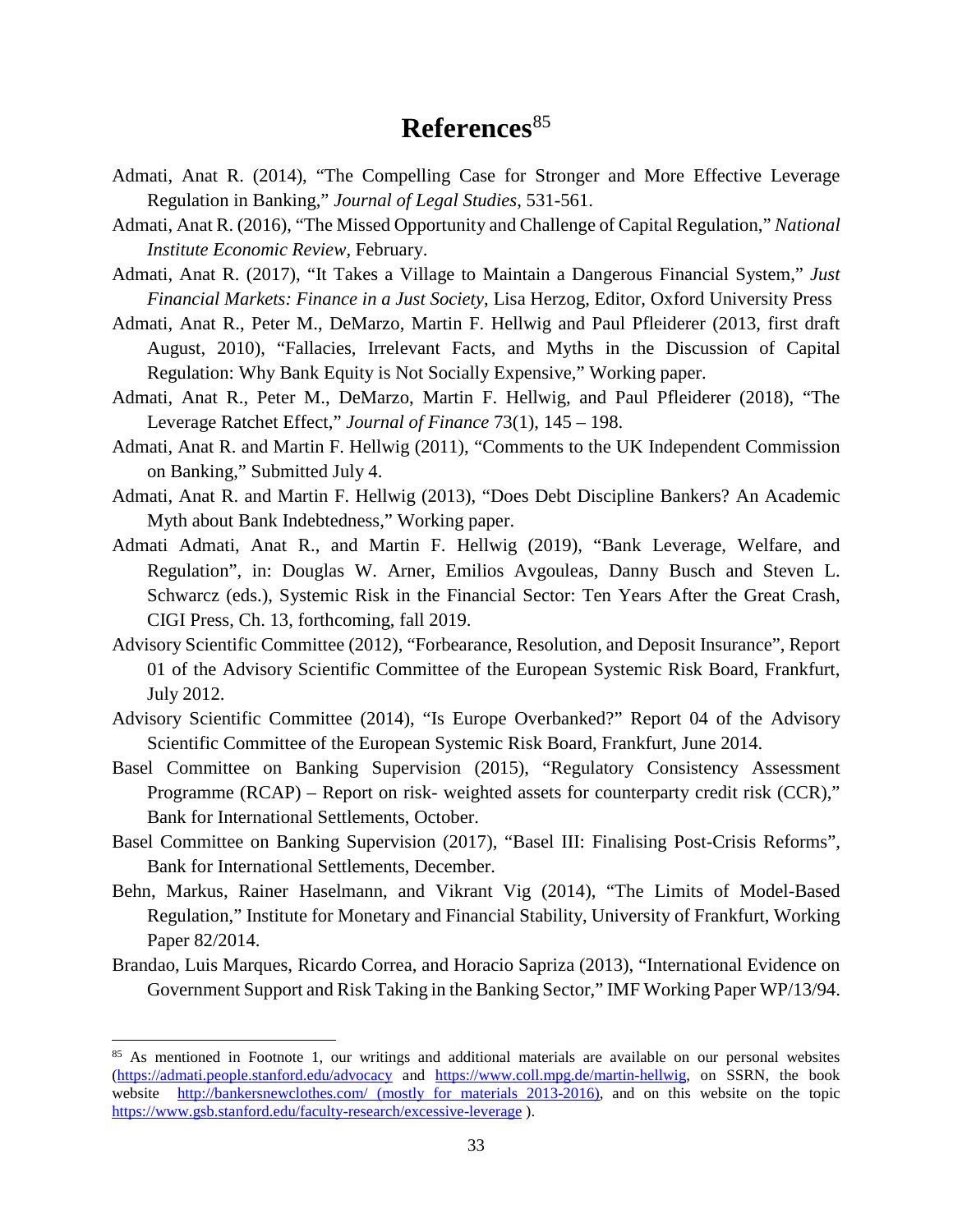## **References**[85](#page-32-0)

- Admati, Anat R. (2014), "The Compelling Case for Stronger and More Effective Leverage Regulation in Banking," *Journal of Legal Studies*, 531-561.
- Admati, Anat R. (2016), "The Missed Opportunity and Challenge of Capital Regulation," *National Institute Economic Review*, February.
- Admati, Anat R. (2017), "It Takes a Village to Maintain a Dangerous Financial System," *Just Financial Markets: Finance in a Just Society*, Lisa Herzog, Editor, Oxford University Press
- Admati, Anat R., Peter M., DeMarzo, Martin F. Hellwig and Paul Pfleiderer (2013, first draft August, 2010), "Fallacies, Irrelevant Facts, and Myths in the Discussion of Capital Regulation: Why Bank Equity is Not Socially Expensive," Working paper.
- Admati, Anat R., Peter M., DeMarzo, Martin F. Hellwig, and Paul Pfleiderer (2018), "The Leverage Ratchet Effect," *Journal of Finance* 73(1), 145 – 198.
- Admati, Anat R. and Martin F. Hellwig (2011), "Comments to the UK Independent Commission on Banking," Submitted July 4.
- Admati, Anat R. and Martin F. Hellwig (2013), "Does Debt Discipline Bankers? An Academic Myth about Bank Indebtedness," Working paper.
- Admati Admati, Anat R., and Martin F. Hellwig (2019), "Bank Leverage, Welfare, and Regulation", in: Douglas W. Arner, Emilios Avgouleas, Danny Busch and Steven L. Schwarcz (eds.), Systemic Risk in the Financial Sector: Ten Years After the Great Crash, CIGI Press, Ch. 13, forthcoming, fall 2019.
- Advisory Scientific Committee (2012), "Forbearance, Resolution, and Deposit Insurance", Report 01 of the Advisory Scientific Committee of the European Systemic Risk Board, Frankfurt, July 2012.
- Advisory Scientific Committee (2014), "Is Europe Overbanked?" Report 04 of the Advisory Scientific Committee of the European Systemic Risk Board, Frankfurt, June 2014.
- Basel Committee on Banking Supervision (2015), "Regulatory Consistency Assessment Programme (RCAP) – Report on risk- weighted assets for counterparty credit risk (CCR)," Bank for International Settlements, October.
- Basel Committee on Banking Supervision (2017), "Basel III: Finalising Post-Crisis Reforms", Bank for International Settlements, December.
- Behn, Markus, Rainer Haselmann, and Vikrant Vig (2014), "The Limits of Model-Based Regulation," Institute for Monetary and Financial Stability, University of Frankfurt, Working Paper 82/2014.
- Brandao, Luis Marques, Ricardo Correa, and Horacio Sapriza (2013), "International Evidence on Government Support and Risk Taking in the Banking Sector," IMF Working Paper WP/13/94.

<span id="page-32-0"></span><sup>85</sup> As mentioned in Footnote 1, our writings and additional materials are available on our personal websites [\(https://admati.people.stanford.edu/advocacy](https://admati.people.stanford.edu/advocacy) and [https://www.coll.mpg.de/martin-hellwig,](https://www.coll.mpg.de/martin-hellwig) on SSRN, the book website <http://bankersnewclothes.com/> (mostly for materials 2013-2016), and on this website on the topic <https://www.gsb.stanford.edu/faculty-research/excessive-leverage> ).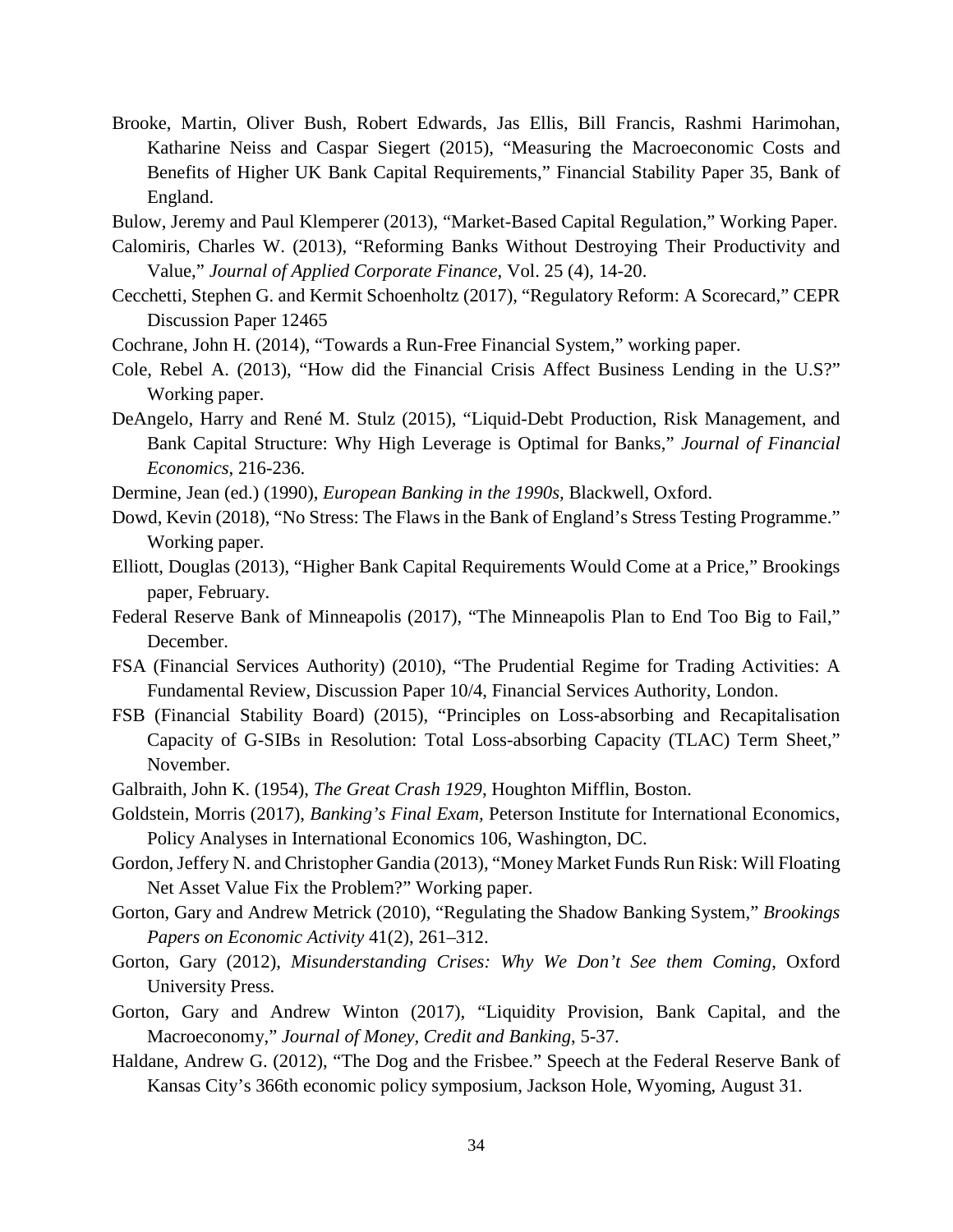Brooke, Martin, Oliver Bush, Robert Edwards, Jas Ellis, Bill Francis, Rashmi Harimohan, Katharine Neiss and Caspar Siegert (2015), "Measuring the Macroeconomic Costs and Benefits of Higher UK Bank Capital Requirements," Financial Stability Paper 35, Bank of England.

Bulow, Jeremy and Paul Klemperer (2013), "Market-Based Capital Regulation," Working Paper.

- Calomiris, Charles W. (2013), "Reforming Banks Without Destroying Their Productivity and Value," *Journal of Applied Corporate Finance*, Vol. 25 (4), 14-20.
- Cecchetti, Stephen G. and Kermit Schoenholtz (2017), "Regulatory Reform: A Scorecard," CEPR Discussion Paper 12465
- Cochrane, John H. (2014), "Towards a Run-Free Financial System," working paper.
- Cole, Rebel A. (2013), "How did the Financial Crisis Affect Business Lending in the U.S?" Working paper.
- DeAngelo, Harry and René M. Stulz (2015), "Liquid-Debt Production, Risk Management, and Bank Capital Structure: Why High Leverage is Optimal for Banks," *Journal of Financial Economics*, 216-236.
- Dermine, Jean (ed.) (1990), *European Banking in the 1990s,* Blackwell, Oxford.
- Dowd, Kevin (2018), "No Stress: The Flaws in the Bank of England's Stress Testing Programme." Working paper.
- Elliott, Douglas (2013), "Higher Bank Capital Requirements Would Come at a Price," Brookings paper, February.
- Federal Reserve Bank of Minneapolis (2017), "The Minneapolis Plan to End Too Big to Fail," December.
- FSA (Financial Services Authority) (2010), "The Prudential Regime for Trading Activities: A Fundamental Review, Discussion Paper 10/4, Financial Services Authority, London.
- FSB (Financial Stability Board) (2015), "Principles on Loss-absorbing and Recapitalisation Capacity of G-SIBs in Resolution: Total Loss-absorbing Capacity (TLAC) Term Sheet," November.
- Galbraith, John K. (1954), *The Great Crash 1929*, Houghton Mifflin, Boston.
- Goldstein, Morris (2017), *Banking's Final Exam,* Peterson Institute for International Economics, Policy Analyses in International Economics 106, Washington, DC.
- Gordon, Jeffery N. and Christopher Gandia (2013), "Money Market Funds Run Risk: Will Floating Net Asset Value Fix the Problem?" Working paper.
- Gorton, Gary and Andrew Metrick (2010), "Regulating the Shadow Banking System," *Brookings Papers on Economic Activity* 41(2), 261–312.
- Gorton, Gary (2012), *Misunderstanding Crises: Why We Don't See them Coming*, Oxford University Press.
- Gorton, Gary and Andrew Winton (2017), "Liquidity Provision, Bank Capital, and the Macroeconomy," *Journal of Money, Credit and Banking*, 5-37.
- Haldane, Andrew G. (2012), "The Dog and the Frisbee." Speech at the Federal Reserve Bank of Kansas City's 366th economic policy symposium, Jackson Hole, Wyoming, August 31.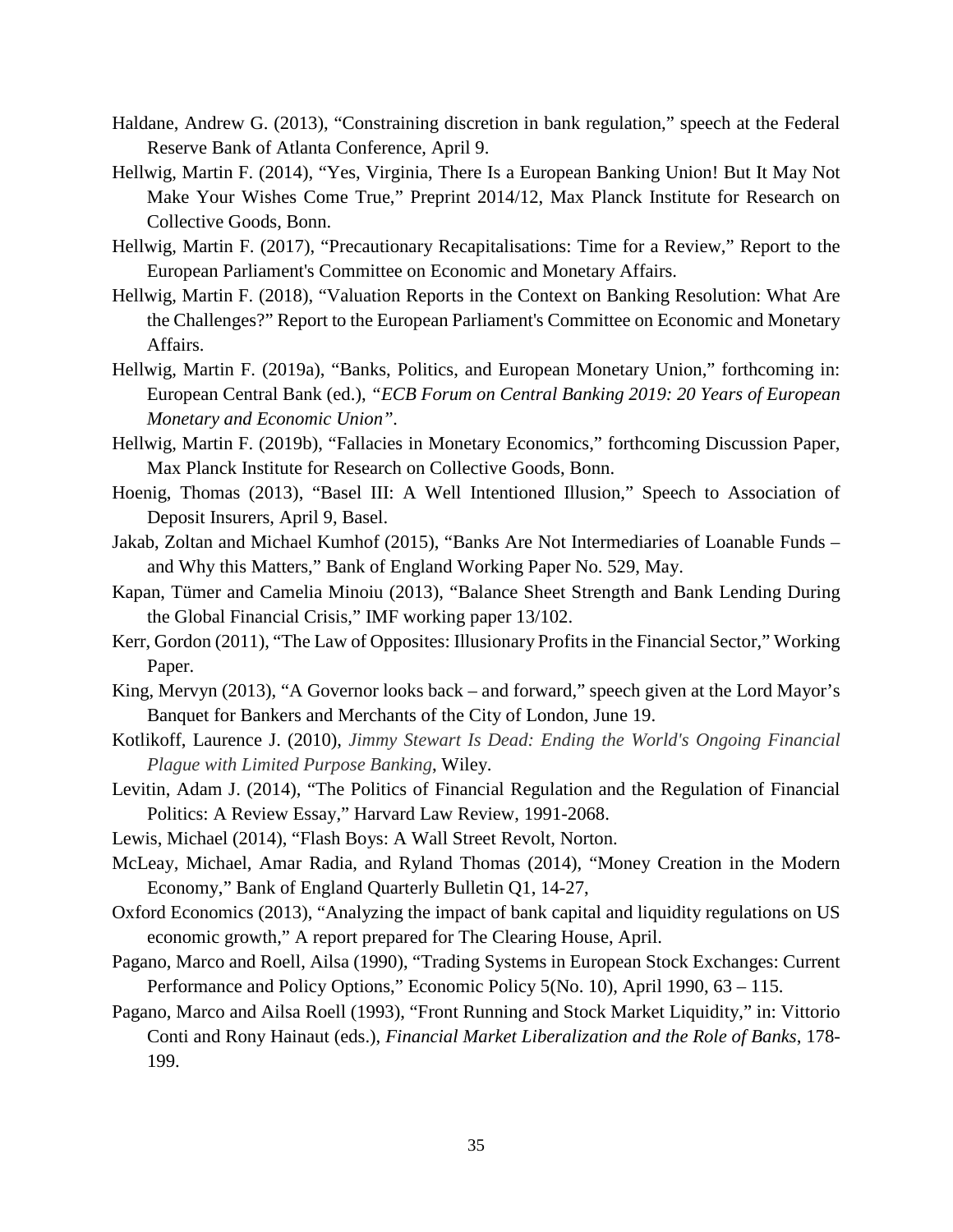- Haldane, Andrew G. (2013), "Constraining discretion in bank regulation," speech at the Federal Reserve Bank of Atlanta Conference, April 9.
- Hellwig, Martin F. (2014), "Yes, Virginia, There Is a European Banking Union! But It May Not Make Your Wishes Come True," Preprint 2014/12, Max Planck Institute for Research on Collective Goods, Bonn.
- Hellwig, Martin F. (2017), "Precautionary Recapitalisations: Time for a Review," Report to the European Parliament's Committee on Economic and Monetary Affairs.
- Hellwig, Martin F. (2018), "Valuation Reports in the Context on Banking Resolution: What Are the Challenges?" Report to the European Parliament's Committee on Economic and Monetary Affairs.
- Hellwig, Martin F. (2019a), "Banks, Politics, and European Monetary Union," forthcoming in: European Central Bank (ed.), *"ECB Forum on Central Banking 2019: 20 Years of European Monetary and Economic Union".*
- Hellwig, Martin F. (2019b), "Fallacies in Monetary Economics," forthcoming Discussion Paper, Max Planck Institute for Research on Collective Goods, Bonn.
- Hoenig, Thomas (2013), "Basel III: A Well Intentioned Illusion," Speech to Association of Deposit Insurers, April 9, Basel.
- Jakab, Zoltan and Michael Kumhof (2015), "Banks Are Not Intermediaries of Loanable Funds and Why this Matters," Bank of England Working Paper No. 529, May.
- Kapan, Tümer and Camelia Minoiu (2013), "Balance Sheet Strength and Bank Lending During the Global Financial Crisis," IMF working paper 13/102.
- Kerr, Gordon (2011), "The Law of Opposites: Illusionary Profits in the Financial Sector," Working Paper.
- King, Mervyn (2013), "A Governor looks back and forward," speech given at the Lord Mayor's Banquet for Bankers and Merchants of the City of London, June 19.
- Kotlikoff, Laurence J. (2010), *Jimmy Stewart Is Dead: Ending the World's Ongoing Financial Plague with Limited Purpose Banking*, Wiley.
- Levitin, Adam J. (2014), "The Politics of Financial Regulation and the Regulation of Financial Politics: A Review Essay," Harvard Law Review, 1991-2068.
- Lewis, Michael (2014), "Flash Boys: A Wall Street Revolt, Norton.
- McLeay, Michael, Amar Radia, and Ryland Thomas (2014), "Money Creation in the Modern Economy," Bank of England Quarterly Bulletin Q1, 14-27,
- Oxford Economics (2013), "Analyzing the impact of bank capital and liquidity regulations on US economic growth," A report prepared for The Clearing House, April.
- Pagano, Marco and Roell, Ailsa (1990), "Trading Systems in European Stock Exchanges: Current Performance and Policy Options," Economic Policy 5(No. 10), April 1990, 63 – 115.
- Pagano, Marco and Ailsa Roell (1993), "Front Running and Stock Market Liquidity," in: Vittorio Conti and Rony Hainaut (eds.), *Financial Market Liberalization and the Role of Banks*, 178- 199.